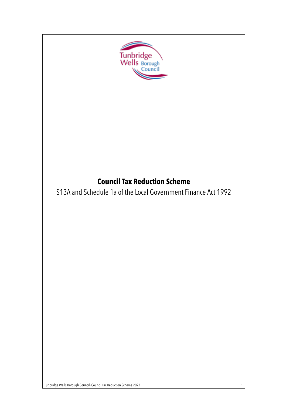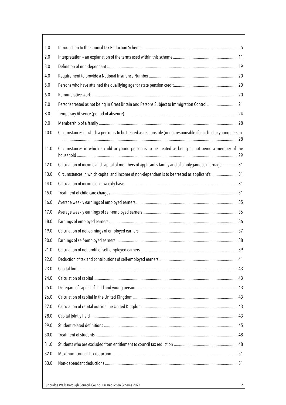| 1.0  |                                                                                                                   |                |
|------|-------------------------------------------------------------------------------------------------------------------|----------------|
| 2.0  |                                                                                                                   |                |
| 3.0  |                                                                                                                   |                |
| 4.0  |                                                                                                                   |                |
| 5.0  |                                                                                                                   |                |
| 6.0  |                                                                                                                   |                |
| 7.0  | Persons treated as not being in Great Britain and Persons Subject to Immigration Control  21                      |                |
| 8.0  |                                                                                                                   |                |
| 9.0  |                                                                                                                   |                |
| 10.0 | Circumstances in which a person is to be treated as responsible (or not responsible) for a child or young person. |                |
| 11.0 | Circumstances in which a child or young person is to be treated as being or not being a member of the             |                |
| 12.0 | Calculation of income and capital of members of applicant's family and of a polygamous marriage 31                |                |
| 13.0 | Circumstances in which capital and income of non-dependant is to be treated as applicant's  31                    |                |
| 14.0 |                                                                                                                   |                |
| 15.0 |                                                                                                                   |                |
| 16.0 |                                                                                                                   |                |
| 17.0 |                                                                                                                   |                |
| 18.0 |                                                                                                                   |                |
| 19.0 |                                                                                                                   |                |
| 20.0 |                                                                                                                   |                |
| 21.0 |                                                                                                                   |                |
| 22.0 |                                                                                                                   |                |
| 23.0 |                                                                                                                   |                |
| 24.0 |                                                                                                                   |                |
| 25.0 |                                                                                                                   |                |
| 26.0 |                                                                                                                   |                |
| 27.0 |                                                                                                                   |                |
| 28.0 |                                                                                                                   |                |
| 29.0 |                                                                                                                   |                |
| 30.0 |                                                                                                                   |                |
| 31.0 |                                                                                                                   |                |
| 32.0 |                                                                                                                   |                |
| 33.0 |                                                                                                                   |                |
|      |                                                                                                                   |                |
|      | Tunbridge Wells Borough Council- Council Tax Reduction Scheme 2022                                                | $\overline{2}$ |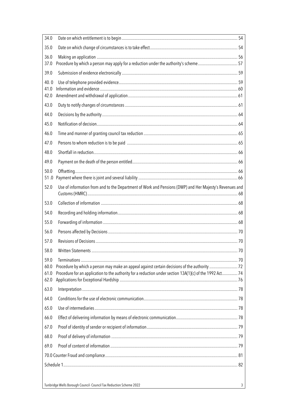| 34.0         |                                                                                                         |  |
|--------------|---------------------------------------------------------------------------------------------------------|--|
| 35.0         |                                                                                                         |  |
| 36.0         |                                                                                                         |  |
| 37.0         |                                                                                                         |  |
| 39.0         |                                                                                                         |  |
| 40.0         |                                                                                                         |  |
| 41.0<br>42.0 |                                                                                                         |  |
|              |                                                                                                         |  |
| 43.0         |                                                                                                         |  |
| 44.0         |                                                                                                         |  |
| 45.0         |                                                                                                         |  |
| 46.0         |                                                                                                         |  |
| 47.0         |                                                                                                         |  |
| 48.0         |                                                                                                         |  |
| 49.0         |                                                                                                         |  |
| 50.0         |                                                                                                         |  |
| 51.0         |                                                                                                         |  |
| 52.0         | Use of information from and to the Department of Work and Pensions (DWP) and Her Majesty's Revenues and |  |
| 53.0         |                                                                                                         |  |
| 54.0         |                                                                                                         |  |
| 55.0         |                                                                                                         |  |
| 56.0         |                                                                                                         |  |
| 57.0         |                                                                                                         |  |
| 58.0         |                                                                                                         |  |
| 59.0         |                                                                                                         |  |
| 60.0         |                                                                                                         |  |
| 61.0<br>62.0 | Procedure for an application to the authority for a reduction under section 13A(1)(c) of the 1992 Act74 |  |
| 63.0         |                                                                                                         |  |
| 64.0         |                                                                                                         |  |
| 65.0         |                                                                                                         |  |
| 66.0         |                                                                                                         |  |
|              |                                                                                                         |  |
| 67.0         |                                                                                                         |  |
| 68.0         |                                                                                                         |  |
| 69.0         |                                                                                                         |  |
|              |                                                                                                         |  |
|              |                                                                                                         |  |
|              |                                                                                                         |  |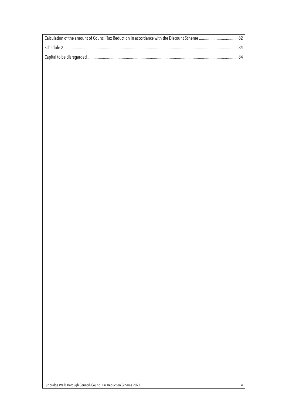| │ Calculation of the amount of Council Tax Reduction in accordance with the Discount Scheme ……………………………………… 82 |  |
|----------------------------------------------------------------------------------------------------------------|--|
|                                                                                                                |  |
|                                                                                                                |  |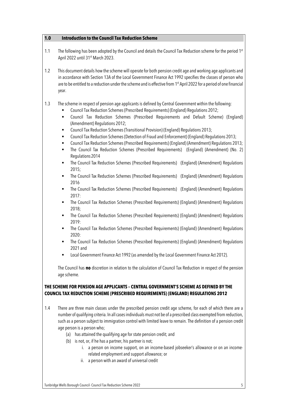#### **1.0 Introduction to the Council Tax Reduction Scheme**

- 1.1 The following has been adopted by the Council and details the Council Tax Reduction scheme for the period  $1^{st}$ April 2022 until 31<sup>st</sup> March 2023.
- 1.2 This document details how the scheme will operate for both pension credit age and working age applicants and in accordance with Section 13A of the Local Government Finance Act 1992 specifies the classes of person who are to be entitled to a reduction under the scheme and is effective from 1st April 2022 for a period of one financial year.
- 1.3 The scheme in respect of pension age applicants is defined by Central Government within the following:
	- § Council Tax Reduction Schemes (Prescribed Requirements) (England) Regulations 2012;
	- § Council Tax Reduction Schemes (Prescribed Requirements and Default Scheme) (England) (Amendment) Regulations 2012;
	- § Council Tax Reduction Schemes (Transitional Provision) (England) Regulations 2013;
	- § Council Tax Reduction Schemes (Detection of Fraud and Enforcement) (England) Regulations 2013;
	- § Council Tax Reduction Schemes (Prescribed Requirements) (England) (Amendment) Regulations 2013;
	- § The Council Tax Reduction Schemes (Prescribed Requirements) (England) (Amendment) (No. 2) Regulations2014
	- § The Council Tax Reduction Schemes (Prescribed Requirements) (England) (Amendment) Regulations 2015;
	- § The Council Tax Reduction Schemes (Prescribed Requirements) (England) (Amendment) Regulations 2016
	- § The Council Tax Reduction Schemes (Prescribed Requirements) (England) (Amendment) Regulations 2017:
	- § The Council Tax Reduction Schemes (Prescribed Requirements) (England) (Amendment) Regulations 2018;
	- § The Council Tax Reduction Schemes (Prescribed Requirements) (England) (Amendment) Regulations 2019:
	- § The Council Tax Reduction Schemes (Prescribed Requirements) (England) (Amendment) Regulations 2020:
	- § The Council Tax Reduction Schemes (Prescribed Requirements) (England) (Amendment) Regulations 2021 and
	- Local Government Finance Act 1992 (as amended by the Local Government Finance Act 2012).

The Council has **no** discretion in relation to the calculation of Council Tax Reduction in respect of the pension age scheme.

## **THE SCHEME FOR PENSION AGE APPLICANTS – CENTRAL GOVERNMENT'S SCHEME AS DEFINED BY THE COUNCIL TAX REDUCTION SCHEME (PRESCRIBED REQUIREMENTS) (ENGLAND) REGULATIONS 2012**

- 1.4 There are three main classes under the prescribed pension credit age scheme, for each of which there are a number of qualifying criteria. In all cases individuals must not be of a prescribed class exempted from reduction, such as a person subject to immigration control with limited leave to remain. The definition of a pension credit age person is a person who;
	- (a) has attained the qualifying age for state pension credit; and
	- (b) is not, or, if he has a partner, his partner is not;
		- i. a person on income support, on an income-based jobseeker's allowance or on an incomerelated employment and support allowance; or
		- ii. a person with an award of universal credit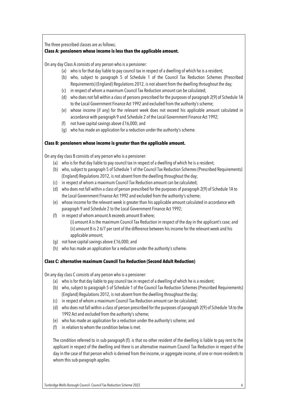The three prescribed classes are as follows;

#### **Class A: pensioners whose income is less than the applicable amount.**

On any day Class A consists of any person who is a pensioner:

- (a) who is for that day liable to pay council tax in respect of a dwelling of which he is a resident;
- (b) who, subject to paragraph 5 of Schedule 1 of the Council Tax Reduction Schemes (Prescribed Requirements) (England) Regulations 2012, is not absent from the dwelling throughout the day;
- (c) in respect of whom a maximum Council Tax Reduction amount can be calculated;
- (d) who does not fall within a class of persons prescribed for the purposes of paragraph 2(9) of Schedule 1A to the Local Government Finance Act 1992 and excluded from the authority's scheme;
- (e) whose income (if any) for the relevant week does not exceed his applicable amount calculated in accordance with paragraph 9 and Schedule 2 of the Local Government Finance Act 1992;
- (f) not have capital savings above £16,000; and
- (g) who has made an application for a reduction under the authority's scheme.

#### **Class B: pensioners whose income is greater than the applicable amount.**

On any day class B consists of any person who is a pensioner:

- (a) who is for that day liable to paycouncil tax in respect of a dwelling of which he is a resident;
- (b) who, subject to paragraph 5 of Schedule 1 of the Council Tax Reduction Schemes (Prescribed Requirements) (England) Regulations 2012, is not absent from the dwelling throughout the day;
- (c) in respect of whom a maximum Council Tax Reduction amount can be calculated;
- (d) who does not fall within a class of person prescribed for the purposes of paragraph 2(9) of Schedule 1A to the Local Government Finance Act 1992 and excluded from the authority's scheme;
- (e) whose income for the relevant week is greater than his applicable amount calculated in accordance with paragraph 9 and Schedule 2 to the Local Government Finance Act 1992;
- (f) in respect of whom amount A exceeds amount B where;

(i) amount A is the maximum Council Tax Reduction in respect of the day in the applicant's case; and (ii) amount B is 2 6/7 per cent of the difference between his income for the relevant week and his applicable amount;

- (g) not have capital savings above £16,000; and
- (h) who has made an application for a reduction under the authority's scheme.

### **Class C: alternative maximum Council Tax Reduction (Second Adult Reduction)**

On any day class C consists of any person who is a pensioner:

- (a) who is for that day liable to pay council tax in respect of a dwelling of which he is a resident;
- (b) who, subject to paragraph 5 of Schedule 1 of the Council Tax Reduction Schemes (Prescribed Requirements) (England) Regulations 2012, is not absent from the dwelling throughout the day;
- (c) in respect of whom a maximum Council Tax Reduction amount can be calculated;
- (d) who does not fall within a class of person prescribed for the purposes of paragraph 2(9) of Schedule 1A to the 1992 Act and excluded from the authority's scheme;
- (e) who has made an application for a reduction under the authority's scheme; and
- (f) in relation to whom the condition below is met.

The condition referred to in sub-paragraph (f). is that no other resident of the dwelling is liable to pay rent to the applicant in respect of the dwelling and there is an alternative maximum Council Tax Reduction in respect of the day in the case of that person which is derived from the income, or aggregate income, of one or more residents to whom this sub-paragraph applies.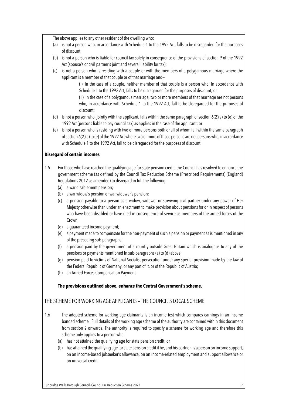The above applies to any other resident of the dwelling who:

- (a) is not a person who, in accordance with Schedule 1 to the 1992 Act, falls to be disregarded for the purposes of discount;
- (b) is not a person who is liable for council tax solely in consequence of the provisions of section 9 of the 1992 Act (spouse's or civil partner's joint and several liability for tax);
- (c) is not a person who is residing with a couple or with the members of a polygamous marriage where the applicant is a member of that couple or of that marriage and—
	- (i) in the case of a couple, neither member of that couple is a person who, in accordance with Schedule 1 to the 1992 Act, falls to be disregarded for the purposes of discount; or
	- (ii) in the case of a polygamous marriage, two or more members of that marriage are not persons who, in accordance with Schedule 1 to the 1992 Act, fall to be disregarded for the purposes of discount;
- (d) is not a person who, jointly with the applicant, falls within the same paragraph of section 6(2)(a) to (e) of the 1992 Act (persons liable to pay council tax) as applies in the case of the applicant; or
- (e) is not a person who is residing with two or more persons both or all of whom fall within the same paragraph of section 6(2)(a) to (e) of the 1992 Act where two or more of those persons are not persons who, in accordance with Schedule 1 to the 1992 Act, fall to be disregarded for the purposes of discount.

#### **Disregard of certain incomes**

- 1.5 For those who have reached the qualifying age for state pension credit, the Council has resolved to enhance the government scheme (as defined by the Council Tax Reduction Scheme (Prescribed Requirements) (England) Regulations 2012 as amended) to disregard in full the following:
	- (a) a war disablement pension;
	- (b) a war widow's pension or war widower's pension;
	- (c) a pension payable to a person as a widow, widower or surviving civil partner under any power of Her Majesty otherwise than under an enactment to make provision about pensions for or in respect of persons who have been disabled or have died in consequence of service as members of the armed forces of the Crown;
	- (d) a guaranteed income payment;
	- (e) a payment made to compensate for the non-payment of such a pension or payment as is mentioned in any of the preceding sub-paragraphs;
	- (f) a pension paid by the government of a country outside Great Britain which is analogous to any of the pensions or payments mentioned in sub-paragraphs (a) to (d) above;
	- (g) pension paid to victims of National Socialist persecution under any special provision made by the law of the Federal Republic of Germany, or any part of it, or of the Republic of Austria;
	- (h) an Armed Forces Compensation Payment.

### **The provisions outlined above, enhance the Central Government's scheme.**

# THE SCHEME FOR WORKING AGE APPLICANTS – THE COUNCIL'S LOCAL SCHEME

- 1.6 The adopted scheme for working age claimants is an income test which compares earnings in an income banded scheme. Full details of the working age scheme of the authority are contained within this document from section 2 onwards. The authority is required to specify a scheme for working age and therefore this scheme only applies to a person who;
	- (a) has not attained the qualifying age for state pension credit; or
	- (b) has attained the qualifying age for state pension credit if he, and his partner, is a person on income support, on an income-based jobseeker's allowance, on an income-related employment and support allowance or on universal credit.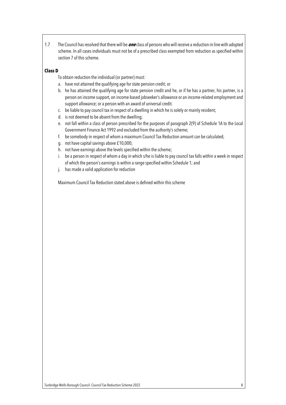1.7 The Council has resolved that there will be **one** class of persons who will receive a reduction in line with adopted scheme. In all cases individuals must not be of a prescribed class exempted from reduction as specified within section 7 of this scheme.

#### **Class D**

To obtain reduction the individual (or partner) must:

- a. have not attained the qualifying age for state pension credit; or
- b. he has attained the qualifying age for state pension credit and he, or if he has a partner, his partner, is a person on income support, on income-based jobseeker's allowance or an income-related employment and support allowance; or a person with an award of universal credit.
- c. be liable to pay council tax in respect of a dwelling in which he is solely or mainly resident;
- d. is not deemed to be absent from the dwelling;
- e. not fall within a class of person prescribed for the purposes of paragraph 2(9) of Schedule 1A to the Local Government Finance Act 1992 and excluded from the authority's scheme;
- f. be somebody in respect of whom a maximum Council Tax Reduction amount can be calculated;
- g. not have capital savings above £10,000;
- h. not have earnings above the levels specified within the scheme;
- i. be a person in respect of whom a day in which s/he is liable to pay council tax falls within a week in respect of which the person's *earnings* is within a range specified within Schedule 1; and
- j. has made a valid application for reduction

Maximum Council Tax Reduction stated above is defined within this scheme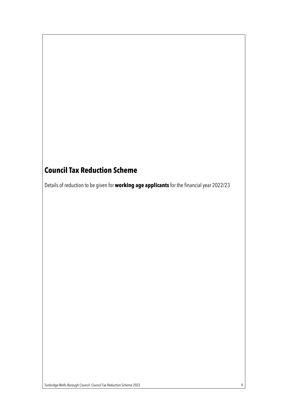# **Council Tax Reduction Scheme**

Details of reduction to be given for **working age applicants** for the financial year 2022/23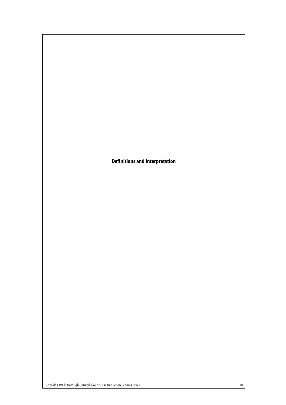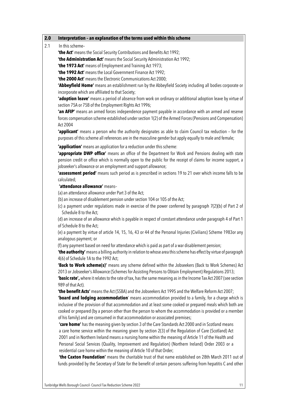| 2.0 |  | Interpretation - an explanation of the terms used within this scheme |  |
|-----|--|----------------------------------------------------------------------|--|
|-----|--|----------------------------------------------------------------------|--|

2.1 In this scheme–

**'the Act'** means the Social Security Contributions and Benefits Act 1992;

**'the Administration Act'** means the Social Security Administration Act 1992;

**'the 1973 Act'** means of Employment and Training Act 1973;

**'the 1992 Act'** means the Local Government Finance Act 1992;

**'the 2000 Act'** means the Electronic Communications Act 2000;

**'Abbeyfield Home'** means an establishment run by the Abbeyfield Society including all bodies corporate or incorporate which are affiliated to that Society;

**'adoption leave'** means a period of absence from work on ordinary or additional adoption leave by virtue of section 75A or 75B of the Employment Rights Act 1996;

**'an AFIP'** means an armed forces independence payment payable in accordance with an armed and reserve forces compensation scheme established under section 1(2) of the Armed Forces (Pensions and Compensation) Act 2004

**'applicant'** means a person who the authority designates as able to claim Council tax reduction – for the purposes of this scheme all references are in the masculine gender but apply equally to male and female;

**'application'** means an application for a reduction under this scheme:

**'appropriate DWP office'** means an office of the Department for Work and Pensions dealing with state pension credit or office which is normally open to the public for the receipt of claims for income support, a jobseeker's allowance or an employment and support allowance;

**'assessment period'** means such period as is prescribed in sections 19 to 21 over which income falls to be calculated;

**'attendance allowance'** means–

(a) an attendance allowance under Part 3 of the Act;

(b) an increase of disablement pension under section 104 or 105 of the Act;

(c) a payment under regulations made in exercise of the power conferred by paragraph 7(2)(b) of Part 2 of Schedule 8 to the Act;

(d) an increase of an allowance which is payable in respect of constant attendance under paragraph 4 of Part 1 of Schedule 8 to the Act;

(e) a payment by virtue of article 14, 15, 16, 43 or 44 of the Personal Injuries (Civilians) Scheme 1983or any analogous payment; or

(f) any payment based on need for attendance which is paid as part of a war disablement pension;

**'the authority'** means a billing authority in relation to whose area this scheme has effect by virtue of paragraph 4(6) of Schedule 1A to the 1992 Act;

**'Back to Work scheme(s)'** means any scheme defined within the Jobseekers (Back to Work Schemes) Act 2013 or Jobseeker's Allowance (Schemes for Assisting Persons to Obtain Employment) Regulations 2013;

**'basic rate',** where it relates to the rate of tax, has the same meaning as in the Income Tax Act 2007 (see section 989 of that Act).

**'the benefit Acts'** means the Act (SSBA) and the Jobseekers Act 1995 and the Welfare Reform Act 2007;

**'board and lodging accommodation**' means accommodation provided to a family, for a charge which is inclusive of the provision of that accommodation and at least some cooked or prepared meals which both are cooked or prepared (by a person other than the person to whom the accommodation is provided or a member of his family) and are consumed in that accommodation or associated premises;

**'care home'** has the meaning given by section 3 of the Care Standards Act 2000 and in Scotland means a care home service within the meaning given by section 2(3) of the Regulation of Care (Scotland) Act 2001 and in Northern Ireland means a nursing home within the meaning of Article 11 of the Health and Personal Social Services (Quality, Improvement and Regulation) (Northern Ireland) Order 2003 or a residential care home within the meaning of Article 10 of that Order;

**'the Caxton Foundation'** means the charitable trust of that name established on 28th March 2011 out of funds provided by the Secretary of State for the benefit of certain persons suffering from hepatitis C and other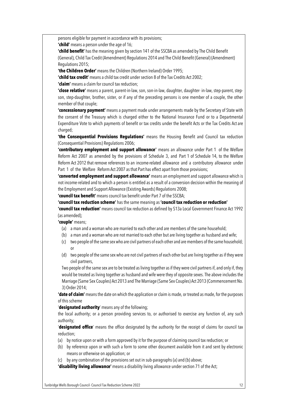persons eligible for payment in accordance with its provisions;

**'child'** means a person under the age of 16;

**'child benefit'** has the meaning given by section 141 of the SSCBA as amended by The Child Benefit (General), Child Tax Credit (Amendment) Regulations 2014 and The Child Benefit (General) (Amendment) Regulations 2015;

**'the Children Order'** means the Children (Northern Ireland) Order 1995;

**'child tax credit'** means a child tax credit under section 8 of the Tax Credits Act 2002;

**'claim'** means a claim for council tax reduction;

**'close relative'** means a parent, parent-in-law, son, son-in-law, daughter, daughter- in-law, step-parent, stepson, step-daughter, brother, sister, or if any of the preceding persons is one member of a couple, the other member of that couple;

**'concessionary payment'** means a payment made under arrangements made by the Secretary of State with the consent of the Treasury which is charged either to the National Insurance Fund or to a Departmental Expenditure Vote to which payments of benefit or tax credits under the benefit Acts or the Tax Credits Act are charged:

**'the Consequential Provisions Regulations'** means the Housing Benefit and Council tax reduction (Consequential Provisions) Regulations 2006;

**'contributory employment and support allowance**" means an allowance under Part 1 of the Welfare Reform Act 2007 as amended by the provisions of Schedule 3, and Part 1 of Schedule 14, to the Welfare Reform Act 2012 that remove references to an income-related allowance and a contributory allowance under Part 1 of the Welfare Reform Act 2007 as that Part has effect apart from those provisions;

**'converted employment and support allowance'** means an employment and support allowance which is not income-related and to which a person is entitled as a result of a conversion decision within the meaning of the Employment and Support Allowance (Existing Awards) Regulations 2008;

**'council tax benefit'** means council tax benefit under Part 7 of the SSCBA;

**'council tax reduction scheme'** has the same meaning as **'council tax reduction or reduction' 'council tax reduction'** means council tax reduction as defined by S13a Local Government Finance Act 1992 (as amended);

**'couple'** means;

- (a) a man and a woman who are married to each other and are members of the same household;
- (b) a man and a woman who are not married to each other but are living together as husband and wife;
- (c) two people of the same sex who are civil partners of each other and are members of the same household; or
- (d) two people of the same sex who are not civil partners of each other but are living together as if they were civil partners,

Two people of the same sex are to be treated as living together as if they were civil partners if, and only if, they would be treated as living together as husband and wife were they of opposite sexes. The above includes the Marriage (Same Sex Couples) Act 2013 and The Marriage (Same Sex Couples) Act 2013 (Commencement No. 3) Order 2014;

**'date of claim'** means the date on which the application or claim is made, or treated as made, for the purposes of this scheme

'**designated authority**' means any of the following;

the local authority; or a person providing services to, or authorised to exercise any function of, any such authority;

'**designated office**' means the office designated by the authority for the receipt of claims for council tax reduction;

- (a) by notice upon or with a form approved by it for the purpose of claiming council tax reduction; or
- (b) by reference upon or with such a form to some other document available from it and sent by electronic means or otherwise on application; or
- (c) by any combination of the provisions set out in sub-paragraphs (a) and (b) above;

**'disability living allowance'** means a disability living allowance under section 71 of the Act;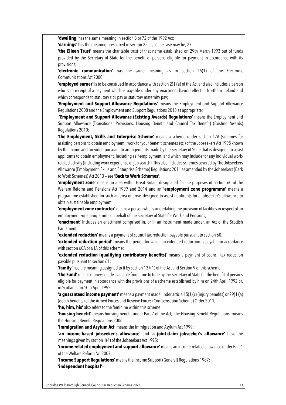**'dwelling'** has the same meaning in section 3 or 72 of the 1992 Act;

**'earnings'** has the meaning prescribed in section 25 or, as the case may be, 27;

**'the Eileen Trust'** means the charitable trust of that name established on 29th March 1993 out of funds provided by the Secretary of State for the benefit of persons eligible for payment in accordance with its provisions;

**'electronic communication'** has the same meaning as in section 15(1) of the Electronic Communications Act 2000;

**'employed earner'** is to be construed in accordance with section 2(1)(a) of the Act and also includes a person who is in receipt of a payment which is payable under any enactment having effect in Northern Ireland and which corresponds to statutory sick pay or statutory maternity pay;

**'Employment and Support Allowance Regulations'** means the Employment and Support Allowance Regulations 2008 and the Employment and Support Regulations 2013 as appropriate;

**'Employment and Support Allowance (Existing Awards) Regulations'** means the Employment and Support Allowance (Transitional Provisions, Housing Benefit and Council Tax Benefit) (Existing Awards) Regulations 2010;

**'the Employment, Skills and Enterprise Scheme'** means a scheme under section 17A (schemes for assisting persons to obtain employment; 'work for your benefit' schemes etc.) of the Jobseekers Act 1995 known by that name and provided pursuant to arrangements made by the Secretary of State that is designed to assist applicants to obtain employment, including self-employment, and which may include for any individual workrelated activity (including work experience or job search). This also includes schemes covered by The Jobseekers Allowance (Employment, Skills and Enterprise Scheme) Regulations 2011 as amended by the Jobseekers (Back to Work Schemes) Act 2013 – see **'Back to Work Schemes'**;

**'employment zone'** means an area within Great Britain designated for the purposes of section 60 of the Welfare Reform and Pensions Act 1999 and 2014 and an **'employment zone programme'** means a programme established for such an area or areas designed to assist applicants for a jobseeker's allowance to obtain sustainable employment;

**'employment zone contractor'** means a person who is undertaking the provision of facilities in respect of an employment zone programme on behalf of the Secretary of State for Work and Pensions;

**'enactment'** includes an enactment comprised in, or in an instrument made under, an Act of the Scottish Parliament;

**'extended reduction'** means a payment of council tax reduction payable pursuant to section 60;

**'extended reduction period'** means the period for which an extended reduction is payable in accordance with section 60A or 61A of this scheme;

**'extended reduction (qualifying contributory benefits)**' means a payment of council tax reduction payable pursuant to section 61;

**'family'** has the meaning assigned to it by section 137(1) of the Act and Section 9 of this scheme;

**'the Fund'** means moneys made available from time to time by the Secretary of State for the benefit of persons eligible for payment in accordance with the provisions of a scheme established by him on 24th April 1992 or, in Scotland, on 10th April 1992;

**'a guaranteed income payment'** means a payment made under article 15(1)(c) (injury benefits) or 29(1)(a) (death benefits) of the Armed Forces and Reserve Forces (Compensation Scheme) Order 2011;

**'he, him, his'** also refers to the feminine within this scheme

**'housing benefit'** means housing benefit under Part 7 of the Act; 'the Housing Benefit Regulations' means the Housing Benefit Regulations 2006;

**'Immigration and Asylum Act'** means the Immigration and Asylum Act 1999;

**'an income-based jobseeker's allowance'** and **'a joint-claim jobseeker's allowance'** have the meanings given by section 1(4) of the Jobseekers Act 1995;

**'income-related employment and support allowance'** means an income-related allowance under Part 1 of the Welfare Reform Act 2007;

**'Income Support Regulations'** means the Income Support (General) Regulations 1987; **'independent hospital'**–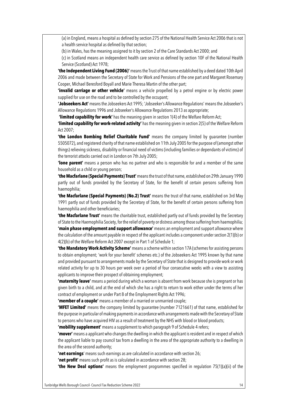(a) in England, means a hospital as defined by section 275 of the National Health Service Act 2006 that is not a health service hospital as defined by that section;

(b) in Wales, has the meaning assigned to it by section 2 of the Care Standards Act 2000; and

(c) in Scotland means an independent health care service as defined by section 10F of the National Health Service (Scotland) Act 1978;

**'the Independent Living Fund (2006)'** means the Trust of that name established by a deed dated 10th April 2006 and made between the Secretary of State for Work and Pensions of the one part and Margaret Rosemary Cooper, Michael Beresford Boyall and Marie Theresa Martin of the other part;

**'invalid carriage or other vehicle'** means a vehicle propelled by a petrol engine or by electric power supplied for use on the road and to be controlled by the occupant;

**'Jobseekers Act'** means the Jobseekers Act 1995; 'Jobseeker's Allowance Regulations' means the Jobseeker's Allowance Regulations 1996 and Jobseeker's Allowance Regulations 2013 as appropriate;

**'limited capability for work'** has the meaning given in section 1(4) of the Welfare Reform Act;

**'limited capability for work-related activity'** has the meaning given in section 2(5) of the Welfare Reform Act 2007;

**'the London Bombing Relief Charitable Fund'** means the company limited by guarantee (number 5505072), and registered charity of that name established on 11th July 2005 for the purpose of (amongst other things) relieving sickness, disability or financial need of victims (including families or dependants of victims) of the terrorist attacks carried out in London on 7th July 2005;

**'lone parent'** means a person who has no partner and who is responsible for and a member of the same household as a child or young person;

**'the Macfarlane (Special Payments) Trust'**means the trust of that name, established on 29th January 1990 partly out of funds provided by the Secretary of State, for the benefit of certain persons suffering from haemophilia;

**'the Macfarlane (Special Payments) (No.2) Trust'** means the trust of that name, established on 3rd May 1991 partly out of funds provided by the Secretary of State, for the benefit of certain persons suffering from haemophilia and other beneficiaries;

**'the Macfarlane Trust'** means the charitable trust, established partly out of funds provided by the Secretary of State to the Haemophilia Society, for the relief of poverty or distress among those suffering from haemophilia; **'main phase employment and support allowance'** means an employment and support allowance where the calculation of the amount payable in respect of the applicant includes a component under section 2(1)(b) or 4(2)(b) of the Welfare Reform Act 2007 except in Part 1 of Schedule 1;

**'the Mandatory Work Activity Scheme'** means a scheme within section 17A (schemes for assisting persons to obtain employment; 'work for your benefit' schemes etc.) of the Jobseekers Act 1995 known by that name and provided pursuant to arrangements made by the Secretary of State that is designed to provide work or work related activity for up to 30 hours per week over a period of four consecutive weeks with a view to assisting applicants to improve their prospect of obtaining employment;

**'maternity leave'** means a period during which a woman is absent from work because she is pregnant or has given birth to a child, and at the end of which she has a right to return to work either under the terms of her contract of employment or under Part 8 of the Employment Rights Act 1996;

**'member of a couple'** means a member of a married or unmarried couple;

**'MFET Limited'** means the company limited by guarantee (number 7121661) of that name, established for the purpose in particular of making payments in accordance with arrangements made with the Secretary of State to persons who have acquired HIV as a result of treatment by the NHS with blood or blood products;

**'mobility supplement'** means a supplement to which paragraph 9 of Schedule 4 refers;

**'mover'** means a applicant who changes the dwelling in which the applicant is resident and in respect of which the applicant liable to pay council tax from a dwelling in the area of the appropriate authority to a dwelling in the area of the second authority;

**'net earnings**' means such earnings as are calculated in accordance with section 26;

**'net profit'** means such profit as is calculated in accordance with section 28;

**'the New Deal options'** means the employment programmes specified in regulation 75(1)(a)(ii) of the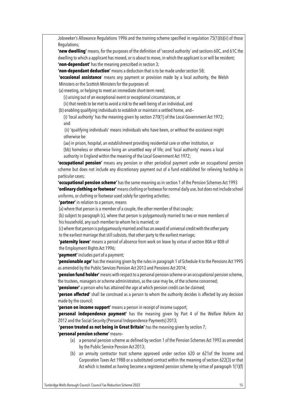Jobseeker's Allowance Regulations 1996 and the training scheme specified in regulation 75(1)(b)(ii) of those Regulations;

**'new dwelling'** means, for the purposes of the definition of 'second authority' and sections 60C, and 61C the dwelling to which a applicant has moved, or is about to move, in which the applicant is or will be resident; **'non-dependant'** has the meaning prescribed in section 3;

**'non-dependant deduction'** means a deduction that is to be made under section 58;

**'occasional assistance**' means any payment or provision made by a local authority, the Welsh Ministers or the Scottish Ministers for the purposes of:

(a) meeting, or helping to meet an immediate short-term need;

(i) arising out of an exceptional event or exceptional circumstances, or

(ii) that needs to be met to avoid a risk to the well-being of an individual, and

(b) enabling qualifying individuals to establish or maintain a settled home, and—

(i) 'local authority' has the meaning given by section 270(1) of the Local Government Act 1972; and

(ii) 'qualifying individuals' means individuals who have been, or without the assistance might otherwise be:

(aa) in prison, hospital, an establishment providing residential care or other institution, or

(bb) homeless or otherwise living an unsettled way of life; and 'local authority' means a local authority in England within the meaning of the Local Government Act 1972;

**'occupational pension'** means any pension or other periodical payment under an occupational pension scheme but does not include any discretionary payment out of a fund established for relieving hardship in particular cases;

**'occupational pension scheme'** has the same meaning as in section 1 of the Pension Schemes Act 1993 **'ordinary clothing or footwear'**means clothing or footwear for normal daily use, but does not include school uniforms, or clothing or footwear used solely for sporting activities;

**'partner'** in relation to a person, means

(a) where that person is a member of a couple, the other member of that couple;

(b) subject to paragraph (c), where that person is polygamously married to two or more members of his household, any such member to whom he is married; or

(c) where that person is polygamously married and has an award of universal credit with the other party to the earliest marriage that still subsists, that other party to the earliest marriage;

**'paternity leave'** means a period of absence from work on leave by virtue of section 80A or 80B of the Employment Rights Act 1996;

**'payment'** includes part of a payment;

**'pensionable age'** has the meaning given by the rules in paragraph 1 of Schedule 4 to the Pensions Act 1995 as amended by the Public Services Pension Act 2013 and Pensions Act 2014;

**'pension fund holder'** means with respect to a personal pension scheme or an occupational pension scheme, the trustees, managers or scheme administrators, as the case may be, of the scheme concerned;

**'pensioner'** a person who has attained the age at which pension credit can be claimed;

**'person affected'** shall be construed as a person to whom the authority decides is affected by any decision made by the council;

**'person on income support'** means a person in receipt of income support;

'**personal independence payment'** has the meaning given by Part 4 of the Welfare Reform Act 2012 and the Social Security (Personal Independence Payments) 2013;

**'person treated as not being in Great Britain'** has the meaning given by section 7; **'personal pension scheme'** means–

- (a) a personal pension scheme as defined by section 1 of the Pension Schemes Act 1993 as amended by the Public Service Pension Act 2013;
- (b) an annuity contractor trust scheme approved under section 620 or 621of the Income and Corporation Taxes Act 1988 or a substituted contract within the meaning of section 622(3) or that Act which is treated as having become a registered pension scheme by virtue of paragraph 1(1)(f)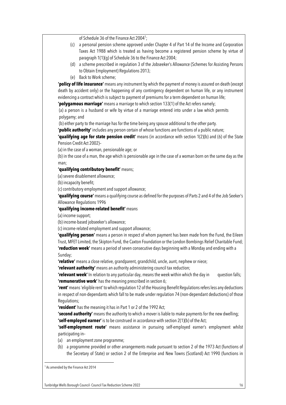of Schedule 36 of the Finance Act 20041 ;

- (c) a personal pension scheme approved under Chapter 4 of Part 14 of the Income and Corporation Taxes Act 1988 which is treated as having become a registered pension scheme by virtue of paragraph 1(1)(g) of Schedule 36 to the Finance Act 2004;
- (d) a scheme prescribed in regulation 3 of the Jobseeker's Allowance (Schemes for Assisting Persons to Obtain Employment) Regulations 2013;
- (e) Back to Work scheme;

**'policy of life insurance'** means any instrument by which the payment of money is assured on death (except death by accident only) or the happening of any contingency dependent on human life, or any instrument evidencing a contract which is subject to payment of premiums for a term dependent on human life;

**'polygamous marriage'** means a marriage to which section 133(1) of the Act refers namely;

(a) a person is a husband or wife by virtue of a marriage entered into under a law which permits polygamy; and

(b) either party to the marriage has for the time being any spouse additional to the other party.

**'public authority'** includes any person certain of whose functions are functions of a public nature;

**'qualifying age for state pension credit'** means (in accordance with section 1(2)(b) and (6) of the State Pension Credit Act 2002)–

(a) in the case of a woman, pensionable age; or

(b) in the case of a man, the age which is pensionable age in the case of a woman born on the same day as the man;

#### **'qualifying contributory benefit'** means;

(a) severe disablement allowance;

(b) incapacity benefit;

(c) contributory employment and support allowance;

**'qualifying course'** means a qualifying course as defined for the purposes of Parts 2 and 4 of the Job Seeker's Allowance Regulations 1996

#### **'qualifying income-related benefit'** means

(a) income support;

(b) income-based jobseeker's allowance;

(c) income-related employment and support allowance;

**'qualifying person'** means a person in respect of whom payment has been made from the Fund, the Eileen Trust, MFET Limited, the Skipton Fund, the Caxton Foundation or the London Bombings Relief Charitable Fund; **'reduction week'** means a period of seven consecutive days beginning with a Monday and ending with a Sunday;

**'relative'** means a close relative, grandparent, grandchild, uncle, aunt, nephew or niece;

**'relevant authority'** means an authority administering council tax reduction;

**'relevant week'** In relation to any particular day, means the week within which the day in question falls; **'remunerative work'** has the meaning prescribed in section 6;

**'rent'**means 'eligible rent' to which regulation 12 of the Housing Benefit Regulations refers less any deductions in respect of non-dependants which fall to be made under regulation 74 (non-dependant deductions) of those Regulations;

**'resident'** has the meaning it has in Part 1 or 2 of the 1992 Act;

**'second authority'** means the authority to which a mover is liable to make payments for the new dwelling; **'self-employed earner'** is to be construed in accordance with section 2(1)(b) of the Act;

**'self-employment route'** means assistance in pursuing self-employed earner's employment whilst participating in–

- (a) an employment zone programme;
- (b) a programme provided or other arrangements made pursuant to section 2 of the 1973 Act (functions of the Secretary of State) or section 2 of the Enterprise and New Towns (Scotland) Act 1990 (functions in

Tunbridge Wells Borough Council- Council Tax Reduction Scheme 2022 16

<sup>&</sup>lt;sup>1</sup> As amended by the Finance Act 2014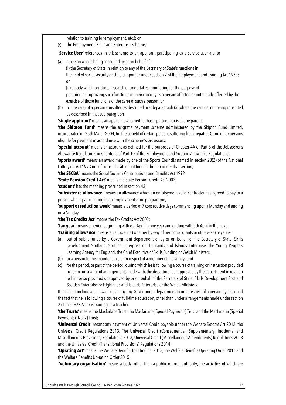relation to training for employment, etc.); or

(c) the Employment, Skills and Enterprise Scheme;

**'Service User'** references in this scheme to an applicant participating as a service user are to

(a) a person who is being consulted by or on behalf of—

(i) the Secretary of State in relation to any of the Secretary of State's functions in

the field of social security or child support or under section 2 of the Employment and Training Act 1973; or

(ii) a body which conducts research or undertakes monitoring for the purpose of

planning or improving such functions in their capacity as a person affected or potentially affected by the exercise of those functions or the carer of such a person; or

(b) b. the carer of a person consulted as described in sub-paragraph (a) where the carer is not being consulted as described in that sub-paragraph

'**single applicant'** means an applicant who neither has a partner nor is a lone parent;

**'the Skipton Fund'** means the ex-gratia payment scheme administered by the Skipton Fund Limited, incorporated on 25th March 2004, for the benefit of certain persons suffering from hepatitis C and other persons eligible for payment in accordance with the scheme's provisions.

**'special account'** means an account as defined for the purposes of Chapter 4A of Part 8 of the Jobseeker's Allowance Regulations or Chapter 5 of Part 10 of the Employment and Support Allowance Regulations;

**'sports award'** means an award made by one of the Sports Councils named in section 23(2) of the National Lottery etc Act 1993 out of sums allocated to it for distribution under that section;

**'the SSCBA'** means the Social Security Contributions and Benefits Act 1992

**'State Pension Credit Act'** means the State Pension Credit Act 2002;

**'student'** has the meaning prescribed in section 43;

**'subsistence allowance'** means an allowance which an employment zone contractor has agreed to pay to a person who is participating in an employment zone programme;

**'support or reduction week'** means a period of 7 consecutive days commencing upon a Monday and ending on a Sunday;

**'the Tax Credits Act'** means the Tax Credits Act 2002;

**'tax year'** means a period beginning with 6th April in one year and ending with 5th April in the next; **'training allowance'** means an allowance (whether by way of periodical grants or otherwise) payable–

(a) out of public funds by a Government department or by or on behalf of the Secretary of State, Skills Development Scotland, Scottish Enterprise or Highlands and Islands Enterprise, the Young People's Learning Agency for England, the Chief Executive of Skills Funding or Welsh Ministers;

(b) to a person for his maintenance or in respect of a member of his family; and

(c) for the period, or part of the period, during which he is following a course of training or instruction provided by, or in pursuance of arrangements made with, the department or approved by the department in relation to him or so provided or approved by or on behalf of the Secretary of State, Skills Development Scotland Scottish Enterprise or Highlands and Islands Enterprise or the Welsh Ministers.

It does not include an allowance paid by any Government department to or in respect of a person by reason of the fact that he is following a course of full-time education, other than under arrangements made under section 2 of the 1973 Actor is training as a teacher;

**'the Trusts'** means the Macfarlane Trust, the Macfarlane (Special Payments) Trust and the Macfarlane (Special Payments) (No. 2) Trust;

**'Universal Credit'** means any payment of Universal Credit payable under the Welfare Reform Act 2012, the Universal Credit Regulations 2013, The Universal Credit (Consequential, Supplementary, Incidental and Miscellaneous Provisions) Regulations 2013, Universal Credit (Miscellaneous Amendments) Regulations 2013 and the Universal Credit (Transitional Provisions) Regulations 2014;

**'Uprating Act'** means the Welfare Benefit Up-rating Act 2013, the Welfare Benefits Up-rating Order 2014 and the Welfare Benefits Up-rating Order 2015;

**'voluntary organisation'** means a body, other than a public or local authority, the activities of which are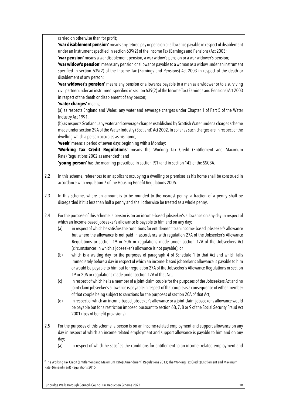carried on otherwise than for profit;

**'war disablement pension'** means any retired pay or pension or allowance payable in respect of disablement under an instrument specified in section 639(2) of the Income Tax (Earnings and Pensions) Act 2003;

'**war pension'** means a war disablement pension, a war widow's pension or a war widower's pension; **'war widow's pension'** means any pension or allowance payable to a woman as a widow under an instrument specified in section 639(2) of the Income Tax (Earnings and Pensions) Act 2003 in respect of the death or disablement of any person;

**'war widower's pension'** means any pension or allowance payable to a man as a widower or to a surviving civil partner under an instrument specified in section 639(2) of the Income Tax (Earnings and Pensions) Act 2003 in respect of the death or disablement of any person;

#### **'water charges'** means;

(a) as respects England and Wales, any water and sewerage charges under Chapter 1 of Part 5 of the Water Industry Act 1991,

(b) as respects Scotland, any water and sewerage charges established by Scottish Water under a charges scheme made under section 29A of the Water Industry (Scotland) Act 2002, in so far as such charges are in respect of the dwelling which a person occupies as his home;

**'week'** means a period of seven days beginning with a Monday;

**'Working Tax Credit Regulations'** means the Working Tax Credit (Entitlement and Maximum Rate) Regulations 2002 as amended<sup>2</sup>; and

**'young person'** has the meaning prescribed in section 9(1) and in section 142 of the SSCBA.

- 2.2 In this scheme, references to an applicant occupying a dwelling or premises as his home shall be construed in accordance with regulation 7 of the Housing Benefit Regulations 2006.
- 2.3 In this scheme, where an amount is to be rounded to the nearest penny, a fraction of a penny shall be disregarded if it is less than half a penny and shall otherwise be treated as a whole penny.
- 2.4 For the purpose of this scheme, a person is on an income-based jobseeker's allowance on any day in respect of which an income-based jobseeker's allowance is payable to him and on any day;
	- (a) in respect of which he satisfies the conditions for entitlement to an income- based jobseeker's allowance but where the allowance is not paid in accordance with regulation 27A of the Jobseeker's Allowance Regulations or section 19 or 20A or regulations made under section 17A of the Jobseekers Act (circumstances in which a jobseeker's allowance is not payable); or
	- (b) which is a waiting day for the purposes of paragraph 4 of Schedule 1 to that Act and which falls immediately before a day in respect of which an income- based jobseeker's allowance is payable to him or would be payable to him but for regulation 27A of the Jobseeker's Allowance Regulations orsection 19 or 20A or regulations made under section 17A of that Act;
	- (c) in respect of which he is a member of a joint-claim couple for the purposes of the Jobseekers Act and no joint-claim jobseeker's allowance is payable in respect of that couple as a consequence of either member of that couple being subject to sanctions for the purposes of section 20A of that Act;
	- (d) in respect of which an income-based jobseeker's allowance or a joint-claim jobseeker's allowance would be payable but for a restriction imposed pursuant to section 6B, 7, 8 or 9 of the Social Security Fraud Act 2001 (loss of benefit provisions).
- 2.5 For the purposes of this scheme, a person is on an income-related employment and support allowance on any day in respect of which an income-related employment and support allowance is payable to him and on any day;
	- (a) in respect of which he satisfies the conditions for entitlement to an income- related employment and

<sup>&</sup>lt;sup>2</sup> The Working Tax Credit (Entitlement and Maximum Rate) (Amendment) Regulations 2013; The Working Tax Credit (Entitlement and Maximum Rate) (Amendment) Regulations 2015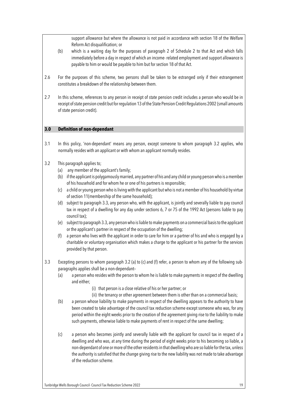support allowance but where the allowance is not paid in accordance with section 18 of the Welfare Reform Act disqualification; or

- (b) which is a waiting day for the purposes of paragraph 2 of Schedule 2 to that Act and which falls immediately before a day in respect of which an income- related employment and support allowance is payable to him or would be payable to him but for section 18 of that Act.
- 2.6 For the purposes of this scheme, two persons shall be taken to be estranged only if their estrangement constitutes a breakdown of the relationship between them.
- 2.7 In this scheme, references to any person in receipt of state pension credit includes a person who would be in receipt of state pension credit but for regulation 13 of the State Pension Credit Regulations 2002 (small amounts of state pension credit).

#### **3.0 Definition of non-dependant**

- 3.1 In this policy, 'non-dependant' means any person, except someone to whom paragraph 3.2 applies, who normally resides with an applicant or with whom an applicant normally resides.
- 3.2 This paragraph applies to;
	- (a) any member of the applicant's family;
	- (b) if the applicant is polygamously married, any partner of his and any child or young person who is a member of his household and for whom he or one of his partners is responsible;
	- (c) a child or young person who is living with the applicant but who is not a member of his household by virtue of section 11(membership of the same household);
	- (d) subject to paragraph 3.3, any person who, with the applicant, is jointly and severally liable to pay council tax in respect of a dwelling for any day under sections 6, 7 or 75 of the 1992 Act (persons liable to pay council tax);
	- (e) subject to paragraph 3.3, any person who is liable to make payments on a commercial basis to the applicant or the applicant's partner in respect of the occupation of the dwelling;
	- (f) a person who lives with the applicant in order to care for him or a partner of his and who is engaged by a charitable or voluntary organisation which makes a charge to the applicant or his partner for the services provided by that person.
- 3.3 Excepting persons to whom paragraph 3.2 (a) to (c) and (f) refer, a person to whom any of the following subparagraphs applies shall be a non-dependant–
	- (a) a person who resides with the person to whom he is liable to make payments in respect of the dwelling and either;
		- (i) that person is a close relative of his or her partner; or
		- (ii) the tenancy or other agreement between them is other than on a commercial basis;
	- (b) a person whose liability to make payments in respect of the dwelling appears to the authority to have been created to take advantage of the council tax reduction scheme except someone who was, for any period within the eight weeks prior to the creation of the agreement giving rise to the liability to make such payments, otherwise liable to make payments of rent in respect of the same dwelling;
	- (c) a person who becomes jointly and severally liable with the applicant for council tax in respect of a dwelling and who was, at any time during the period of eight weeks prior to his becoming so liable, a non-dependant of one or more of the other residents in that dwelling who are so liable for the tax, unless the authority is satisfied that the change giving rise to the new liability was not made to take advantage of the reduction scheme.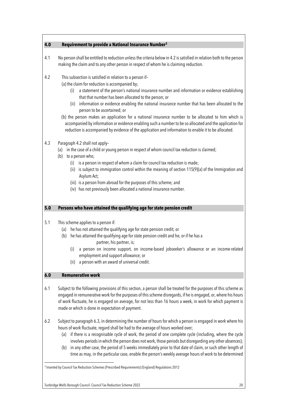| 4.0 | Requirement to provide a National Insurance Number <sup>3</sup>                                                                                                                                                                                                                                                                                                                                                                                                                                                                                                                                                                                                                                                                                |
|-----|------------------------------------------------------------------------------------------------------------------------------------------------------------------------------------------------------------------------------------------------------------------------------------------------------------------------------------------------------------------------------------------------------------------------------------------------------------------------------------------------------------------------------------------------------------------------------------------------------------------------------------------------------------------------------------------------------------------------------------------------|
| 4.1 | No person shall be entitled to reduction unless the criteria below in 4.2 is satisfied in relation both to the person<br>making the claim and to any other person in respect of whom he is claiming reduction.                                                                                                                                                                                                                                                                                                                                                                                                                                                                                                                                 |
| 4.2 | This subsection is satisfied in relation to a person if-<br>(a) the claim for reduction is accompanied by;<br>a statement of the person's national insurance number and information or evidence establishing<br>(i)<br>that that number has been allocated to the person; or<br>(ii) information or evidence enabling the national insurance number that has been allocated to the<br>person to be ascertained; or<br>(b) the person makes an application for a national insurance number to be allocated to him which is<br>accompanied by information or evidence enabling such a number to be so allocated and the application for<br>reduction is accompanied by evidence of the application and information to enable it to be allocated. |
| 4.3 | Paragraph 4.2 shall not apply-<br>in the case of a child or young person in respect of whom council tax reduction is claimed;<br>(a)<br>to a person who;<br>(b)<br>is a person in respect of whom a claim for council tax reduction is made;<br>(i)<br>(ii) is subject to immigration control within the meaning of section 115(9)(a) of the Immigration and<br>Asylum Act;<br>(iii) is a person from abroad for the purposes of this scheme; and<br>(iv) has not previously been allocated a national insurance number.                                                                                                                                                                                                                       |
| 5.0 | Persons who have attained the qualifying age for state pension credit                                                                                                                                                                                                                                                                                                                                                                                                                                                                                                                                                                                                                                                                          |
| 5.1 | This scheme applies to a person if:<br>he has not attained the qualifying age for state pension credit; or<br>(a)<br>he has attained the qualifying age for state pension credit and he, or if he has a<br>(b)<br>partner, his partner, is;<br>a person on income support, on income-based jobseeker's allowance or an income-related<br>(i)<br>employment and support allowance; or<br>a person with an award of universal credit.<br>(ii)                                                                                                                                                                                                                                                                                                    |
| 6.0 | <b>Remunerative work</b>                                                                                                                                                                                                                                                                                                                                                                                                                                                                                                                                                                                                                                                                                                                       |
| 6.1 | Subject to the following provisions of this section, a person shall be treated for the purposes of this scheme as<br>engaged in remunerative work for the purposes of this scheme disregards, if he is engaged, or, where his hours<br>of work fluctuate, he is engaged on average, for not less than 16 hours a week, in work for which payment is<br>made or which is done in expectation of payment.                                                                                                                                                                                                                                                                                                                                        |
| 6.2 | Subject to paragraph 6.3, in determining the number of hours for which a person is engaged in work where his<br>hours of work fluctuate, regard shall be had to the average of hours worked over;<br>if there is a recognisable cycle of work, the period of one complete cycle (including, where the cycle<br>(a)<br>involves periods in which the person does not work, those periods but disregarding any other absences);<br>in any other case, the period of 5 weeks immediately prior to that date of claim, or such other length of<br>(b)<br>time as may, in the particular case, enable the person's weekly average hours of work to be determined                                                                                    |

 $^3$  Inserted by Council Tax Reduction Schemes (Prescribed Requirements) (England) Regulations 2012

Tunbridge Wells Borough Council- Council Tax Reduction Scheme 2022 20 20

 $\sqrt{ }$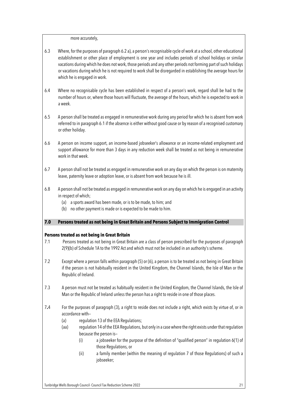more accurately,

- 6.3 Where, for the purposes of paragraph 6.2 a), a person's recognisable cycle of work at a school, other educational establishment or other place of employment is one year and includes periods of school holidays or similar vacations during which he does not work, those periods and any other periods not forming part of such holidays or vacations during which he is not required to work shall be disregarded in establishing the average hours for which he is engaged in work.
- 6.4 Where no recognisable cycle has been established in respect of a person's work, regard shall be had to the number of hours or, where those hours will fluctuate, the average of the hours, which he is expected to work in a week.
- 6.5 A person shall be treated as engaged in remunerative work during any period for which he is absent from work referred to in paragraph 6.1 if the absence is either without good cause or by reason of a recognised customary or other holiday.
- 6.6 A person on income support, an income-based jobseeker's allowance or an income-related employment and support allowance for more than 3 days in any reduction week shall be treated as not being in remunerative work in that week.
- 6.7 A person shall not be treated as engaged in remunerative work on any day on which the person is on maternity leave, paternity leave or adoption leave, or is absent from work because he is ill.
- 6.8 A person shall not be treated as engaged in remunerative work on any day on which he is engaged in an activity in respect of which;
	- (a) a sports award has been made, or is to be made, to him; and
	- (b) no other payment is made or is expected to be made to him.

#### **7.0 Persons treated as not being in Great Britain and Persons Subject to Immigration Control**

#### **Persons treated as not being in Great Britain**

- 7.1 Persons treated as not being in Great Britain are a class of person prescribed for the purposes of paragraph 2(9)(b) of Schedule 1A to the 1992 Act and which must not be included in an authority's scheme.
- 7.2 Except where a person falls within paragraph (5) or (6), a person is to be treated as not being in Great Britain if the person is not habitually resident in the United Kingdom, the Channel Islands, the Isle of Man or the Republic of Ireland.
- 7.3 A person must not be treated as habitually resident in the United Kingdom, the Channel Islands, the Isle of Man or the Republic of Ireland unless the person has a right to reside in one of those places.
- 7**.**4 For the purposes of paragraph (3), a right to reside does not include a right, which exists by virtue of, or in accordance with—
	- (a) regulation 13 of the EEA Regulations;
	- (aa) regulation 14 of the EEA Regulations, but only in a case where the right exists under that regulation because the person is—
		- (i) a jobseeker for the purpose of the definition of "qualified person" in regulation 6(1) of those Regulations, or
		- (ii) a family member (within the meaning of regulation 7 of those Regulations) of such a jobseeker;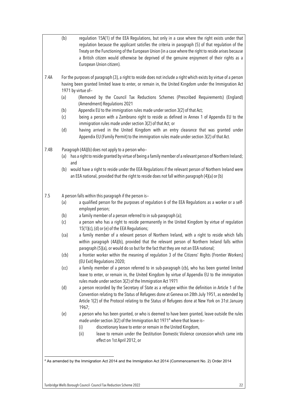|            | regulation 15A(1) of the EEA Regulations, but only in a case where the right exists under that<br>regulation because the applicant satisfies the criteria in paragraph (5) of that regulation of the<br>Treaty on the Functioning of the European Union (in a case where the right to reside arises because<br>a British citizen would otherwise be deprived of the genuine enjoyment of their rights as a<br>European Union citizen). |
|------------|----------------------------------------------------------------------------------------------------------------------------------------------------------------------------------------------------------------------------------------------------------------------------------------------------------------------------------------------------------------------------------------------------------------------------------------|
| 7.4A       | For the purposes of paragraph (3), a right to reside does not include a right which exists by virtue of a person<br>having been granted limited leave to enter, or remain in, the United Kingdom under the Immigration Act<br>1971 by virtue of-                                                                                                                                                                                       |
| (a)        | (Removed by the Council Tax Reductions Schemes (Prescribed Requirements) (England)<br>(Amendment) Regulations 2021                                                                                                                                                                                                                                                                                                                     |
| (b)        | Appendix EU to the immigration rules made under section 3(2) of that Act;                                                                                                                                                                                                                                                                                                                                                              |
| (c)        | being a person with a Zambrano right to reside as defined in Annex 1 of Appendix EU to the<br>immigration rules made under section 3(2) of that Act; or                                                                                                                                                                                                                                                                                |
| (d)        | having arrived in the United Kingdom with an entry clearance that was granted under<br>Appendix EU (Family Permit) to the immigration rules made under section 3(2) of that Act.                                                                                                                                                                                                                                                       |
| 7.4B       | Paragraph (4A)(b) does not apply to a person who-                                                                                                                                                                                                                                                                                                                                                                                      |
| (a)<br>and | has a right to reside granted by virtue of being a family member of a relevant person of Northern Ireland;                                                                                                                                                                                                                                                                                                                             |
| (b)        | would have a right to reside under the EEA Regulations if the relevant person of Northern Ireland were<br>an EEA national, provided that the right to reside does not fall within paragraph (4)(a) or (b)                                                                                                                                                                                                                              |
| 7.5        | A person falls within this paragraph if the person is-                                                                                                                                                                                                                                                                                                                                                                                 |
| (a)        | a qualified person for the purposes of regulation 6 of the EEA Regulations as a worker or a self-<br>employed person;                                                                                                                                                                                                                                                                                                                  |
| (b)        | a family member of a person referred to in sub-paragraph (a);                                                                                                                                                                                                                                                                                                                                                                          |
| (c)        | a person who has a right to reside permanently in the United Kingdom by virtue of regulation<br>15(1)(c), (d) or (e) of the EEA Regulations;                                                                                                                                                                                                                                                                                           |
| (ca)       | a family member of a relevant person of Northern Ireland, with a right to reside which falls<br>within paragraph (4A)(b), provided that the relevant person of Northern Ireland falls within<br>paragraph (5)(a), or would do so but for the fact that they are not an EEA national;                                                                                                                                                   |
| (cb)       | a frontier worker within the meaning of regulation 3 of the Citizens' Rights (Frontier Workers)<br>(EU Exit) Regulations 2020;                                                                                                                                                                                                                                                                                                         |
| (cc)       | a family member of a person referred to in sub-paragraph (cb), who has been granted limited<br>leave to enter, or remain in, the United Kingdom by virtue of Appendix EU to the immigration<br>rules made under section 3(2) of the Immigration Act 1971                                                                                                                                                                               |
| (d)        | a person recorded by the Secretary of State as a refugee within the definition in Article 1 of the<br>Convention relating to the Status of Refugees done at Geneva on 28th July 1951, as extended by<br>Article 1(2) of the Protocol relating to the Status of Refugees done at New York on 31st January<br>1967;                                                                                                                      |
| (e)        | a person who has been granted, or who is deemed to have been granted, leave outside the rules<br>made under section 3(2) of the Immigration Act 1971 <sup>4</sup> where that leave is-                                                                                                                                                                                                                                                 |
|            | discretionary leave to enter or remain in the United Kingdom,<br>(i)                                                                                                                                                                                                                                                                                                                                                                   |
|            | leave to remain under the Destitution Domestic Violence concession which came into<br>(ii)<br>effect on 1st April 2012, or                                                                                                                                                                                                                                                                                                             |
|            |                                                                                                                                                                                                                                                                                                                                                                                                                                        |
|            |                                                                                                                                                                                                                                                                                                                                                                                                                                        |

Tunbridge Wells Borough Council- Council Tax Reduction Scheme 2022 22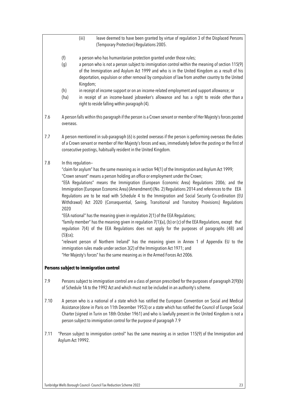|      | (iii)                                   | leave deemed to have been granted by virtue of regulation 3 of the Displaced Persons<br>(Temporary Protection) Regulations 2005.                                                                                                                                                                                                                                                                                                                                                                                                                                                                                                                                                                                                                                                                                                                                                                                                                                                                                                                                                                                                                                        |
|------|-----------------------------------------|-------------------------------------------------------------------------------------------------------------------------------------------------------------------------------------------------------------------------------------------------------------------------------------------------------------------------------------------------------------------------------------------------------------------------------------------------------------------------------------------------------------------------------------------------------------------------------------------------------------------------------------------------------------------------------------------------------------------------------------------------------------------------------------------------------------------------------------------------------------------------------------------------------------------------------------------------------------------------------------------------------------------------------------------------------------------------------------------------------------------------------------------------------------------------|
|      | (f)<br>(g)<br>(h)<br>(ha)               | a person who has humanitarian protection granted under those rules;<br>a person who is not a person subject to immigration control within the meaning of section 115(9)<br>of the Immigration and Asylum Act 1999 and who is in the United Kingdom as a result of his<br>deportation, expulsion or other removal by compulsion of law from another country to the United<br>Kingdom;<br>in receipt of income support or on an income-related employment and support allowance; or<br>in receipt of an income-based jobseeker's allowance and has a right to reside other than a<br>right to reside falling within paragraph (4).                                                                                                                                                                                                                                                                                                                                                                                                                                                                                                                                        |
| 7.6  | overseas.                               | A person falls within this paragraph if the person is a Crown servant or member of Her Majesty's forces posted                                                                                                                                                                                                                                                                                                                                                                                                                                                                                                                                                                                                                                                                                                                                                                                                                                                                                                                                                                                                                                                          |
| 7.7  |                                         | A person mentioned in sub-paragraph (6) is posted overseas if the person is performing overseas the duties<br>of a Crown servant or member of Her Majesty's forces and was, immediately before the posting or the first of<br>consecutive postings, habitually resident in the United Kingdom.                                                                                                                                                                                                                                                                                                                                                                                                                                                                                                                                                                                                                                                                                                                                                                                                                                                                          |
| 7.8  | In this regulation-<br>2020<br>(5)(ca); | "claim for asylum" has the same meaning as in section 94(1) of the Immigration and Asylum Act 1999;<br>"Crown servant" means a person holding an office or employment under the Crown;<br>"EEA Regulations" means the Immigration (European Economic Area) Regulations 2006; and the<br>Immigration (European Economic Area) (Amendment) (No. 2) Regulations 2014 and references to the EEA<br>Regulations are to be read with Schedule 4 to the Immigration and Social Security Co-ordination (EU<br>Withdrawal) Act 2020 (Consequential, Saving, Transitional and Transitory Provisions) Regulations<br>"EEA national" has the meaning given in regulation 2(1) of the EEA Regulations;<br>"family member" has the meaning given in regulation 7(1)(a), (b) or (c) of the EEA Regulations, except that<br>regulation 7(4) of the EEA Regulations does not apply for the purposes of paragraphs (4B) and<br>"relevant person of Northern Ireland" has the meaning given in Annex 1 of Appendix EU to the<br>immigration rules made under section 3(2) of the Immigration Act 1971; and<br>"Her Majesty's forces" has the same meaning as in the Armed Forces Act 2006. |
|      |                                         | Persons subject to immigration control                                                                                                                                                                                                                                                                                                                                                                                                                                                                                                                                                                                                                                                                                                                                                                                                                                                                                                                                                                                                                                                                                                                                  |
| 7.9  |                                         | Persons subject to immigration control are a class of person prescribed for the purposes of paragraph 2(9)(b)<br>of Schedule 1A to the 1992 Act and which must not be included in an authority's scheme.                                                                                                                                                                                                                                                                                                                                                                                                                                                                                                                                                                                                                                                                                                                                                                                                                                                                                                                                                                |
| 7.10 |                                         | A person who is a national of a state which has ratified the European Convention on Social and Medical<br>Assistance (done in Paris on 11th December 1953) or a state which has ratified the Council of Europe Social<br>Charter (signed in Turin on 18th October 1961) and who is lawfully present in the United Kingdom is not a<br>person subject to immigration control for the purpose of paragraph 7.9                                                                                                                                                                                                                                                                                                                                                                                                                                                                                                                                                                                                                                                                                                                                                            |
| 7.11 | Asylum Act 19992.                       | "Person subject to immigration control" has the same meaning as in section 115(9) of the Immigration and                                                                                                                                                                                                                                                                                                                                                                                                                                                                                                                                                                                                                                                                                                                                                                                                                                                                                                                                                                                                                                                                |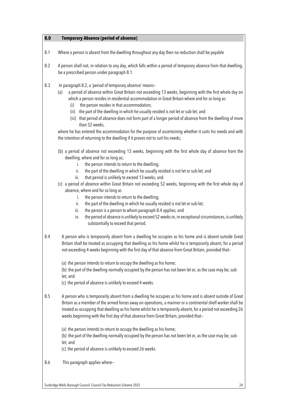#### **8.0 Temporary Absence (period of absence)**

- 8.1 Where a person is absent from the dwelling throughout any day then no reduction shall be payable
- 8.2 A person shall not, in relation to any day, which falls within a period of temporary absence from that dwelling, be a prescribed person under paragraph 8.1.
- 8.3 In paragraph 8.2, a 'period of temporary absence' means–
	- (a) a period of absence within Great Britain not exceeding 13 weeks, beginning with the first whole day on which a person resides in residential accommodation in Great Britain where and for so long as:
		- (i) the person resides in that accommodation;
		- (ii) the part of the dwelling in which he usually resided is not let or sub-let; and
		- (iii) that period of absence does not form part of a longer period of absence from the dwelling of more than 52 weeks,

where he has entered the accommodation for the purpose of ascertaining whether it suits his needs and with the intention of returning to the dwelling if it proves not to suit his needs;

- (b) a period of absence not exceeding 13 weeks, beginning with the first whole day of absence from the dwelling, where and for so long as;
	- i. the person intends to return to the dwelling;
	- ii. the part of the dwelling in which he usually resided is not let or sub-let; and
	- iii. that period is unlikely to exceed 13 weeks; and
- (c) a period of absence within Great Britain not exceeding 52 weeks, beginning with the first whole day of absence, where and for so long as
	- i. the person intends to return to the dwelling;
	- ii. the part of the dwelling in which he usually resided is not let or sub-let;
	- iii. the person is a person to whom paragraph 8.4 applies; and
	- iv. the period of absence is unlikely to exceed 52 weeks or, in exceptional circumstances, is unlikely substantially to exceed that period.
- 8.4 A person who is temporarily absent from a dwelling he occupies as his home and is absent outside Great Britain shall be treated as occupying that dwelling as his home whilst he is temporarily absent, for a period not exceeding 4 weeks beginning with the first day of that absence from Great Britain, provided that—
	- (a) the person intends to return to occupy the dwelling as his home;

(b) the part of the dwelling normally occupied by the person has not been let or, as the case may be, sublet; and

- (c) the period of absence is unlikely to exceed 4 weeks.
- 8.5 A person who is temporarily absent from a dwelling he occupies as his home and is absent outside of Great Britain as a member of the armed forces away on operations, a mariner or a continental shelf worker shall be treated as occupying that dwelling as his home whilst he is temporarily absent, for a period not exceeding 26 weeks beginning with the first day of that absence from Great Britain, provided that—
	- (a) the person intends to return to occupy the dwelling as his home;
	- (b) the part of the dwelling normally occupied by the person has not been let or, as the case may be, sublet; and
	- (c) the period of absence is unlikely to exceed 26 weeks.
- 8.6 This paragraph applies where—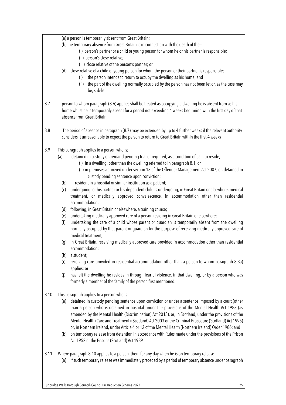(a) a person is temporarily absent from Great Britain; (b) the temporary absence from Great Britain is in connection with the death of the— (i) person's partner or a child or young person for whom he or his partner is responsible; (ii) person's close relative; (iii) close relative of the person's partner; or (d) close relative of a child or young person for whom the person or their partner is responsible; (i) the person intends to return to occupy the dwelling as his home; and (ii) the part of the dwelling normally occupied by the person has not been let or, as the case may be, sub-let. 8.7 person to whom paragraph (8.6) applies shall be treated as occupying a dwelling he is absent from as his home whilst he is temporarily absent for a period not exceeding 4 weeks beginning with the first day of that absence from Great Britain. 8.8 The period of absence in paragraph (8.7) may be extended by up to 4 further weeks if the relevant authority considers it unreasonable to expect the person to return to Great Britain within the first 4 weeks 8.9 This paragraph applies to a person who is; (a) detained in custody on remand pending trial or required, as a condition of bail, to reside; (i) in a dwelling, other than the dwelling referred to in paragraph 8.1, or (ii) in premises approved under section 13 of the Offender Management Act 2007, or, detained in custody pending sentence upon conviction; (b) resident in a hospital or similar institution as a patient; (c) undergoing, or his partner or his dependent child is undergoing, in Great Britain or elsewhere, medical treatment, or medically approved convalescence, in accommodation other than residential accommodation; (d) following, in Great Britain or elsewhere, a training course; (e) undertaking medically approved care of a person residing in Great Britain or elsewhere; (f) undertaking the care of a child whose parent or guardian is temporarily absent from the dwelling normally occupied by that parent or guardian for the purpose of receiving medically approved care of medical treatment; (g) in Great Britain, receiving medically approved care provided in accommodation other than residential accommodation; (h) a student; (i) receiving care provided in residential accommodation other than a person to whom paragraph 8.3a) applies; or (j) has left the dwelling he resides in through fear of violence, in that dwelling, or by a person who was formerly a member of the family of the person first mentioned. 8.10 This paragraph applies to a person who is: (a) detained in custody pending sentence upon conviction or under a sentence imposed by a court (other than a person who is detained in hospital under the provisions of the Mental Health Act 1983 (as amended by the Mental Health (Discrimination) Act 2013), or, in Scotland, under the provisions of the Mental Health (Care and Treatment) (Scotland) Act 2003 or the Criminal Procedure (Scotland) Act 1995) or, in Northern Ireland, under Article 4 or 12 of the Mental Health (Northern Ireland) Order 1986; and (b) on temporary release from detention in accordance with Rules made under the provisions of the Prison Act 1952 or the Prisons (Scotland) Act 1989 8.11 Where paragraph 8.10 applies to a person, then, for any day when he is on temporary release-(a) if such temporary release was immediately preceded by a period of temporary absence under paragraph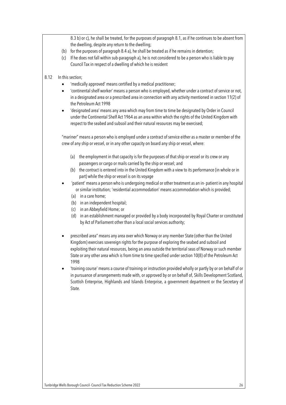8.3 b) or c), he shall be treated, for the purposes of paragraph 8.1, as if he continues to be absent from the dwelling, despite any return to the dwelling;

- (b) for the purposes of paragraph 8.4 a), he shall be treated as if he remains in detention;
- (c) If he does not fall within sub-paragraph a), he is not considered to be a person who is liable to pay Council Tax in respect of a dwelling of which he is resident

#### 8.12 In this section;

- 'medically approved' means certified by a medical practitioner;
- 'continental shelf worker' means a person who is employed, whether under a contract of service or not, in a designated area or a prescribed area in connection with any activity mentioned in section 11(2) of the Petroleum Act 1998

• 'designated area' means any area which may from time to time be designated by Order in Council under the Continental Shelf Act 1964 as an area within which the rights of the United Kingdom with respect to the seabed and subsoil and their natural resources may be exercised;

"mariner" means a person who is employed under a contract of service either as a master or member of the crew of any ship or vessel, or in any other capacity on board any ship or vessel, where:

- (a) the employment in that capacity is for the purposes of that ship or vessel or its crew or any passengers or cargo or mails carried by the ship or vessel; and
- (b) the contract is entered into in the United Kingdom with a view to its performance (in whole or in part) while the ship or vessel is on its voyage
- 'patient' means a person who is undergoing medical or other treatment as an in- patient in any hospital or similar institution; 'residential accommodation' means accommodation which is provided;
	- (a) in a care home;
	- (b) in an independent hospital;
	- (c) in an Abbeyfield Home; or
	- (d) in an establishment managed or provided by a body incorporated by Royal Charter or constituted by Act of Parliament other than a local social services authority;
- prescribed area" means any area over which Norway or any member State (other than the United Kingdom) exercises sovereign rights for the purpose of exploring the seabed and subsoil and exploiting their natural resources, being an area outside the territorial seas of Norway or such member State or any other area which is from time to time specified under section 10(8) of the Petroleum Act 1998
- 'training course' means a course of training or instruction provided wholly or partly by or on behalf of or in pursuance of arrangements made with, or approved by or on behalf of, Skills Development Scotland, Scottish Enterprise, Highlands and Islands Enterprise, a government department or the Secretary of State.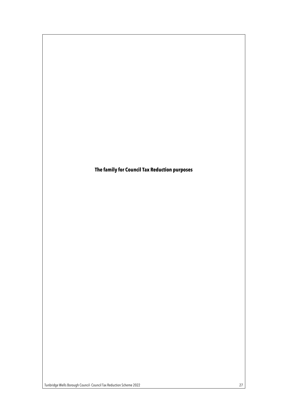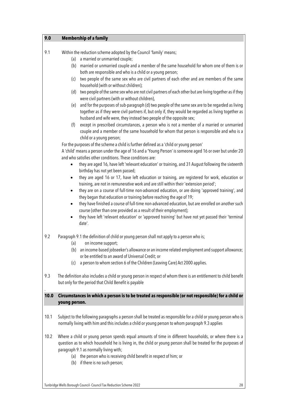| 9.0  | <b>Membership of a family</b> |                                                                                                                                          |    |  |
|------|-------------------------------|------------------------------------------------------------------------------------------------------------------------------------------|----|--|
|      |                               |                                                                                                                                          |    |  |
| 9.1  |                               | Within the reduction scheme adopted by the Council 'family' means;                                                                       |    |  |
|      | (a)                           | a married or unmarried couple;                                                                                                           |    |  |
|      |                               | (b) married or unmarried couple and a member of the same household for whom one of them is or                                            |    |  |
|      |                               | both are responsible and who is a child or a young person;                                                                               |    |  |
|      | (c)                           | two people of the same sex who are civil partners of each other and are members of the same                                              |    |  |
|      |                               | household (with or without children);                                                                                                    |    |  |
|      |                               | (d) two people of the same sex who are not civil partners of each other but are living together as if they                               |    |  |
|      |                               | were civil partners (with or without children),                                                                                          |    |  |
|      | (e)                           | and for the purposes of sub-paragraph (d) two people of the same sex are to be regarded as living                                        |    |  |
|      |                               | together as if they were civil partners if, but only if, they would be regarded as living together as                                    |    |  |
|      |                               | husband and wife were, they instead two people of the opposite sex;                                                                      |    |  |
|      | (f)                           | except in prescribed circumstances, a person who is not a member of a married or unmarried                                               |    |  |
|      |                               | couple and a member of the same household for whom that person is responsible and who is a                                               |    |  |
|      |                               | child or a young person;                                                                                                                 |    |  |
|      |                               | For the purposes of the scheme a child is further defined as a 'child or young person'                                                   |    |  |
|      |                               | A 'child' means a person under the age of 16 and a 'Young Person' is someone aged 16 or over but under 20                                |    |  |
|      |                               | and who satisfies other conditions. These conditions are:                                                                                |    |  |
|      |                               | they are aged 16, have left 'relevant education' or training, and 31 August following the sixteenth<br>birthday has not yet been passed; |    |  |
|      | $\bullet$                     | they are aged 16 or 17, have left education or training, are registered for work, education or                                           |    |  |
|      |                               | training, are not in remunerative work and are still within their 'extension period';                                                    |    |  |
|      | $\bullet$                     | they are on a course of full-time non-advanced education, or are doing 'approved training', and                                          |    |  |
|      |                               | they began that education or training before reaching the age of 19;                                                                     |    |  |
|      | $\bullet$                     | they have finished a course of full-time non-advanced education, but are enrolled on another such                                        |    |  |
|      |                               | course (other than one provided as a result of their employment);                                                                        |    |  |
|      | $\bullet$                     | they have left 'relevant education' or 'approved training' but have not yet passed their 'terminal                                       |    |  |
|      |                               | date'.                                                                                                                                   |    |  |
| 9.2  |                               |                                                                                                                                          |    |  |
|      | (a)                           | Paragraph 9.1 the definition of child or young person shall not apply to a person who is;<br>on income support;                          |    |  |
|      |                               | (b) an income-based jobseeker's allowance or an income related employment and support allowance;                                         |    |  |
|      |                               | or be entitled to an award of Universal Credit; or                                                                                       |    |  |
|      | (c)                           | a person to whom section 6 of the Children (Leaving Care) Act 2000 applies.                                                              |    |  |
|      |                               |                                                                                                                                          |    |  |
| 9.3  |                               | The definition also includes a child or young person in respect of whom there is an entitlement to child benefit                         |    |  |
|      |                               | but only for the period that Child Benefit is payable                                                                                    |    |  |
|      |                               |                                                                                                                                          |    |  |
| 10.0 |                               | Circumstances in which a person is to be treated as responsible (or not responsible) for a child or                                      |    |  |
|      | young person.                 |                                                                                                                                          |    |  |
|      |                               |                                                                                                                                          |    |  |
| 10.1 |                               | Subject to the following paragraphs a person shall be treated as responsible for a child or young person who is                          |    |  |
|      |                               | normally living with him and this includes a child or young person to whom paragraph 9.3 applies                                         |    |  |
|      |                               |                                                                                                                                          |    |  |
| 10.2 |                               | Where a child or young person spends equal amounts of time in different households, or where there is a                                  |    |  |
|      |                               | question as to which household he is living in, the child or young person shall be treated for the purposes of                           |    |  |
|      |                               | paragraph 9.1 as normally living with;                                                                                                   |    |  |
|      |                               | (a) the person who is receiving child benefit in respect of him; or                                                                      |    |  |
|      |                               | (b) if there is no such person;                                                                                                          |    |  |
|      |                               |                                                                                                                                          |    |  |
|      |                               |                                                                                                                                          |    |  |
|      |                               | Tunbridge Wells Borough Council- Council Tax Reduction Scheme 2022                                                                       | 28 |  |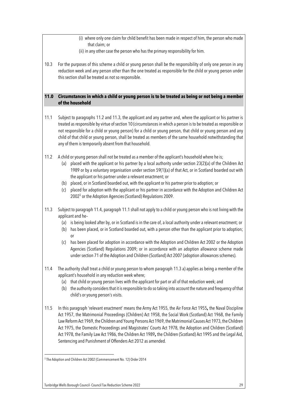- (i) where only one claim for child benefit has been made in respect of him, the person who made that claim; or
- (ii) in any other case the person who has the primary responsibility for him.
- 10.3 For the purposes of this scheme a child or young person shall be the responsibility of only one person in any reduction week and any person other than the one treated as responsible for the child or young person under this section shall be treated as not so responsible.

#### **11.0 Circumstances in which a child or young person is to be treated as being or not being a member of the household**

- 11.1 Subject to paragraphs 11.2 and 11.3, the applicant and any partner and, where the applicant or his partner is treated as responsible by virtue of section 10 (circumstances in which a person is to be treated as responsible or not responsible for a child or young person) for a child or young person, that child or young person and any child of that child or young person, shall be treated as members of the same household notwithstanding that any of them is temporarily absent from that household.
- 11.2 A child or young person shall not be treated as a member of the applicant's household where he is;
	- (a) placed with the applicant or his partner by a local authority under section 23(2)(a) of the Children Act 1989 or by a voluntary organisation under section 59(1)(a) of that Act, or in Scotland boarded out with the applicant or his partner under a relevant enactment; or
	- (b) placed, or in Scotland boarded out, with the applicant or his partner prior to adoption; or
	- (c) placed for adoption with the applicant or his partner in accordance with the Adoption and Children Act 20025 or the Adoption Agencies (Scotland) Regulations 2009.
- 11.3 Subject to paragraph 11.4, paragraph 11.1 shall not apply to a child or young person who is not living with the applicant and he–
	- (a) is being looked after by, or in Scotland is in the care of, a local authority under a relevant enactment; or
	- (b) has been placed, or in Scotland boarded out, with a person other than the applicant prior to adoption; or
	- (c) has been placed for adoption in accordance with the Adoption and Children Act 2002 or the Adoption Agencies (Scotland) Regulations 2009; or in accordance with an adoption allowance scheme made under section 71 of the Adoption and Children (Scotland) Act 2007 (adoption allowances schemes).
- 11.4 The authority shall treat a child or young person to whom paragraph 11.3 a) applies as being a member of the applicant's household in any reduction week where;
	- (a) that child or young person lives with the applicant for part or all of that reduction week; and
	- (b) the authority considers that it is responsible to do so taking into account the nature and frequency of that child's or young person's visits.
- 11.5 In this paragraph 'relevant enactment' means the Army Act 1955, the Air Force Act 1955**,** the Naval Discipline Act 1957, the Matrimonial Proceedings (Children) Act 1958, the Social Work (Scotland) Act 1968, the Family Law Reform Act 1969, the Children and Young Persons Act 1969, the Matrimonial Causes Act 1973, the Children Act 1975, the Domestic Proceedings and Magistrates' Courts Act 1978, the Adoption and Children (Scotland) Act 1978, the Family Law Act 1986, the Children Act 1989**,** the Children (Scotland) Act 1995 and the Legal Aid, Sentencing and Punishment of Offenders Act 2012 as amended.

<sup>5</sup> The Adoption and Children Act 2002 (Commencement No. 12) Order 2014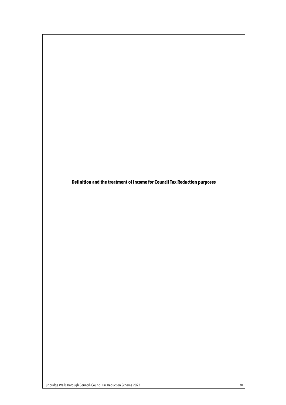**Definition and the treatment of income for Council Tax Reduction purposes**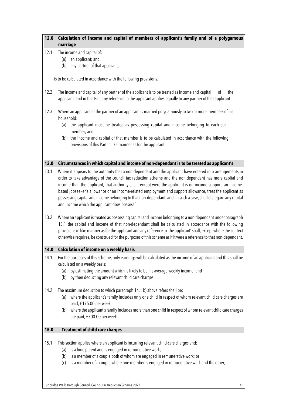# **12.0 Calculation of income and capital of members of applicant's family and of a polygamous marriage** 12.1 The income and capital of: (a) an applicant; and (b) any partner of that applicant, is to be calculated in accordance with the following provisions. 12.2 The income and capital of any partner of the applicant is to be treated as income and capital of the applicant, and in this Part any reference to the applicant applies equally to any partner of that applicant. 12.3 Where an applicant or the partner of an applicant is married polygamously to two or more members of his household: (a) the applicant must be treated as possessing capital and income belonging to each such member; and (b) the income and capital of that member is to be calculated in accordance with the following provisions of this Part in like manner as for the applicant. **13.0 Circumstances in which capital and income of non-dependant is to be treated as applicant's** 13.1 Where it appears to the authority that a non-dependant and the applicant have entered into arrangements in order to take advantage of the council tax reduction scheme and the non-dependant has more capital and income than the applicant, that authority shall, except were the applicant is on income support, an incomebased jobseeker's allowance or an income-related employment and support allowance, treat the applicant as possessing capital and income belonging to that non-dependant, and, in such a case, shall disregard any capital and income which the applicant does possess.` 13.2 Where an applicant is treated as possessing capital and income belonging to a non-dependant under paragraph 13.1 the capital and income of that non-dependant shall be calculated in accordance with the following provisions in like manner as for the applicant and any reference to 'the applicant' shall, except where the context otherwise requires, be construed for the purposes of this scheme as if it were a reference to that non-dependant. **14.0 Calculation of income on a weekly basis** 14.1 For the purposes of this scheme, only earnings will be calculated as the income of an applicant and this shall be calculated on a weekly basis; (a) by estimating the amount which is likely to be his average weekly income; and (b) by then deducting any relevant child care charges 14.2 The maximum deduction to which paragraph 14.1 b) above refers shall be; (a) where the applicant's family includes only one child in respect of whom relevant child care charges are paid, £175.00 per week. (b) where the applicant's family includes more than one child in respect of whom relevant child care charges are paid, £300.00 per week. **15.0 Treatment of child care charges**  15.1 This section applies where an applicant is incurring relevant child-care charges and; (a) is a lone parent and is engaged in remunerative work; (b) is a member of a couple both of whom are engaged in remunerative work; or (c) is a member of a couple where one member is engaged in remunerative work and the other;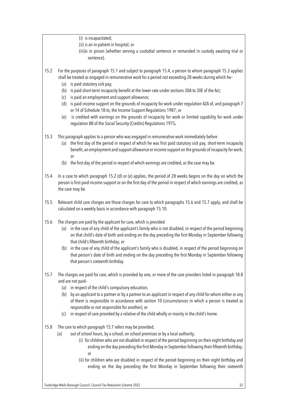|      | (i) is incapacitated;                                                                                                                                                                                                                                                                                                                                                                                                                                                |  |
|------|----------------------------------------------------------------------------------------------------------------------------------------------------------------------------------------------------------------------------------------------------------------------------------------------------------------------------------------------------------------------------------------------------------------------------------------------------------------------|--|
|      | (ii) is an in-patient in hospital; or                                                                                                                                                                                                                                                                                                                                                                                                                                |  |
|      | (iii)is in prison (whether serving a custodial sentence or remanded in custody awaiting trial or<br>sentence).                                                                                                                                                                                                                                                                                                                                                       |  |
| 15.2 | For the purposes of paragraph 15.1 and subject to paragraph 15.4, a person to whom paragraph 15.3 applies<br>shall be treated as engaged in remunerative work for a period not exceeding 28 weeks during which he-<br>is paid statutory sick pay;<br>(a)                                                                                                                                                                                                             |  |
|      | is paid short-term incapacity benefit at the lower rate under sections 30A to 30E of the Act;<br>(b)<br>is paid an employment and support allowance;<br>(c)                                                                                                                                                                                                                                                                                                          |  |
|      | is paid income support on the grounds of incapacity for work under regulation 4ZA of, and paragraph 7<br>(d)<br>or 14 of Schedule 1B to, the Income Support Regulations 1987; or                                                                                                                                                                                                                                                                                     |  |
|      | is credited with earnings on the grounds of incapacity for work or limited capability for work under<br>(e)<br>regulation 8B of the Social Security (Credits) Regulations 1975.                                                                                                                                                                                                                                                                                      |  |
| 15.3 | This paragraph applies to a person who was engaged in remunerative work immediately before<br>(a) the first day of the period in respect of which he was first paid statutory sick pay, short-term incapacity<br>benefit, an employment and support allowance or income support on the grounds of incapacity for work;<br>0r                                                                                                                                         |  |
|      | (b) the first day of the period in respect of which earnings are credited, as the case may be.                                                                                                                                                                                                                                                                                                                                                                       |  |
| 15.4 | In a case to which paragraph 15.2 (d) or (e) applies, the period of 28 weeks begins on the day on which the<br>person is first paid income support or on the first day of the period in respect of which earnings are credited, as<br>the case may be.                                                                                                                                                                                                               |  |
| 15.5 | Relevant child care charges are those charges for care to which paragraphs 15.6 and 15.7 apply, and shall be<br>calculated on a weekly basis in accordance with paragraph 15.10.                                                                                                                                                                                                                                                                                     |  |
| 15.6 | The charges are paid by the applicant for care, which is provided<br>in the case of any child of the applicant's family who is not disabled, in respect of the period beginning<br>(a)<br>on that child's date of birth and ending on the day preceding the first Monday in September following<br>that child's fifteenth birthday; or                                                                                                                               |  |
|      | (b) in the case of any child of the applicant's family who is disabled, in respect of the period beginning on<br>that person's date of birth and ending on the day preceding the first Monday in September following<br>that person's sixteenth birthday.                                                                                                                                                                                                            |  |
| 15.7 | The charges are paid for care, which is provided by one, or more of the care providers listed in paragraph 18.8<br>and are not paid-                                                                                                                                                                                                                                                                                                                                 |  |
|      | in respect of the child's compulsory education;<br>(a)<br>by an applicant to a partner or by a partner to an applicant in respect of any child for whom either or any<br>(b)<br>of them is responsible in accordance with section 10 (circumstances in which a person is treated as<br>responsible or not responsible for another); or                                                                                                                               |  |
|      | in respect of care provided by a relative of the child wholly or mainly in the child's home.<br>(c)                                                                                                                                                                                                                                                                                                                                                                  |  |
| 15.8 | The care to which paragraph 15.7 refers may be provided;<br>out of school hours, by a school, on school premises or by a local authority;<br>(a)<br>(i) for children who are not disabled in respect of the period beginning on their eight birthday and<br>ending on the day preceding the first Monday in September following their fifteenth birthday;<br>0r<br>(ii) for children who are disabled in respect of the period beginning on their eight birthday and |  |
|      | ending on the day preceding the first Monday in September following their sixteenth                                                                                                                                                                                                                                                                                                                                                                                  |  |

Tunbridge Wells Borough Council- Council Tax Reduction Scheme 2022 32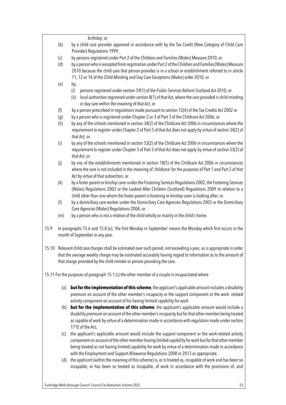|      |           | birthday; or                                                                                                                                                                                                                                                                                                                        |
|------|-----------|-------------------------------------------------------------------------------------------------------------------------------------------------------------------------------------------------------------------------------------------------------------------------------------------------------------------------------------|
|      | (b)       | by a child care provider approved in accordance with by the Tax Credit (New Category of Child Care<br>Provider) Regulations 1999;                                                                                                                                                                                                   |
|      | (c)       | by persons registered under Part 2 of the Children and Families (Wales) Measure 2010; or                                                                                                                                                                                                                                            |
|      | (d)       | by a person who is excepted from registration under Part 2 of the Children and Families (Wales) Measure<br>2010 because the child care that person provides is in a school or establishment referred to in article<br>11, 12 or 14 of the Child Minding and Day Care Exceptions (Wales) order 2010; or                              |
|      | (e)       | by;                                                                                                                                                                                                                                                                                                                                 |
|      |           | persons registered under section 59(1) of the Public Services Reform Scotland Act 2010; or<br>(i)<br>local authorities registered under section 8(1) of that Act, where the care provided is child minding<br>(ii)<br>or day care within the meaning of that Act; or                                                                |
|      | (f)       | by a person prescribed in regulations made pursuant to section 12(4) of the Tax Credits Act 2002 or                                                                                                                                                                                                                                 |
|      | (g)       | by a person who is registered under Chapter 2 or 3 of Part 3 of the Childcare Act 2006; or                                                                                                                                                                                                                                          |
|      | (h)       | by any of the schools mentioned in section 34(2) of the Childcare Act 2006 in circumstances where the<br>requirement to register under Chapter 2 of Part 3 of that Act does not apply by virtue of section 34(2) of<br>that Act; or                                                                                                 |
|      | (i)       | by any of the schools mentioned in section 53(2) of the Childcare Act 2006 in circumstances where the<br>requirement to register under Chapter 3 of Part 3 of that Act does not apply by virtue of section 53(2) of<br>that Act; or                                                                                                 |
|      | (j)       | by any of the establishments mentioned in section 18(5) of the Childcare Act 2006 in circumstances<br>where the care is not included in the meaning of 'childcare' for the purposes of Part 1 and Part 3 of that<br>Act by virtue of that subsection; or                                                                            |
|      | (k)       | by a foster parent or kinship carer under the Fostering Services Regulations 2002, the Fostering Services<br>(Wales) Regulations 2003 or the Looked After Children (Scotland) Regulations 2009 in relation to a<br>child other than one whom the foster parent is fostering or kinship carer is looking after; or                   |
|      | $($ l $)$ | by a domiciliary care worker under the Domiciliary Care Agencies Regulations 2002 or the Domiciliary<br>Care Agencies (Wales) Regulations 2004; or                                                                                                                                                                                  |
|      | (m)       | by a person who is not a relative of the child wholly or mainly in the child's home.                                                                                                                                                                                                                                                |
| 15.9 |           | In paragraphs 15.6 and 15.8 (a), 'the first Monday in September' means the Monday which first occurs in the<br>month of September in any year.                                                                                                                                                                                      |
|      |           | 15.10 Relevant child care charges shall be estimated over such period, not exceeding a year, as is appropriate in order<br>that the average weekly charge may be estimated accurately having regard to information as to the amount of<br>that charge provided by the child minder or person providing the care.                    |
|      |           | 15.11 For the purposes of paragraph 15.1 (c) the other member of a couple is incapacitated where                                                                                                                                                                                                                                    |
|      | (a)       | but for the implementation of this scheme, the applicant's applicable amount includes a disability<br>premium on account of the other member's incapacity or the support component or the work- related<br>activity component on account of his having limited capability for work                                                  |
|      | (b)       | but for the implementation of this scheme, the applicant's applicable amount would include a<br>disability premium on account of the other member's incapacity but for that other member being treated<br>as capable of work by virtue of a determination made in accordance with regulation made under section<br>171E of the Act; |
|      | (c)       | the applicant's applicable amount would include the support component or the work-related activity<br>component on account of the other member having limited capability for work but for that other member<br>being treated as not having limited capability for work by virtue of a determination made in accordance              |
|      | (d)       | with the Employment and Support Allowance Regulations 2008 or 2013 as appropriate;<br>the applicant (within the meaning of this scheme) is, or is treated as, incapable of work and has been so<br>incapable, or has been so treated as incapable, of work in accordance with the provisions of, and                                |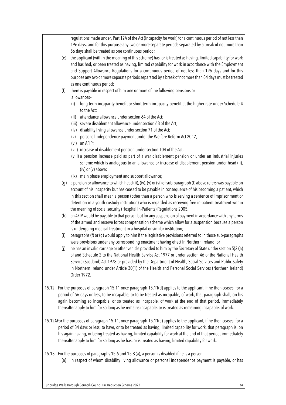regulations made under, Part 12A of the Act (incapacity for work) for a continuous period of not less than 196 days; and for this purpose any two or more separate periods separated by a break of not more than 56 days shall be treated as one continuous period;

- (e) the applicant (within the meaning of this scheme) has, or is treated as having, limited capability for work and has had, or been treated as having, limited capability for work in accordance with the Employment and Support Allowance Regulations for a continuous period of not less than 196 days and for this purpose any two or more separate periods separated by a break of not more than 84 days must be treated as one continuous period;
- (f) there is payable in respect of him one or more of the following pensions or allowances–
	- (i) long-term incapacity benefit or short-term incapacity benefit at the higher rate under Schedule 4 to the Act;
	- (ii) attendance allowance under section 64 of the Act;
	- (iii) severe disablement allowance under section 68 of the Act;
	- (iv) disability living allowance under section 71 of the Act;
	- (v) personal independence payment under the Welfare Reform Act 2012;
	- (vi) an AFIP;
	- (vii) increase of disablement pension under section 104 of the Act;
	- (viii) a pension increase paid as part of a war disablement pension or under an industrial injuries scheme which is analogous to an allowance or increase of disablement pension under head (ii), (iv) or (v) above;
	- (ix) main phase employment and support allowance;
- (g) a pension or allowance to which head (ii), (iv). (v) or (vi) of sub-paragraph (f) above refers was payable on account of his incapacity but has ceased to be payable in consequence of his becoming a patient, which in this section shall mean a person (other than a person who is serving a sentence of imprisonment or detention in a youth custody institution) who is regarded as receiving free in-patient treatment within the meaning of social security (Hospital In-Patients) Regulations 2005.
- (h) an AFIP would be payable to that person but for any suspension of payment in accordance with any terms of the armed and reserve forces compensation scheme which allow for a suspension because a person is undergoing medical treatment in a hospital or similar institution;
- (i) paragraphs (f) or (g) would apply to him if the legislative provisions referred to in those sub-paragraphs were provisions under any corresponding enactment having effect in Northern Ireland; or
- (j) he has an invalid carriage or other vehicle provided to him by the Secretary of State under section 5(2)(a) of and Schedule 2 to the National Health Service Act 1977 or under section 46 of the National Health Service (Scotland) Act 1978 or provided by the Department of Health, Social Services and Public Safety in Northern Ireland under Article 30(1) of the Health and Personal Social Services (Northern Ireland) Order 1972.
- 15.12 For the purposes of paragraph 15.11 once paragraph 15.11(d) applies to the applicant, if he then ceases, for a period of 56 days or less, to be incapable, or to be treated as incapable, of work, that paragraph shall, on his again becoming so incapable, or so treated as incapable, of work at the end of that period, immediately thereafter apply to him for so long as he remains incapable, or is treated as remaining incapable, of work.
- 15.12AFor the purposes of paragraph 15.11, once paragraph 15.11(e) applies to the applicant, if he then ceases, for a period of 84 days or less, to have, or to be treated as having, limited capability for work, that paragraph is, on his again having, or being treated as having, limited capability for work at the end of that period, immediately thereafter apply to him for so long as he has, or is treated as having, limited capability for work.
- 15.13 For the purposes of paragraphs 15.6 and 15.8 (a), a person is disabled if he is a person–
	- (a) in respect of whom disability living allowance or personal independence payment is payable, or has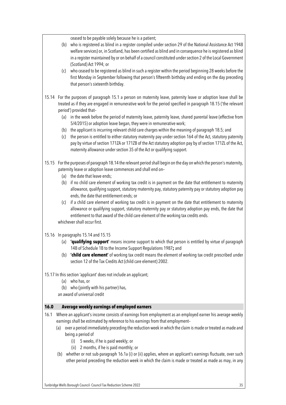ceased to be payable solely because he is a patient; (b) who is registered as blind in a register compiled under section 29 of the National Assistance Act 1948 welfare services) or, in Scotland, has been certified as blind and in consequence he is registered as blind in a register maintained by or on behalf of a council constituted under section 2 of the Local Government (Scotland) Act 1994; or (c) who ceased to be registered as blind in such a register within the period beginning 28 weeks before the first Monday in September following that person's fifteenth birthday and ending on the day preceding that person's sixteenth birthday. 15.14 For the purposes of paragraph 15.1 a person on maternity leave, paternity leave or adoption leave shall be treated as if they are engaged in remunerative work for the period specified in paragraph 18.15 ('the relevant period') provided that– (a) in the week before the period of maternity leave, paternity leave, shared parental leave (effective from 5/4/2015) or adoption leave began, they were in remunerative work; (b) the applicant is incurring relevant child care charges within the meaning of paragraph 18.5; and (c) the person is entitled to either statutory maternity pay under section 164 of the Act, statutory paternity pay by virtue of section 171ZA or 171ZB of the Act statutory adoption pay by of section 171ZL of the Act, maternity allowance under section 35 of the Act or qualifying support. 15.15 For the purposes of paragraph 18.14 the relevant period shall begin on the day on which the person's maternity, paternity leave or adoption leave commences and shall end on– (a) the date that leave ends; (b) if no child care element of working tax credit is in payment on the date that entitlement to maternity allowance, qualifying support, statutory maternity pay, statutory paternity pay or statutory adoption pay ends, the date that entitlement ends; or (c) if a child care element of working tax credit is in payment on the date that entitlement to maternity allowance or qualifying support, statutory maternity pay or statutory adoption pay ends, the date that entitlement to that award of the child care element of the working tax credits ends. whichever shall occur first. 15.16 In paragraphs 15.14 and 15.15 (a) **'qualifying support'** means income support to which that person is entitled by virtue of paragraph 14B of Schedule 1B to the Income Support Regulations 1987**;** and (b) **'child care element'** of working tax credit means the element of working tax credit prescribed under section 12 of the Tax Credits Act (child care element) 2002. 15.17 In this section 'applicant' does not include an applicant; (a) who has, or (b) who (jointly with his partner) has, an award of universal credit **16.0 Average weekly earnings of employed earners** 16.1 Where an applicant's income consists of earnings from employment as an employed earner his average weekly earnings shall be estimated by reference to his earnings from that employment– (a) over a period immediately preceding the reduction week in which the claim is made or treated as made and being a period of (i) 5 weeks, if he is paid weekly; or (ii) 2 months, if he is paid monthly; or (b) whether or not sub-paragraph 16.1a (i) or (ii) applies, where an applicant's earnings fluctuate, over such other period preceding the reduction week in which the claim is made or treated as made as may, in any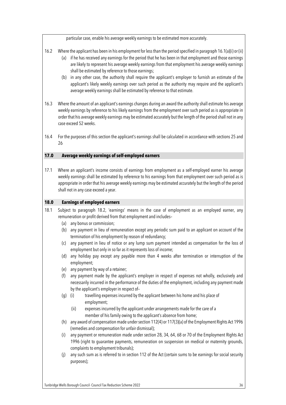particular case, enable his average weekly earnings to be estimated more accurately.

- 16.2 Where the applicant has been in his employment for less than the period specified in paragraph 16.1(a)(i) or (ii)
	- (a) if he has received any earnings for the period that he has been in that employment and those earnings are likely to represent his average weekly earnings from that employment his average weekly earnings shall be estimated by reference to those earnings;
	- (b) in any other case, the authority shall require the applicant's employer to furnish an estimate of the applicant's likely weekly earnings over such period as the authority may require and the applicant's average weekly earnings shall be estimated by reference to that estimate.
- 16.3 Where the amount of an applicant's earnings changes during an award the authority shall estimate his average weekly earnings by reference to his likely earnings from the employment over such period as is appropriate in order that his average weekly earnings may be estimated accurately but the length of the period shall not in any case exceed 52 weeks.
- 16.4 For the purposes of this section the applicant's earnings shall be calculated in accordance with sections 25 and 26

#### **17.0 Average weekly earnings of self-employed earners**

17.1 Where an applicant's income consists of earnings from employment as a self-employed earner his average weekly earnings shall be estimated by reference to his earnings from that employment over such period as is appropriate in order that his average weekly earnings may be estimated accurately but the length of the period shall not in any case exceed a year.

#### **18.0 Earnings of employed earners**

- 18.1 Subject to paragraph 18.2, 'earnings' means in the case of employment as an employed earner, any remuneration or profit derived from that employment and includes–
	- (a) any bonus or commission;
	- (b) any payment in lieu of remuneration except any periodic sum paid to an applicant on account of the termination of his employment by reason of redundancy;
	- (c) any payment in lieu of notice or any lump sum payment intended as compensation for the loss of employment but only in so far as it represents loss of income;
	- (d) any holiday pay except any payable more than 4 weeks after termination or interruption of the employment;
	- (e) any payment by way of a retainer;
	- (f) any payment made by the applicant's employer in respect of expenses not wholly, exclusively and necessarily incurred in the performance of the duties of the employment, including any payment made by the applicant's employer in respect of–
	- (g) (i) travelling expenses incurred by the applicant between his home and his place of employment;
		- (ii) expenses incurred by the applicant under arrangements made for the care of a member of his family owing to the applicant's absence from home;
	- (h) any award of compensation made under section 112(4) or 117(3)(a) of the Employment Rights Act 1996 (remedies and compensation for unfair dismissal);
	- (i) any payment or remuneration made under section 28, 34, 64, 68 or 70 of the Employment Rights Act 1996 (right to guarantee payments, remuneration on suspension on medical or maternity grounds, complaints to employment tribunals);
	- (j) any such sum as is referred to in section 112 of the Act (certain sums to be earnings for social security purposes);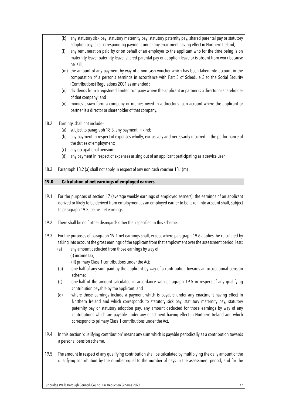(k) any statutory sick pay, statutory maternity pay, statutory paternity pay, shared parental pay or statutory adoption pay, or a corresponding payment under any enactment having effect in Northern Ireland; (l) any remuneration paid by or on behalf of an employer to the applicant who for the time being is on maternity leave, paternity leave, shared parental pay or adoption leave or is absent from work because he is ill; (m) the amount of any payment by way of a non-cash voucher which has been taken into account in the computation of a person's earnings in accordance with Part 5 of Schedule 3 to the Social Security (Contributions) Regulations 2001 as amended ; (n) dividends from a registered limited company where the applicant or partner is a director or shareholder of that company; and (o) monies drawn form a company or monies owed in a director's loan account where the applicant or partner is a director or shareholder of that company. 18.2 Earnings shall not include– (a) subject to paragraph 18.3, any payment in kind; (b) any payment in respect of expenses wholly, exclusively and necessarily incurred in the performance of the duties of employment; (c) any occupational pension (d) any payment in respect of expenses arising out of an applicant participating as a service user 18.3 Paragraph 18.2 (a) shall not apply in respect of any non-cash voucher 18.1(m) **19.0 Calculation of net earnings of employed earners** 19.1 For the purposes of section 17 (average weekly earnings of employed earners), the earnings of an applicant derived or likely to be derived from employment as an employed earner to be taken into account shall, subject to paragraph 19.2, be his net earnings. 19.2 There shall be no further disregards other than specified in this scheme. 19.3 For the purposes of paragraph 19.1 net earnings shall, except where paragraph 19.6 applies, be calculated by taking into account the gross earnings of the applicant from that employment over the assessment period, less; (a) any amount deducted from those earnings by way of (i) income tax; (ii) primary Class 1 contributions under the Act; (b) one-half of any sum paid by the applicant by way of a contribution towards an occupational pension scheme; (c) one-half of the amount calculated in accordance with paragraph 19.5 in respect of any qualifying contribution payable by the applicant; and (d) where those earnings include a payment which is payable under any enactment having effect in Northern Ireland and which corresponds to statutory sick pay, statutory maternity pay, statutory paternity pay or statutory adoption pay, any amount deducted for those earnings by way of any contributions which are payable under any enactment having effect in Northern Ireland and which correspond to primary Class 1 contributions under the Act. 19.4 In this section 'qualifying contribution' means any sum which is payable periodically as a contribution towards a personal pension scheme. 19.5 The amount in respect of any qualifying contribution shall be calculated by multiplying the daily amount of the qualifying contribution by the number equal to the number of days in the assessment period; and for the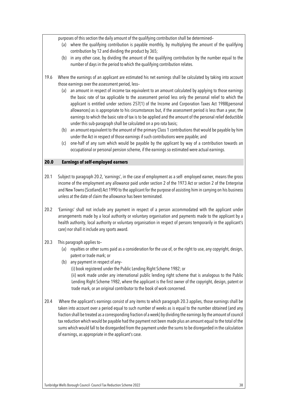purposes of this section the daily amount of the qualifying contribution shall be determined–

- (a) where the qualifying contribution is payable monthly, by multiplying the amount of the qualifying contribution by 12 and dividing the product by 365;
- (b) in any other case, by dividing the amount of the qualifying contribution by the number equal to the number of days in the period to which the qualifying contribution relates.
- 19.6 Where the earnings of an applicant are estimated his net earnings shall be calculated by taking into account those earnings over the assessment period, less–
	- (a) an amount in respect of income tax equivalent to an amount calculated by applying to those earnings the basic rate of tax applicable to the assessment period less only the personal relief to which the applicant is entitled under sections 257(1) of the Income and Corporation Taxes Act 1988(personal allowances) as is appropriate to his circumstances but, if the assessment period is less than a year, the earnings to which the basic rate of tax is to be applied and the amount of the personal relief deductible under this sub-paragraph shall be calculated on a pro rata basis;
	- (b) an amount equivalent to the amount of the primary Class 1 contributions that would be payable by him under the Act in respect of those earnings if such contributions were payable; and
	- (c) one-half of any sum which would be payable by the applicant by way of a contribution towards an occupational or personal pension scheme, if the earnings so estimated were actual earnings.

#### **20.0 Earnings of self-employed earners**

- 20.1 Subject to paragraph 20.2, 'earnings', in the case of employment as a self- employed earner, means the gross income of the employment any allowance paid under section 2 of the 1973 Act or section 2 of the Enterprise and New Towns (Scotland) Act 1990 to the applicant for the purpose of assisting him in carrying on his business unless at the date of claim the allowance has been terminated.
- 20.2 'Earnings' shall not include any payment in respect of a person accommodated with the applicant under arrangements made by a local authority or voluntary organisation and payments made to the applicant by a health authority, local authority or voluntary organisation in respect of persons temporarily in the applicant's care) nor shall it include any sports award.

### 20.3 This paragraph applies to–

- (a) royalties or other sums paid as a consideration for the use of, or the right to use, any copyright, design, patent or trade mark; or
- (b) any payment in respect of any– (i) book registered under the Public Lending Right Scheme 1982; or (ii) work made under any international public lending right scheme that is analogous to the Public Lending Right Scheme 1982, where the applicant is the first owner of the copyright, design, patent or trade mark, or an original contributor to the book of work concerned.
- 20.4 Where the applicant's earnings consist of any items to which paragraph 20.3 applies, those earnings shall be taken into account over a period equal to such number of weeks as is equal to the number obtained (and any fraction shall be treated as a corresponding fraction of a week) by dividing the earnings by the amount of council tax reduction which would be payable had the payment not been made plus an amount equal to the total of the sums which would fall to be disregarded from the payment under the sums to be disregarded in the calculation of earnings, as appropriate in the applicant's case.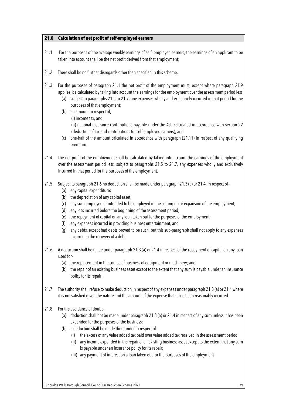## **21.0 Calculation of net profit of self-employed earners**

- 21.1 For the purposes of the average weekly earnings of self- employed earners, the earnings of an applicant to be taken into account shall be the net profit derived from that employment;
- 21.2 There shall be no further disregards other than specified in this scheme.
- 21.3 For the purposes of paragraph 21.1 the net profit of the employment must, except where paragraph 21.9 applies, be calculated by taking into account the earnings for the employment over the assessment period less
	- (a) subject to paragraphs 21.5 to 21.7, any expenses wholly and exclusively incurred in that period for the purposes of that employment;
	- (b) an amount in respect of; (i) income tax, and (ii) national insurance contributions payable under the Act, calculated in accordance with section 22 (deduction of tax and contributions for self-employed earners); and
	- (c) one-half of the amount calculated in accordance with paragraph (21.11) in respect of any qualifying premium.
- 21.4 The net profit of the employment shall be calculated by taking into account the earnings of the employment over the assessment period less, subject to paragraphs 21.5 to 21.7, any expenses wholly and exclusively incurred in that period for the purposes of the employment.
- 21.5 Subject to paragraph 21.6 no deduction shall be made under paragraph 21.3 (a) or 21.4, in respect of–
	- (a) any capital expenditure;
	- (b) the depreciation of any capital asset;
	- (c) any sum employed or intended to be employed in the setting up or expansion of the employment;
	- (d) any loss incurred before the beginning of the assessment period;
	- (e) the repayment of capital on any loan taken out for the purposes of the employment;
	- (f) any expenses incurred in providing business entertainment, and
	- (g) any debts, except bad debts proved to be such, but this sub-paragraph shall not apply to any expenses incurred in the recovery of a debt.
- 21.6 A deduction shall be made under paragraph 21.3 (a) or 21.4 in respect of the repayment of capital on any loan used for–
	- (a) the replacement in the course of business of equipment or machinery; and
	- (b) the repair of an existing business asset except to the extent that any sum is payable under an insurance policy for its repair.
- 21.7 The authority shall refuse to make deduction in respect of any expenses under paragraph 21.3 (a) or 21.4 where it is not satisfied given the nature and the amount of the expense that it has been reasonably incurred.
- 21.8 For the avoidance of doubt–
	- (a) deduction shall not be made under paragraph 21.3 (a) or 21.4 in respect of any sum unless it has been expended for the purposes of the business;
	- (b) a deduction shall be made thereunder in respect of–
		- (i) the excess of any value added tax paid over value added tax received in the assessment period;
		- (ii) any income expended in the repair of an existing business asset except to the extent that any sum is payable under an insurance policy for its repair;
		- (iii) any payment of interest on a loan taken out for the purposes of the employment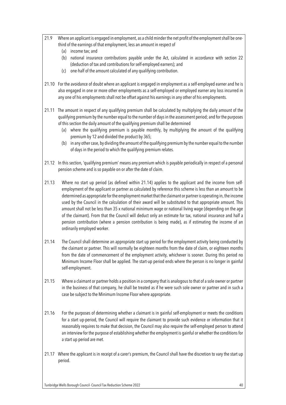21.9 Where an applicant is engaged in employment, as a child minder the net profit of the employment shall be onethird of the earnings of that employment, less an amount in respect of (a) income tax; and (b) national insurance contributions payable under the Act, calculated in accordance with section 22 (deduction of tax and contributions for self-employed earners); and (c) one-half of the amount calculated of any qualifying contribution. 21.10 For the avoidance of doubt where an applicant is engaged in employment as a self-employed earner and he is also engaged in one or more other employments as a self-employed or employed earner any loss incurred in any one of his employments shall not be offset against his earnings in any other of his employments. 21.11 The amount in respect of any qualifying premium shall be calculated by multiplying the daily amount of the qualifying premium by the number equal to the number of days in the assessment period; and for the purposes of this section the daily amount of the qualifying premium shall be determined (a) where the qualifying premium is payable monthly, by multiplying the amount of the qualifying premium by 12 and divided the product by 365; (b) in any other case, by dividing the amount of the qualifying premium by the number equal to the number of days in the period to which the qualifying premium relates. 21.12 In this section, 'qualifying premium' means any premium which is payable periodically in respect of a personal pension scheme and is so payable on or after the date of claim. 21.13 Where no start up period (as defined within 21.14) applies to the applicant and the income from selfemployment of the applicant or partner as calculated by reference this scheme is less than an amount to be determined as appropriate for the employment market that the claimant or partner is operating in, the income used by the Council in the calculation of their award will be substituted to that appropriate amount. This amount shall not be less than 35 x national minimum wage or national living wage (depending on the age of the claimant). From that the Council will deduct only an estimate for tax, national insurance and half a pension contribution (where a pension contribution is being made), as if estimating the income of an ordinarily employed worker. 21.14 The Council shall determine an appropriate start up period for the employment activity being conducted by the claimant or partner. This will normally be eighteen months from the date of claim, or eighteen months from the date of commencement of the employment activity, whichever is sooner. During this period no Minimum Income Floor shall be applied. The start-up period ends where the person is no longer in gainful self-employment. 21.15 Where a claimant or partner holds a position in a company that is analogous to that of a sole owner or partner in the business of that company, he shall be treated as if he were such sole owner or partner and in such a case be subject to the Minimum Income Floor where appropriate. 21.16 For the purposes of determining whether a claimant is in gainful self-employment or meets the conditions for a start up-period, the Council will require the claimant to provide such evidence or information that it reasonably requires to make that decision, the Council may also require the self-employed person to attend an interview for the purpose of establishing whether the employment is gainful or whether the conditions for a start up period are met. 21.17 Where the applicant is in receipt of a carer's premium, the Council shall have the discretion to vary the start up period.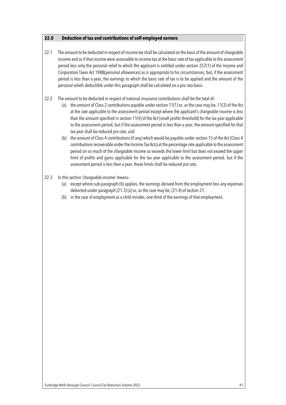### **22.0 Deduction of tax and contributions of self-employed earners**

- 22.1 The amount to be deducted in respect of income tax shall be calculated on the basis of the amount of chargeable income and as if that income were assessable to income tax at the basic rate of tax applicable to the assessment period less only the personal relief to which the applicant is entitled under section 257(1) of the Income and Corporation Taxes Act 1988(personal allowances) as is appropriate to his circumstances; but, if the assessment period is less than a year, the earnings to which the basic rate of tax is to be applied and the amount of the personal reliefs deductible under this paragraph shall be calculated on a pro rata basis.
- 22.2 The amount to be deducted in respect of national insurance contributions shall be the total of-
	- (a) the amount of Class 2 contributions payable under section 11(1) or, as the case may be, 11(3) of the Act at the rate applicable to the assessment period except where the applicant's chargeable income is less than the amount specified in section 11(4) of the Act (small profits threshold) for the tax year applicable to the assessment period; but if the assessment period is less than a year, the amount specified for that tax year shall be reduced pro rata; and
	- (b) the amount of Class 4 contributions (if any) which would be payable under section 15 of the Act (Class 4 contributions recoverable under the Income Tax Acts) at the percentage rate applicable to the assessment period on so much of the chargeable income as exceeds the lower limit but does not exceed the upper limit of profits and gains applicable for the tax year applicable to the assessment period; but if the assessment period is less than a year, those limits shall be reduced pro rata.
- 22.3 In this section 'chargeable income' means–
	- (a) except where sub-paragraph (b) applies, the earnings derived from the employment less any expenses deducted under paragraph (21.3) (a) or, as the case may be, (21.4) of section 21;
	- (b) in the case of employment as a child minder, one-third of the earnings of that employment.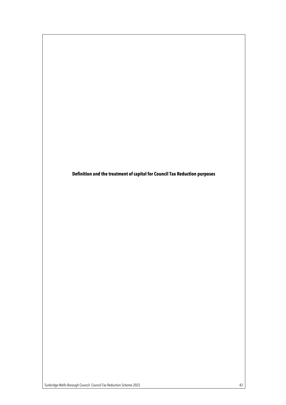**Definition and the treatment of capital for Council Tax Reduction purposes**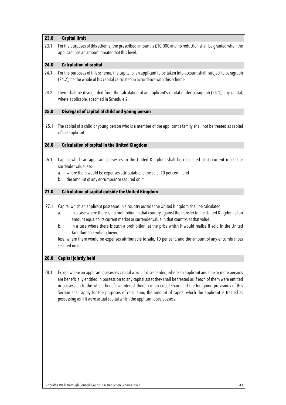#### **23.0 Capital limit**

23.1 For the purposes of this scheme, the prescribed amount is £10,000 and no reduction shall be granted when the applicant has an amount greater that this level.

#### **24.0 Calculation of capital**

- 24.1 For the purposes of this scheme, the capital of an applicant to be taken into account shall, subject to paragraph (24.2), be the whole of his capital calculated in accordance with this scheme.
- 24.2 There shall be disregarded from the calculation of an applicant's capital under paragraph (24.1), any capital, where applicable, specified in Schedule 2.

#### **25.0 Disregard of capital of child and young person**

25.1 The capital of a child or young person who is a member of the applicant's family shall not be treated as capital of the applicant.

## **26.0 Calculation of capital in the United Kingdom**

- 26.1 Capital which an applicant possesses in the United Kingdom shall be calculated at its current market or surrender value less–
	- a. where there would be expenses attributable to the sale, 10 per cent.; and
	- b. the amount of any encumbrance secured on it;

### **27.0 Calculation of capital outside the United Kingdom**

- 27.1 Capital which an applicant possesses in a country outside the United Kingdom shall be calculated
	- a. in a case where there is no prohibition in that country against the transfer to the United Kingdom of an amount equal to its current market or surrender value in that country, at that value.
	- b. in a case where there is such a prohibition, at the price which it would realise if sold in the United Kingdom to a willing buyer,

less, where there would be expenses attributable to sale, 10 per cent. and the amount of any encumbrances secured on it.

#### **28.0 Capital jointly held**

28.1 Except where an applicant possesses capital which is disregarded, where an applicant and one or more persons are beneficially entitled in possession to any capital asset they shall be treated as if each of them were entitled in possession to the whole beneficial interest therein in an equal share and the foregoing provisions of this Section shall apply for the purposes of calculating the amount of capital which the applicant is treated as possessing as if it were actual capital which the applicant does possess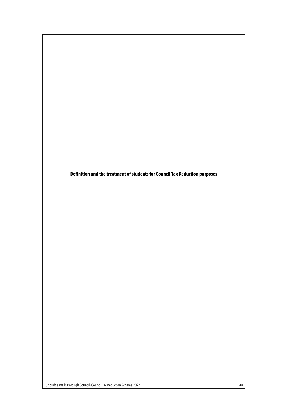**Definition and the treatment of students for Council Tax Reduction purposes**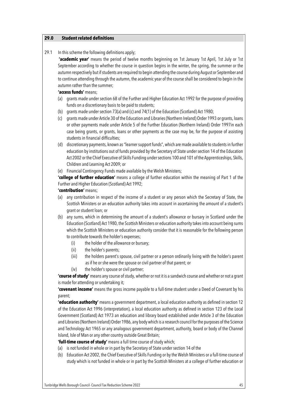#### **29.0 Student related definitions**

#### 29.1 In this scheme the following definitions apply;

**'academic year'** means the period of twelve months beginning on 1st January 1st April, 1st July or 1st September according to whether the course in question begins in the winter, the spring, the summer or the autumn respectively but if students are required to begin attending the course during August or September and to continue attending through the autumn, the academic year of the course shall be considered to begin in the autumn rather than the summer;

### **'access funds'** means;

- (a) grants made under section 68 of the Further and Higher Education Act 1992 for the purpose of providing funds on a discretionary basis to be paid to students;
- (b) grants made under section 73(a) and (c) and 74(1) of the Education (Scotland) Act 1980;
- (c) grants made under Article 30 of the Education and Libraries (Northern Ireland) Order 1993 or grants, loans or other payments made under Article 5 of the Further Education (Northern Ireland) Order 1997in each case being grants, or grants, loans or other payments as the case may be, for the purpose of assisting students in financial difficulties;
- (d) discretionary payments, known as "learner support funds", which are made available to students in further education by institutions out of funds provided by the Secretary of State under section 14 of the Education Act 2002 or the Chief Executive of Skills Funding under sections 100 and 101 of the Apprenticeships, Skills, Children and Learning Act 2009; or
- (e) Financial Contingency Funds made available by the Welsh Ministers;

**'college of further education'** means a college of further education within the meaning of Part 1 of the Further and Higher Education (Scotland) Act 1992;

#### **'contribution'** means;

- (a) any contribution in respect of the income of a student or any person which the Secretary of State, the Scottish Ministers or an education authority takes into account in ascertaining the amount of a student's grant or student loan; or
- (b) any sums, which in determining the amount of a student's allowance or bursary in Scotland under the Education (Scotland) Act 1980, the Scottish Ministers or education authority takes into account being sums which the Scottish Ministers or education authority consider that it is reasonable for the following person to contribute towards the holder's expenses;
	- (i) the holder of the allowance or bursary;
	- (ii) the holder's parents;
	- (iii) the holders parent's spouse, civil partner or a person ordinarily living with the holder's parent as if he or she were the spouse or civil partner of that parent; or
	- (iv) the holder's spouse or civil partner;

**'course of study'** means any course of study, whether or not it is a sandwich course and whether or not a grant is made for attending or undertaking it;

**'covenant income'** means the gross income payable to a full-time student under a Deed of Covenant by his parent;

**'education authority'** means a government department, a local education authority as defined in section 12 of the Education Act 1996 (interpretation), a local education authority as defined in section 123 of the Local Government (Scotland) Act 1973 an education and library board established under Article 3 of the Education and Libraries (Northern Ireland) Order 1986, any body which is a research council for the purposes of the Science and Technology Act 1965 or any analogous government department, authority, board or body of the Channel Island, Isle of Man or any other country outside Great Britain;

**'full-time course of study'** means a full time course of study which;

- (a) is not funded in whole or in part by the Secretary of State under section 14 of the
- (b) Education Act 2002, the Chief Executive of Skills Funding or by the Welsh Ministers or a full-time course of study which is not funded in whole or in part by the Scottish Ministers at a college of further education or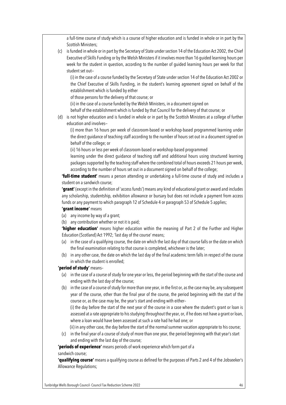a full-time course of study which is a course of higher education and is funded in whole or in part by the Scottish Ministers;

(c) is funded in whole or in part by the Secretary of State under section 14 of the Education Act 2002, the Chief Executive of Skills Funding or by the Welsh Ministers if it involves more than 16 guided learning hours per week for the student in question, according to the number of guided learning hours per week for that student set out—

(i) in the case of a course funded by the Secretary of State under section 14 of the Education Act 2002 or the Chief Executive of Skills Funding, in the student's learning agreement signed on behalf of the establishment which is funded by either

of those persons for the delivery of that course; or

- (ii) in the case of a course funded by the Welsh Ministers, in a document signed on
- behalf of the establishment which is funded by that Council for the delivery of that course; or
- (d) is not higher education and is funded in whole or in part by the Scottish Ministers at a college of further education and involves—

(i) more than 16 hours per week of classroom-based or workshop-based programmed learning under the direct guidance of teaching staff according to the number of hours set out in a document signed on behalf of the college; or

(ii) 16 hours or less per week of classroom-based or workshop-based programmed

learning under the direct guidance of teaching staff and additional hours using structured learning packages supported by the teaching staff where the combined total of hours exceeds 21 hours per week, according to the number of hours set out in a document signed on behalf of the college;

**'full-time student'** means a person attending or undertaking a full-time course of study and includes a student on a sandwich course;

**'grant'** (except in the definition of 'access funds') means any kind of educational grant or award and includes any scholarship, studentship, exhibition allowance or bursary but does not include a payment from access funds or any payment to which paragraph 12 of Schedule 4 or paragraph 53 of Schedule 5 applies;

# **'grant income'** means

- (a) any income by way of a grant;
- (b) any contribution whether or not it is paid;

**'higher education'** means higher education within the meaning of Part 2 of the Further and Higher Education (Scotland) Act 1992; 'last day of the course' means;

- (a) in the case of a qualifying course, the date on which the last day of that course falls or the date on which the final examination relating to that course is completed, whichever is the later;
- (b) in any other case, the date on which the last day of the final academic term falls in respect of the course in which the student is enrolled;

## **'period of study'** means–

- (a) in the case of a course of study for one year or less, the period beginning with the start of the course and ending with the last day of the course;
- (b) in the case of a course of study for more than one year, in the first or, as the case may be, any subsequent year of the course, other than the final year of the course, the period beginning with the start of the course or, as the case may be, the year's start and ending with either–

(i) the day before the start of the next year of the course in a case where the student's grant or loan is assessed at a rate appropriate to his studying throughout the year, or, if he does not have a grant or loan, where a loan would have been assessed at such a rate had he had one; or

(ii) in any other case, the day before the start of the normalsummer vacation appropriate to his course; (c) in the final year of a course of study of more than one year, the period beginning with that year's start

and ending with the last day of the course;

**'periods of experience'** means periods of work experience which form part of a

#### sandwich course;

**'qualifying course'** means a qualifying course as defined for the purposes of Parts 2 and 4 of the Jobseeker's Allowance Regulations;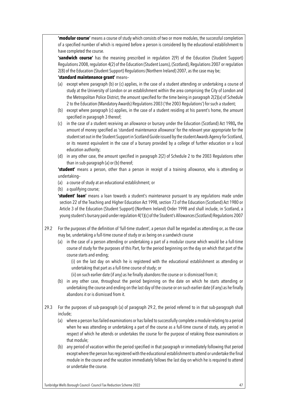**'modular course'** means a course of study which consists of two or more modules, the successful completion of a specified number of which is required before a person is considered by the educational establishment to have completed the course.

**'sandwich course'** has the meaning prescribed in regulation 2(9) of the Education (Student Support) Regulations 2008, regulation 4(2) of the Education (Student Loans), (Scotland), Regulations 2007 or regulation 2(8) of the Education (Student Support) Regulations (Northern Ireland) 2007, as the case may be;

### **'standard maintenance grant'** means–

- (a) except where paragraph (b) or (c) applies, in the case of a student attending or undertaking a course of study at the University of London or an establishment within the area comprising the City of London and the Metropolitan Police District, the amount specified for the time being in paragraph 2(2)(a) of Schedule 2 to the Education (Mandatory Awards) Regulations 2003 ('the 2003 Regulations') for such a student;
- (b) except where paragraph (c) applies, in the case of a student residing at his parent's home, the amount specified in paragraph 3 thereof;
- (c) in the case of a student receiving an allowance or bursary under the Education (Scotland) Act 1980**,** the amount of money specified as 'standard maintenance allowance' for the relevant year appropriate for the student set out in the Student Support in Scotland Guide issued by the student Awards Agency for Scotland, or its nearest equivalent in the case of a bursary provided by a college of further education or a local education authority;
- (d) in any other case, the amount specified in paragraph 2(2) of Schedule 2 to the 2003 Regulations other than in sub-paragraph (a) or (b) thereof;

**'student'** means a person, other than a person in receipt of a training allowance, who is attending or undertaking–

- (a) a course of study at an educational establishment; or
- (b) a qualifying course;

**'student' loan'** means a loan towards a student's maintenance pursuant to any regulations made under section 22 of the Teaching and Higher Education Act 1998, section 73 of the Education (Scotland) Act 1980 or Article 3 of the Education (Student Support) (Northern Ireland) Order 1998 and shall include, in Scotland, a young student's bursary paid under regulation 4(1)(c) of the Student's Allowances (Scotland) Regulations 2007

- 29.2 For the purposes of the definition of 'full-time student', a person shall be regarded as attending or, as the case may be, undertaking a full-time course of study or as being on a sandwich course
	- (a) in the case of a person attending or undertaking a part of a modular course which would be a full-time course of study for the purposes of this Part, for the period beginning on the day on which that part of the course starts and ending;

(i) on the last day on which he is registered with the educational establishment as attending or undertaking that part as a full-time course of study; or

- (ii) on such earlier date (if any) as he finally abandons the course or is dismissed from it;
- (b) in any other case, throughout the period beginning on the date on which he starts attending or undertaking the course and ending on the last day of the course or on such earlier date (if any) as he finally abandons it or is dismissed from it.
- 29.3 For the purposes of sub-paragraph (a) of paragraph 29.2, the period referred to in that sub-paragraph shall include;
	- (a) where a person has failed examinations or has failed to successfully complete a module relating to a period when he was attending or undertaking a part of the course as a full-time course of study, any period in respect of which he attends or undertakes the course for the purpose of retaking those examinations or that module;
	- (b) any period of vacation within the period specified in that paragraph or immediately following that period except where the person has registered with the educational establishment to attend or undertake the final module in the course and the vacation immediately follows the last day on which he is required to attend or undertake the course.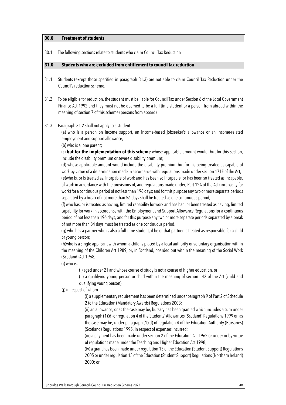### **30.0 Treatment of students**

30.1 The following sections relate to students who claim Council Tax Reduction

#### **31.0 Students who are excluded from entitlement to council tax reduction**

- 31.1 Students (except those specified in paragraph 31.3) are not able to claim Council Tax Reduction under the Council's reduction scheme.
- 31.2 To be eligible for reduction, the student must be liable for Council Tax under Section 6 of the Local Government Finance Act 1992 and they must not be deemed to be a full time student or a person from abroad within the meaning of section 7 of this scheme (persons from aboard).
- 31.3 Paragraph 31.2 shall not apply to a student

(a) who is a person on income support, an income-based jobseeker's allowance or an income-related employment and support allowance;

(b) who is a lone parent;

(c) **but for the implementation of this scheme** whose applicable amount would, but for this section, include the disability premium or severe disability premium;

(d) whose applicable amount would include the disability premium but for his being treated as capable of work by virtue of a determination made in accordance with regulations made under section 171E of the Act; (e)who is, or is treated as, incapable of work and has been so incapable, or has been so treated as incapable, of work in accordance with the provisions of, and regulations made under, Part 12A of the Act (incapacity for work) for a continuous period of not less than 196 days; and for this purpose any two or more separate periods separated by a break of not more than 56 days shall be treated as one continuous period;

(f) who has, or is treated as having, limited capability for work and has had, or been treated as having, limited capability for work in accordance with the Employment and Support Allowance Regulations for a continuous period of not less than 196 days, and for this purpose any two or more separate periods separated by a break of not more than 84 days must be treated as one continuous period.

(g) who has a partner who is also a full-time student, if he or that partner is treated as responsible for a child or young person;

(h)who is a single applicant with whom a child is placed by a local authority or voluntary organisation within the meaning of the Children Act 1989, or, in Scotland, boarded out within the meaning of the Social Work (Scotland) Act 1968;

(i) who is;

(i) aged under 21 and whose course of study is not a course of higher education, or

(ii) a qualifying young person or child within the meaning of section 142 of the Act (child and qualifying young person);

(j) in respect of whom

(i) a supplementary requirement has been determined under paragraph 9 of Part 2 of Schedule 2 to the Education (Mandatory Awards) Regulations 2003;

(ii) an allowance, or as the case may be, bursary has been granted which includes a sum under paragraph (1)(d) or regulation 4 of the Students' Allowances (Scotland) Regulations 1999 or, as the case may be, under paragraph (1)(d) of regulation 4 of the Education Authority (Bursaries) (Scotland) Regulations 1995, in respect of expenses incurred;

(iii) a payment has been made under section 2 of the Education Act 1962 or under or by virtue of regulations made under the Teaching and Higher Education Act 1998;

(iv) a grant has been made under regulation 13 of the Education (Student Support) Regulations 2005 or under regulation 13 of the Education (Student Support) Regulations (Northern Ireland) 2000; or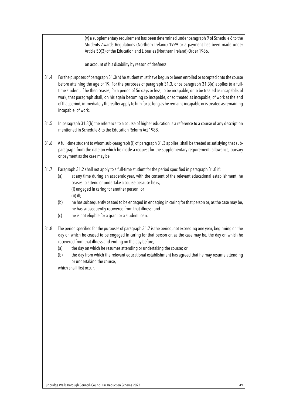(v) a supplementary requirement has been determined under paragraph 9 of Schedule 6 to the Students Awards Regulations (Northern Ireland) 1999 or a payment has been made under Article 50(3) of the Education and Libraries (Northern Ireland) Order 1986,

on account of his disability by reason of deafness.

31.4 For the purposes of paragraph 31.3(h) he student must have begun or been enrolled or accepted onto the course before attaining the age of 19. For the purposes of paragraph 31.3, once paragraph 31.3(e) applies to a fulltime student, if he then ceases, for a period of 56 days or less, to be incapable, or to be treated as incapable, of work, that paragraph shall, on his again becoming so incapable, or so treated as incapable, of work at the end of that period, immediately thereafter apply to him for so long as he remains incapable or is treated as remaining incapable, of work.

- 31.5 In paragraph 31.3(h) the reference to a course of higher education is a reference to a course of any description mentioned in Schedule 6 to the Education Reform Act 1988.
- 31.6 A full-time student to whom sub-paragraph (i) of paragraph 31.3 applies, shall be treated as satisfying that subparagraph from the date on which he made a request for the supplementary requirement, allowance, bursary or payment as the case may be.
- 31.7 Paragraph 31.2 shall not apply to a full-time student for the period specified in paragraph 31.8 if;
	- (a) at any time during an academic year, with the consent of the relevant educational establishment, he ceases to attend or undertake a course because he is; (i) engaged in caring for another person; or (ii) ill;
	- (b) he has subsequently ceased to be engaged in engaging in caring for that person or, as the case may be, he has subsequently recovered from that illness; and
	- (c) he is not eligible for a grant or a student loan.
- 31.8 The period specified for the purposes of paragraph 31.7 is the period, not exceeding one year, beginning on the day on which he ceased to be engaged in caring for that person or, as the case may be, the day on which he recovered from that illness and ending on the day before;
	- (a) the day on which he resumes attending or undertaking the course; or
	- (b) the day from which the relevant educational establishment has agreed that he may resume attending or undertaking the course,

which shall first occur.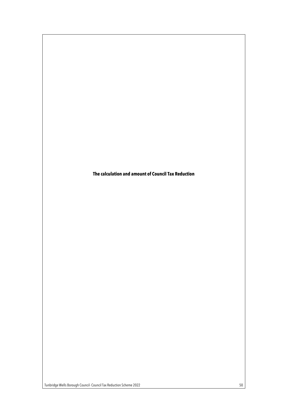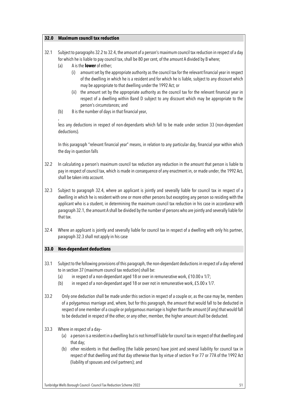## **32.0 Maximum council tax reduction**

- 32.1 Subject to paragraphs 32.2 to 32.4, the amount of a person's maximum council tax reduction in respect of a day for which he is liable to pay council tax, shall be 80 per cent, of the amount A divided by B where;
	- (a) A is the **lower** of either;

,

- (i) amount set by the appropriate authority as the council tax for the relevant financial year in respect of the dwelling in which he is a resident and for which he is liable, subject to any discount which may be appropriate to that dwelling under the 1992 Act; or
- (ii) the amount set by the appropriate authority as the council tax for the relevant financial year in respect of a dwelling within Band D subject to any discount which may be appropriate to the person's circumstances; and
- (b) B is the number of days in that financial year,

less any deductions in respect of non-dependants which fall to be made under section 33 (non-dependant deductions).

In this paragraph "relevant financial year" means, in relation to any particular day, financial year within which the day in question falls

- 32.2 In calculating a person's maximum council tax reduction any reduction in the amount that person is liable to pay in respect of council tax, which is made in consequence of any enactment in, or made under, the 1992 Act, shall be taken into account.
- 32.3 Subject to paragraph 32.4, where an applicant is jointly and severally liable for council tax in respect of a dwelling in which he is resident with one or more other persons but excepting any person so residing with the applicant who is a student, in determining the maximum council tax reduction in his case in accordance with paragraph 32.1, the amount A shall be divided by the number of persons who are jointly and severally liable for that tax.
- 32.4 Where an applicant is jointly and severally liable for council tax in respect of a dwelling with only his partner, paragraph 32.3 shall not apply in his case

### **33.0 Non-dependant deductions**

- 33.1 Subject to the following provisions of this paragraph, the non-dependant deductions in respect of a day referred to in section 37 (maximum council tax reduction) shall be:
	- (a) in respect of a non-dependant aged 18 or over in remunerative work,  $\pm 10.00 \times 1/7$ ;
	- (b) in respect of a non-dependant aged 18 or over not in remunerative work, £5.00 x 1/7.
- 33.2 Only one deduction shall be made under this section in respect of a couple or, as the case may be, members of a polygamous marriage and, where, but for this paragraph, the amount that would fall to be deducted in respect of one member of a couple or polygamous marriage is higher than the amount (if any) that would fall to be deducted in respect of the other, or any other, member, the higher amount shall be deducted.
- 33.3 Where in respect of a day–
	- (a) a person is a resident in a dwelling but is not himself liable for council tax in respect of that dwelling and that day;
	- (b) other residents in that dwelling (the liable persons) have joint and several liability for council tax in respect of that dwelling and that day otherwise than by virtue of section 9 or 77 or 77A of the 1992 Act (liability of spouses and civil partners); and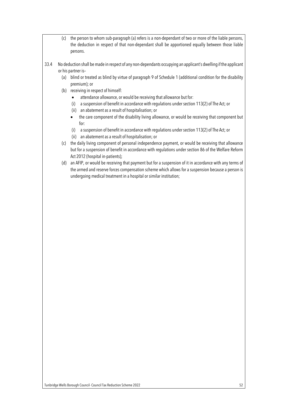- (c) the person to whom sub-paragraph (a) refers is a non-dependant of two or more of the liable persons, the deduction in respect of that non-dependant shall be apportioned equally between those liable persons.
- 33.4 No deduction shall be made in respect of any non-dependants occupying an applicant's dwelling if the applicant or his partner is–
	- (a) blind or treated as blind by virtue of paragraph 9 of Schedule 1 (additional condition for the disability premium); or
	- (b) receiving in respect of himself:
		- attendance allowance, or would be receiving that allowance but for:
		- (i) a suspension of benefit in accordance with regulations under section 113(2) of The Act; or
		- (ii) an abatement as a result of hospitalisation; or
		- the care component of the disability living allowance, or would be receiving that component but for:
		- (i) a suspension of benefit in accordance with regulations under section 113(2) of The Act; or
		- (ii) an abatement as a result of hospitalisation; or
	- (c) the daily living component of personal independence payment, or would be receiving that allowance but for a suspension of benefit in accordance with regulations under section 86 of the Welfare Reform Act 2012 (hospital in-patients);
	- (d) an AFIP, or would be receiving that payment but for a suspension of it in accordance with any terms of the armed and reserve forces compensation scheme which allows for a suspension because a person is undergoing medical treatment in a hospital or similar institution;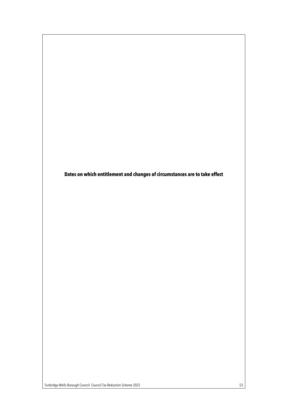**Dates on which entitlement and changes of circumstances are to take effect**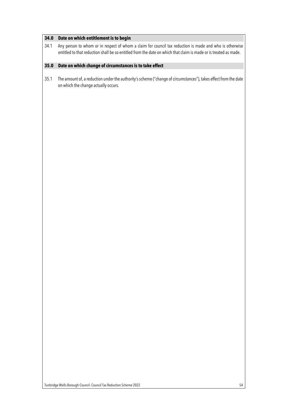## **34.0 Date on which entitlement is to begin**

34.1 Any person to whom or in respect of whom a claim for council tax reduction is made and who is otherwise entitled to that reduction shall be so entitled from the date on which that claim is made or is treated as made.

## **35.0 Date on which change of circumstances is to take effect**

35.1 The amount of, a reduction under the authority's scheme ("change of circumstances"), takes effect from the date on which the change actually occurs.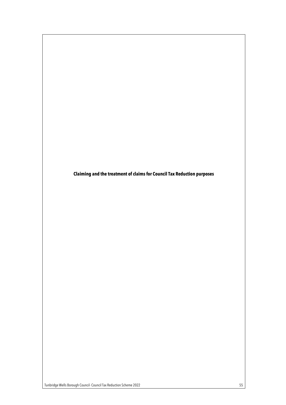**Claiming and the treatment of claims for Council Tax Reduction purposes**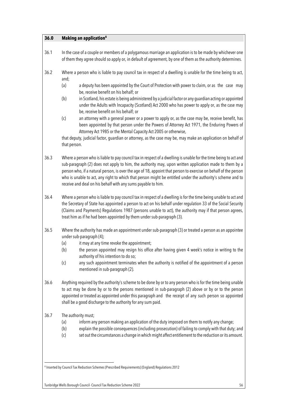## **36.0 Making an application6**

- 36.1 In the case of a couple or members of a polygamous marriage an application is to be made by whichever one of them they agree should so apply or, in default of agreement, by one of them as the authority determines.
- 36.2 Where a person who is liable to pay council tax in respect of a dwelling is unable for the time being to act, and;
	- (a) a deputy has been appointed by the Court of Protection with power to claim, or as the case may be, receive benefit on his behalf; or
	- (b) in Scotland, his estate is being administered by a judicial factor or any guardian acting or appointed under the Adults with Incapacity (Scotland) Act 2000 who has power to apply or, as the case may be, receive benefit on his behalf; or
	- (c) an attorney with a general power or a power to apply or, as the case may be, receive benefit, has been appointed by that person under the Powers of Attorney Act 1971, the Enduring Powers of Attorney Act 1985 or the Mental Capacity Act 2005 or otherwise,

that deputy, judicial factor, guardian or attorney, as the case may be, may make an application on behalf of that person.

- 36.3 Where a person who is liable to pay council tax in respect of a dwelling is unable for the time being to act and sub-paragraph (2) does not apply to him, the authority may, upon written application made to them by a person who, if a natural person, is over the age of 18, appoint that person to exercise on behalf of the person who is unable to act, any right to which that person might be entitled under the authority's scheme and to receive and deal on his behalf with any sums payable to him.
- 36.4 Where a person who is liable to pay council tax in respect of a dwelling is for the time being unable to act and the Secretary of State has appointed a person to act on his behalf under regulation 33 of the Social Security (Claims and Payments) Regulations 1987 (persons unable to act), the authority may if that person agrees, treat him as if he had been appointed by them under sub-paragraph (3).
- 36.5 Where the authority has made an appointment under sub-paragraph (3) or treated a person as an appointee under sub-paragraph (4);
	- (a) it may at any time revoke the appointment;
	- (b) the person appointed may resign his office after having given 4 week's notice in writing to the authority of his intention to do so;
	- (c) any such appointment terminates when the authority is notified of the appointment of a person mentioned in sub-paragraph (2).
- 36.6 Anything required by the authority's scheme to be done by or to any person who is for the time being unable to act may be done by or to the persons mentioned in sub-paragraph (2) above or by or to the person appointed or treated as appointed under this paragraph and the receipt of any such person so appointed shall be a good discharge to the authority for any sum paid.
- 36.7 The authority must;
	- (a) inform any person making an application of the duty imposed on them to notify any change;
	- (b) explain the possible consequences (including prosecution) of failing to comply with that duty; and
	- (c) set out the circumstances a change in which might affect entitlement to the reduction or its amount.

Tunbridge Wells Borough Council- Council Tax Reduction Scheme 2022 56

<sup>6</sup> Inserted by Council Tax Reduction Schemes (Prescribed Requirements) (England) Regulations 2012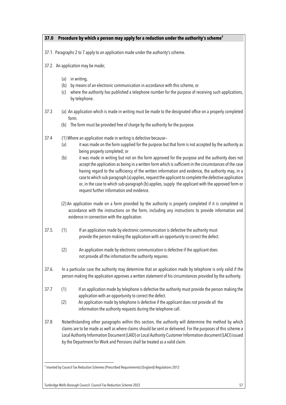| 37.0  |     | Procedure by which a person may apply for a reduction under the authority's scheme <sup>7</sup>                                                                                                                                                                                                                                                                                                                    |
|-------|-----|--------------------------------------------------------------------------------------------------------------------------------------------------------------------------------------------------------------------------------------------------------------------------------------------------------------------------------------------------------------------------------------------------------------------|
|       |     | 37.1. Paragraphs 2 to 7 apply to an application made under the authority's scheme.                                                                                                                                                                                                                                                                                                                                 |
|       |     |                                                                                                                                                                                                                                                                                                                                                                                                                    |
|       |     | 37.2. An application may be made;                                                                                                                                                                                                                                                                                                                                                                                  |
|       | (a) | in writing,                                                                                                                                                                                                                                                                                                                                                                                                        |
|       | (b) | by means of an electronic communication in accordance with this scheme, or                                                                                                                                                                                                                                                                                                                                         |
|       | (c) | where the authority has published a telephone number for the purpose of receiving such applications,<br>by telephone.                                                                                                                                                                                                                                                                                              |
| 37.3  |     | (a) An application which is made in writing must be made to the designated office on a properly completed<br>form.                                                                                                                                                                                                                                                                                                 |
|       |     | (b) The form must be provided free of charge by the authority for the purpose.                                                                                                                                                                                                                                                                                                                                     |
| 37.4  |     | (1) Where an application made in writing is defective because-                                                                                                                                                                                                                                                                                                                                                     |
|       | (a) | it was made on the form supplied for the purpose but that form is not accepted by the authority as<br>being properly completed; or                                                                                                                                                                                                                                                                                 |
|       | (b) | it was made in writing but not on the form approved for the purpose and the authority does not                                                                                                                                                                                                                                                                                                                     |
|       |     | accept the application as being in a written form which is sufficient in the circumstances of the case                                                                                                                                                                                                                                                                                                             |
|       |     | having regard to the sufficiency of the written information and evidence, the authority may, in a<br>case to which sub-paragraph (a) applies, request the applicant to complete the defective application                                                                                                                                                                                                          |
|       |     | or, in the case to which sub-paragraph (b) applies, supply the applicant with the approved form or<br>request further information and evidence.                                                                                                                                                                                                                                                                    |
|       |     | (2) An application made on a form provided by the authority is properly completed if it is completed in<br>accordance with the instructions on the form, including any instructions to provide information and<br>evidence in connection with the application.                                                                                                                                                     |
| 37.5. | (1) | If an application made by electronic communication is defective the authority must<br>provide the person making the application with an opportunity to correct the defect.                                                                                                                                                                                                                                         |
|       | (2) | An application made by electronic communication is defective if the applicant does<br>not provide all the information the authority requires.                                                                                                                                                                                                                                                                      |
| 37.6. |     | In a particular case the authority may determine that an application made by telephone is only valid if the<br>person making the application approves a written statement of his circumstances provided by the authority.                                                                                                                                                                                          |
| 37.7  | (1) | If an application made by telephone is defective the authority must provide the person making the                                                                                                                                                                                                                                                                                                                  |
|       | (2) | application with an opportunity to correct the defect.<br>An application made by telephone is defective if the applicant does not provide all the<br>information the authority requests during the telephone call.                                                                                                                                                                                                 |
| 37.8  |     | Notwithstanding other paragraphs within this section, the authority will determine the method by which<br>claims are to be made as well as where claims should be sent or delivered. For the purposes of this scheme a<br>Local Authority Information Document (LAID) or Local Authority Customer Information document (LACI) issued<br>by the Department for Work and Pensions shall be treated as a valid claim. |
|       |     | <sup>7</sup> Inserted by Council Tax Reduction Schemes (Prescribed Requirements) (England) Regulations 2012                                                                                                                                                                                                                                                                                                        |

Tunbridge Wells Borough Council- Council Tax Reduction Scheme 2022 57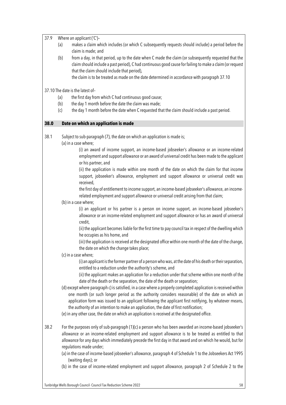37.9 Where an applicant ('C')–

- (a) makes a claim which includes (or which C subsequently requests should include) a period before the claim is made; and
- (b) from a day, in that period, up to the date when C made the claim (or subsequently requested that the claim should include a past period), C had continuous good cause for failing to make a claim (or request that the claim should include that period),
	- the claim is to be treated as made on the date determined in accordance with paragraph 37.10

37.10 The date is the latest of–

- (a) the first day from which C had continuous good cause;
- (b) the day 1 month before the date the claim was made;
- (c) the day 1 month before the date when C requested that the claim should include a past period.

#### **38.0 Date on which an application is made**

38.1 Subject to sub-paragraph (7), the date on which an application is made is;

(a) in a case where;

- (i) an award of income support, an income-based jobseeker's allowance or an income-related employment and support allowance or an award of universal credit has been made to the applicant or his partner, and
- (ii) the application is made within one month of the date on which the claim for that income support, jobseeker's allowance, employment and support allowance or universal credit was received,
- the first day of entitlement to income support, an income-based jobseeker's allowance, an incomerelated employment and support allowance or universal credit arising from that claim;
- (b) in a case where;
	- (i) an applicant or his partner is a person on income support, an income-based jobseeker's allowance or an income-related employment and support allowance or has an award of universal credit,
	- (ii) the applicant becomes liable for the first time to pay council tax in respect of the dwelling which he occupies as his home, and
	- (iii) the application is received at the designated office within one month of the date of the change, the date on which the change takes place;

### (c) in a case where;

- (i) an applicant is the former partner of a person whowas, at the date of his death or their separation, entitled to a reduction under the authority's scheme, and
- (ii) the applicant makes an application for a reduction under that scheme within one month of the date of the death or the separation, the date of the death or separation;
- (d) except where paragraph c) is satisfied, in a case where a properly completed application is received within one month (or such longer period as the authority considers reasonable) of the date on which an application form was issued to an applicant following the applicant first notifying, by whatever means, the authority of an intention to make an application, the date of first notification;
- (e) in any other case, the date on which an application is received at the designated office.
- 38.2 For the purposes only of sub-paragraph (1)(c) a person who has been awarded an income-based jobseeker's allowance or an income-related employment and support allowance is to be treated as entitled to that allowance for any days which immediately precede the first day in that award and on which he would, but for regulations made under;
	- (a) in the case of income-based jobseeker's allowance, paragraph 4 of Schedule 1 to the Jobseekers Act 1995 (waiting days); or
	- (b) in the case of income-related employment and support allowance, paragraph 2 of Schedule 2 to the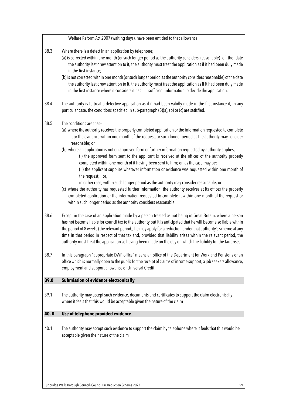|      | Welfare Reform Act 2007 (waiting days), have been entitled to that allowance.                                                                                                                                                                                                                                                                                                                                                                                                                                                                                                                                                                                                                                                                                                                                                                                                                                                                                                                                                                                                          |
|------|----------------------------------------------------------------------------------------------------------------------------------------------------------------------------------------------------------------------------------------------------------------------------------------------------------------------------------------------------------------------------------------------------------------------------------------------------------------------------------------------------------------------------------------------------------------------------------------------------------------------------------------------------------------------------------------------------------------------------------------------------------------------------------------------------------------------------------------------------------------------------------------------------------------------------------------------------------------------------------------------------------------------------------------------------------------------------------------|
| 38.3 | Where there is a defect in an application by telephone;<br>(a) is corrected within one month (or such longer period as the authority considers reasonable) of the date<br>the authority last drew attention to it, the authority must treat the application as if it had been duly made<br>in the first instance;<br>(b) is not corrected within one month (or such longer period as the authority considers reasonable) of the date<br>the authority last drew attention to it, the authority must treat the application as if it had been duly made<br>in the first instance where it considers it has<br>sufficient information to decide the application.                                                                                                                                                                                                                                                                                                                                                                                                                          |
| 38.4 | The authority is to treat a defective application as if it had been validly made in the first instance if, in any<br>particular case, the conditions specified in sub-paragraph (5)(a), (b) or (c) are satisfied.                                                                                                                                                                                                                                                                                                                                                                                                                                                                                                                                                                                                                                                                                                                                                                                                                                                                      |
| 38.5 | The conditions are that-<br>(a) where the authority receives the properly completed application or the information requested to complete<br>it or the evidence within one month of the request, or such longer period as the authority may consider<br>reasonable; or<br>(b) where an application is not on approved form or further information requested by authority applies;<br>(i) the approved form sent to the applicant is received at the offices of the authority properly<br>completed within one month of it having been sent to him; or, as the case may be;<br>(ii) the applicant supplies whatever information or evidence was requested within one month of<br>the request; or,<br>in either case, within such longer period as the authority may consider reasonable; or<br>(c) where the authority has requested further information, the authority receives at its offices the properly<br>completed application or the information requested to complete it within one month of the request or<br>within such longer period as the authority considers reasonable. |
| 38.6 | Except in the case of an application made by a person treated as not being in Great Britain, where a person<br>has not become liable for council tax to the authority but it is anticipated that he will become so liable within<br>the period of 8 weeks (the relevant period), he may apply for a reduction under that authority's scheme at any<br>time in that period in respect of that tax and, provided that liability arises within the relevant period, the<br>authority must treat the application as having been made on the day on which the liability for the tax arises.                                                                                                                                                                                                                                                                                                                                                                                                                                                                                                 |
| 38.7 | In this paragraph "appropriate DWP office" means an office of the Department for Work and Pensions or an<br>office which is normally open to the public for the receipt of claims of income support, a job seekers allowance,<br>employment and support allowance or Universal Credit.                                                                                                                                                                                                                                                                                                                                                                                                                                                                                                                                                                                                                                                                                                                                                                                                 |
| 39.0 | <b>Submission of evidence electronically</b>                                                                                                                                                                                                                                                                                                                                                                                                                                                                                                                                                                                                                                                                                                                                                                                                                                                                                                                                                                                                                                           |
| 39.1 | The authority may accept such evidence, documents and certificates to support the claim electronically<br>where it feels that this would be acceptable given the nature of the claim                                                                                                                                                                                                                                                                                                                                                                                                                                                                                                                                                                                                                                                                                                                                                                                                                                                                                                   |
| 40.0 | Use of telephone provided evidence                                                                                                                                                                                                                                                                                                                                                                                                                                                                                                                                                                                                                                                                                                                                                                                                                                                                                                                                                                                                                                                     |
| 40.1 | The authority may accept such evidence to support the claim by telephone where it feels that this would be<br>acceptable given the nature of the claim                                                                                                                                                                                                                                                                                                                                                                                                                                                                                                                                                                                                                                                                                                                                                                                                                                                                                                                                 |
|      |                                                                                                                                                                                                                                                                                                                                                                                                                                                                                                                                                                                                                                                                                                                                                                                                                                                                                                                                                                                                                                                                                        |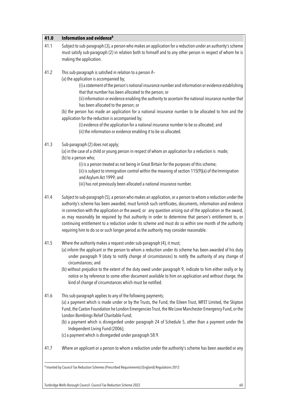| 41.0 | Information and evidence <sup>8</sup>                                                                                                                                                                                                                                                                                                                                                                                                                                                                                                                                                                                                                                                                                                           |
|------|-------------------------------------------------------------------------------------------------------------------------------------------------------------------------------------------------------------------------------------------------------------------------------------------------------------------------------------------------------------------------------------------------------------------------------------------------------------------------------------------------------------------------------------------------------------------------------------------------------------------------------------------------------------------------------------------------------------------------------------------------|
| 41.1 | Subject to sub-paragraph (3), a person who makes an application for a reduction under an authority's scheme<br>must satisfy sub-paragraph (2) in relation both to himself and to any other person in respect of whom he is<br>making the application.                                                                                                                                                                                                                                                                                                                                                                                                                                                                                           |
| 41.2 | This sub-paragraph is satisfied in relation to a person if-<br>(a) the application is accompanied by;<br>(i) a statement of the person's national insurance number and information or evidence establishing<br>that that number has been allocated to the person; or<br>(ii) information or evidence enabling the authority to ascertain the national insurance number that<br>has been allocated to the person; or<br>(b) the person has made an application for a national insurance number to be allocated to him and the<br>application for the reduction is accompanied by;<br>(i) evidence of the application for a national insurance number to be so allocated; and<br>(ii) the information or evidence enabling it to be so allocated. |
| 41.3 | Sub-paragraph (2) does not apply;<br>(a) in the case of a child or young person in respect of whom an application for a reduction is made;<br>(b) to a person who;<br>(i) is a person treated as not being in Great Britain for the purposes of this scheme;<br>(ii) is subject to immigration control within the meaning of section 115(9)(a) of the Immigration<br>and Asylum Act 1999; and<br>(iii) has not previously been allocated a national insurance number.                                                                                                                                                                                                                                                                           |
| 41.4 | Subject to sub-paragraph (5), a person who makes an application, or a person to whom a reduction under the<br>authority's scheme has been awarded, must furnish such certificates, documents, information and evidence<br>in connection with the application or the award, or any question arising out of the application or the award,<br>as may reasonably be required by that authority in order to determine that person's entitlement to, or<br>continuing entitlement to a reduction under its scheme and must do so within one month of the authority<br>requiring him to do so or such longer period as the authority may consider reasonable.                                                                                          |
| 41.5 | Where the authority makes a request under sub-paragraph (4), it must;<br>(a) inform the applicant or the person to whom a reduction under its scheme has been awarded of his duty<br>under paragraph 9 (duty to notify change of circumstances) to notify the authority of any change of<br>circumstances; and<br>(b) without prejudice to the extent of the duty owed under paragraph 9, indicate to him either orally or by<br>notice or by reference to some other document available to him on application and without charge, the<br>kind of change of circumstances which must be notified.                                                                                                                                               |
| 41.6 | This sub-paragraph applies to any of the following payments;<br>(a) a payment which is made under or by the Trusts, the Fund, the Eileen Trust, MFET Limited, the Skipton<br>Fund, the Caxton Foundation he London Emergencies Trust, the We Love Manchester Emergency Fund, or the<br>London Bombings Relief Charitable Fund;<br>(b) a payment which is disregarded under paragraph 24 of Schedule 5, other than a payment under the<br>Independent Living Fund (2006);<br>(c) a payment which is disregarded under paragraph 58.9.                                                                                                                                                                                                            |
| 41.7 | Where an applicant or a person to whom a reduction under the authority's scheme has been awarded or any                                                                                                                                                                                                                                                                                                                                                                                                                                                                                                                                                                                                                                         |

<sup>8</sup> Inserted by Council Tax Reduction Schemes (Prescribed Requirements) (England) Regulations 2012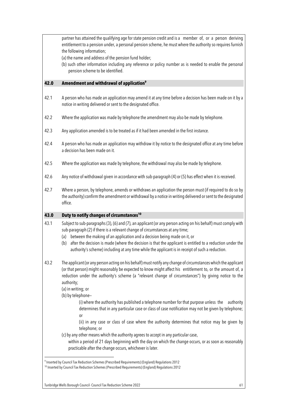partner has attained the qualifying age for state pension credit and is a member of, or a person deriving entitlement to a pension under, a personal pension scheme, he must where the authority so requires furnish the following information;

(a) the name and address of the pension fund holder;

(b) such other information including any reference or policy number as is needed to enable the personal pension scheme to be identified.

#### **42.0 Amendment and withdrawal of application9**

- 42.1 A person who has made an application may amend it at any time before a decision has been made on it by a notice in writing delivered or sent to the designated office.
- 42.2 Where the application was made by telephone the amendment may also be made by telephone.
- 42.3 Any application amended is to be treated as if it had been amended in the first instance.
- 42.4 A person who has made an application may withdraw it by notice to the designated office at any time before a decision has been made on it.
- 42.5 Where the application was made by telephone, the withdrawal may also be made by telephone.
- 42.6 Any notice of withdrawal given in accordance with sub-paragraph (4) or (5) has effect when it is received.
- 42.7 Where a person, by telephone, amends or withdraws an application the person must (if required to do so by the authority) confirm the amendment or withdrawal by a notice in writing delivered or sent to the designated office.

### **43.0 Duty to notify changes of circumstances10**

- 43.1 Subject to sub-paragraphs (3), (6) and (7), an applicant (or any person acting on his behalf) must comply with sub-paragraph (2) if there is a relevant change of circumstances at any time;
	- (a) between the making of an application and a decision being made on it, or
	- (b) after the decision is made (where the decision is that the applicant is entitled to a reduction under the authority's scheme) including at any time while the applicant is in receipt of such a reduction.
- 43.2 The applicant (or any person acting on his behalf) must notify any change of circumstances which the applicant (or that person) might reasonably be expected to know might affect his entitlement to, or the amount of, a reduction under the authority's scheme (a "relevant change of circumstances") by giving notice to the authority;

(a) in writing; or

(b) by telephone—

- (i) where the authority has published a telephone number for that purpose unless the authority determines that in any particular case or class of case notification may not be given by telephone; or
- (ii) in any case or class of case where the authority determines that notice may be given by telephone; or
- (c) by any other means which the authority agrees to accept in any particular case,

within a period of 21 days beginning with the day on which the change occurs, or as soon as reasonably practicable after the change occurs, whichever is later.

<sup>9</sup> Inserted by Council Tax Reduction Schemes (Prescribed Requirements) (England) Regulations 2012

<sup>10</sup> Inserted by Council Tax Reduction Schemes (Prescribed Requirements) (England) Regulations 2012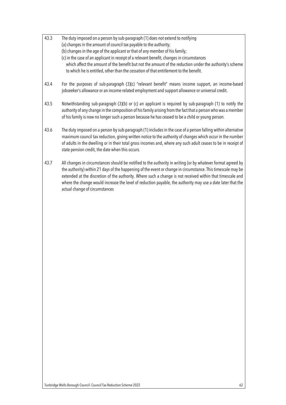- 43.3 The duty imposed on a person by sub-paragraph (1) does not extend to notifying (a) changes in the amount of council tax payable to the authority; (b) changes in the age of the applicant or that of any member of his family; (c) in the case of an applicant in receipt of a relevant benefit, changes in circumstances which affect the amount of the benefit but not the amount of the reduction under the authority's scheme to which he is entitled, other than the cessation of that entitlement to the benefit.
- 43.4 For the purposes of sub-paragraph (3)(c) "relevant benefit" means income support, an income-based jobseeker's allowance or an income-related employment and support allowance or universal credit.
- 43.5 Notwithstanding sub-paragraph (3)(b) or (c) an applicant is required by sub-paragraph (1) to notify the authority of any change in the composition of his family arising from the fact that a person who was a member of his family is now no longer such a person because he has ceased to be a child or young person.
- 43.6 The duty imposed on a person by sub-paragraph (1) includes in the case of a person falling within alternative maximum council tax reduction, giving written notice to the authority of changes which occur in the number of adults in the dwelling or in their total gross incomes and, where any such adult ceases to be in receipt of state pension credit, the date when this occurs.
- 43.7 All changes in circumstances should be notified to the authority in writing (or by whatever format agreed by the authority) within 21 days of the happening of the event or change in circumstance. This timescale may be extended at the discretion of the authority. Where such a change is not received within that timescale and where the change would increase the level of reduction payable, the authority may use a date later that the actual change of circumstances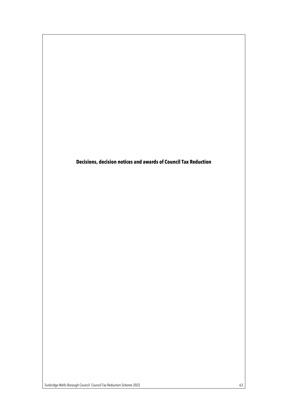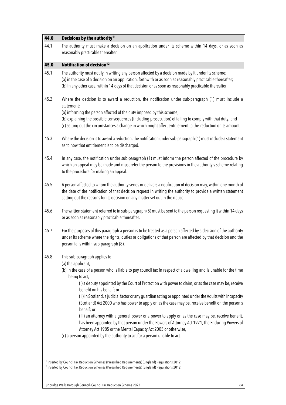| 44.0 | Decisions by the authority <sup>11</sup>                                                                                                                                                                                                                                                                                                                                                                                                                                                                                                                                                                                                                                                                                                                                                                                                                                                                                   |
|------|----------------------------------------------------------------------------------------------------------------------------------------------------------------------------------------------------------------------------------------------------------------------------------------------------------------------------------------------------------------------------------------------------------------------------------------------------------------------------------------------------------------------------------------------------------------------------------------------------------------------------------------------------------------------------------------------------------------------------------------------------------------------------------------------------------------------------------------------------------------------------------------------------------------------------|
| 44.1 | The authority must make a decision on an application under its scheme within 14 days, or as soon as<br>reasonably practicable thereafter.                                                                                                                                                                                                                                                                                                                                                                                                                                                                                                                                                                                                                                                                                                                                                                                  |
| 45.0 | Notification of decision <sup>12</sup>                                                                                                                                                                                                                                                                                                                                                                                                                                                                                                                                                                                                                                                                                                                                                                                                                                                                                     |
| 45.1 | The authority must notify in writing any person affected by a decision made by it under its scheme;<br>(a) in the case of a decision on an application, forthwith or as soon as reasonably practicable thereafter;<br>(b) in any other case, within 14 days of that decision or as soon as reasonably practicable thereafter.                                                                                                                                                                                                                                                                                                                                                                                                                                                                                                                                                                                              |
| 45.2 | Where the decision is to award a reduction, the notification under sub-paragraph (1) must include a<br>statement;<br>(a) informing the person affected of the duty imposed by this scheme;<br>(b) explaining the possible consequences (including prosecution) of failing to comply with that duty; and<br>(c) setting out the circumstances a change in which might affect entitlement to the reduction or its amount.                                                                                                                                                                                                                                                                                                                                                                                                                                                                                                    |
| 45.3 | Where the decision is to award a reduction, the notification under sub-paragraph (1) must include a statement<br>as to how that entitlement is to be discharged.                                                                                                                                                                                                                                                                                                                                                                                                                                                                                                                                                                                                                                                                                                                                                           |
| 45.4 | In any case, the notification under sub-paragraph (1) must inform the person affected of the procedure by<br>which an appeal may be made and must refer the person to the provisions in the authority's scheme relating<br>to the procedure for making an appeal.                                                                                                                                                                                                                                                                                                                                                                                                                                                                                                                                                                                                                                                          |
| 45.5 | A person affected to whom the authority sends or delivers a notification of decision may, within one month of<br>the date of the notification of that decision request in writing the authority to provide a written statement<br>setting out the reasons for its decision on any matter set out in the notice.                                                                                                                                                                                                                                                                                                                                                                                                                                                                                                                                                                                                            |
| 45.6 | The written statement referred to in sub-paragraph (5) must be sent to the person requesting it within 14 days<br>or as soon as reasonably practicable thereafter.                                                                                                                                                                                                                                                                                                                                                                                                                                                                                                                                                                                                                                                                                                                                                         |
| 45.7 | For the purposes of this paragraph a person is to be treated as a person affected by a decision of the authority<br>under its scheme where the rights, duties or obligations of that person are affected by that decision and the<br>person falls within sub-paragraph (8).                                                                                                                                                                                                                                                                                                                                                                                                                                                                                                                                                                                                                                                |
| 45.8 | This sub-paragraph applies to-<br>(a) the applicant;<br>(b) in the case of a person who is liable to pay council tax in respect of a dwelling and is unable for the time<br>being to act;<br>(i) a deputy appointed by the Court of Protection with power to claim, or as the case may be, receive<br>benefit on his behalf; or<br>(ii) in Scotland, a judicial factor or any guardian acting or appointed under the Adults with Incapacity<br>(Scotland) Act 2000 who has power to apply or, as the case may be, receive benefit on the person's<br>behalf; or<br>(iii) an attorney with a general power or a power to apply or, as the case may be, receive benefit,<br>has been appointed by that person under the Powers of Attorney Act 1971, the Enduring Powers of<br>Attorney Act 1985 or the Mental Capacity Act 2005 or otherwise,<br>(c) a person appointed by the authority to act for a person unable to act. |
|      | <sup>11</sup> Inserted by Council Tax Reduction Schemes (Prescribed Requirements) (England) Regulations 2012                                                                                                                                                                                                                                                                                                                                                                                                                                                                                                                                                                                                                                                                                                                                                                                                               |

<sup>12</sup> Inserted by Council Tax Reduction Schemes (Prescribed Requirements) (England) Regulations 2012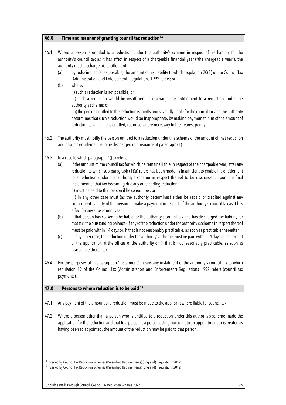### **46.0 Time and manner of granting council tax reduction13**

- 46.1 Where a person is entitled to a reduction under this authority's scheme in respect of his liability for the authority's council tax as it has effect in respect of a chargeable financial year ("the chargeable year"), the authority must discharge his entitlement;
	- (a) by reducing, so far as possible, the amount of his liability to which regulation 20(2) of the Council Tax (Administration and Enforcement) Regulations 1992 refers; or
	- (b) where;

(i) such a reduction is not possible; or

(ii) such a reduction would be insufficient to discharge the entitlement to a reduction under the authority's scheme; or

(iii) the person entitled to the reduction is jointly and severally liable for the council tax and the authority determines that such a reduction would be inappropriate, by making payment to him of the amount of reduction to which he is entitled, rounded where necessary to the nearest penny.

- 46.2 The authority must notify the person entitled to a reduction under this scheme of the amount of that reduction and how his entitlement is to be discharged in pursuance of paragraph (1).
- 46.3 In a case to which paragraph (1)(b) refers;
	- (a) if the amount of the council tax for which he remains liable in respect of the chargeable year, after any reduction to which sub-paragraph (1)(a) refers has been made, is insufficient to enable his entitlement to a reduction under the authority's scheme in respect thereof to be discharged, upon the final instalment of that tax becoming due any outstanding reduction;

(i) must be paid to that person if he so requires; or

(ii) in any other case must (as the authority determines) either be repaid or credited against any subsequent liability of the person to make a payment in respect of the authority's council tax as it has effect for any subsequent year;

- (b) if that person has ceased to be liable for the authority's council tax and has discharged the liability for that tax, the outstanding balance (if any) of the reduction under the authority's scheme in respect thereof must be paid within 14 days or, if that is not reasonably practicable, as soon as practicable thereafter
- (c) in any other case, the reduction under the authority's scheme must be paid within 14 days of the receipt of the application at the offices of the authority or, if that is not reasonably practicable, as soon as practicable thereafter.
- 46.4 For the purposes of this paragraph "instalment" means any instalment of the authority's council tax to which regulation 19 of the Council Tax (Administration and Enforcement) Regulations 1992 refers (council tax payments).

### **47.0 Persons to whom reduction is to be paid 14**

- 47.1 Any payment of the amount of a reduction must be made to the applicant where liable for council tax
- 47.2 Where a person other than a person who is entitled to a reduction under this authority's scheme made the application for the reduction and that first person is a person acting pursuant to an appointment or is treated as having been so appointed, the amount of the reduction may be paid to that person.

<sup>13</sup> Inserted by Council Tax Reduction Schemes (Prescribed Requirements) (England) Regulations 2012

<sup>14</sup> Inserted by Council Tax Reduction Schemes (Prescribed Requirements) (England) Regulations 2012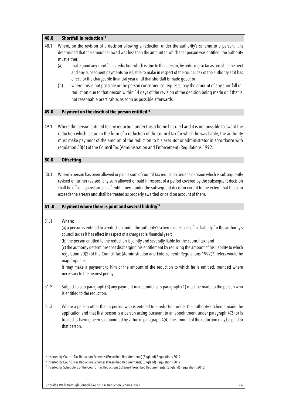#### **48.0 Shortfall in reduction15**

- 48.1 Where, on the revision of a decision allowing a reduction under the authority's scheme to a person, it is determined that the amount allowed was less than the amount to which that person was entitled, the authority must either;
	- (a) make good any shortfall in reduction which is due to that person, by reducing so far as possible the next and any subsequent payments he is liable to make in respect of the council tax of the authority as it has effect for the chargeable financial year until that shortfall is made good; or
	- (b) where this is not possible or the person concerned so requests, pay the amount of any shortfall in reduction due to that person within 14 days of the revision of the decision being made or if that is not reasonable practicable, as soon as possible afterwards.

#### **49.0 Payment on the death of the person entitled16**

49.1 Where the person entitled to any reduction under this scheme has died and it is not possible to award the reduction which is due in the form of a reduction of the council tax for which he was liable, the authority must make payment of the amount of the reduction to his executor or administrator in accordance with regulation 58(4) of the Council Tax (Administration and Enforcement) Regulations 1992.

### **50.0 Offsetting**

50.1 Where a person has been allowed or paid a sum of council tax reduction under a decision which is subsequently revised or further revised, any sum allowed or paid in respect of a period covered by the subsequent decision shall be offset against arrears of entitlement under the subsequent decision except to the extent that the sum exceeds the arrears and shall be treated as properly awarded or paid on account of them.

### **51 .0 Payment where there is joint and several liability17**

51.1 Where;

(a) a person is entitled to a reduction under the authority's scheme in respect of his liability for the authority's council tax as it has effect in respect of a chargeable financial year;

(b) the person entitled to the reduction is jointly and severally liable for the council tax; and (c) the authority determines that discharging his entitlement by reducing the amount of his liability to which regulation 20(2) of the Council Tax (Administration and Enforcement) Regulations 1992(7) refers would be inappropriate,

it may make a payment to him of the amount of the reduction to which he is entitled, rounded where necessary to the nearest penny.

- 51.2 Subject to sub-paragraph (3) any payment made under sub-paragraph (1) must be made to the person who is entitled to the reduction.
- 51.3 Where a person other than a person who is entitled to a reduction under the authority's scheme made the application and that first person is a person acting pursuant to an appointment under paragraph 4(3) or is treated as having been so appointed by virtue of paragraph 4(4), the amount of the reduction may be paid to that person.

<sup>&</sup>lt;sup>15</sup> Inserted by Council Tax Reduction Schemes (Prescribed Requirements) (England) Requlations 2012

<sup>&</sup>lt;sup>16</sup> Inserted by Council Tax Reduction Schemes (Prescribed Requirements) (England) Regulations 2012

<sup>17</sup> Inserted by Schedule 8 of the Council Tax Reductions Scheme (Prescribed Requirements) (England) Regulations 2012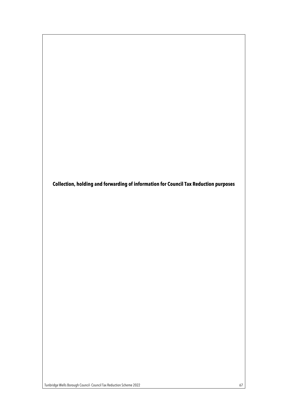**Collection, holding and forwarding of information for Council Tax Reduction purposes**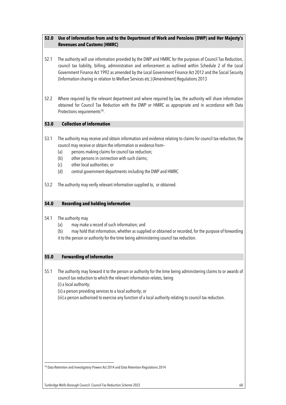## **52.0 Use of information from and to the Department of Work and Pensions (DWP) and Her Majesty's Revenues and Customs (HMRC)**

- 52.1 The authority will use information provided by the DWP and HMRC for the purposes of Council Tax Reduction, council tax liability, billing, administration and enforcement as outlined within Schedule 2 of the Local Government Finance Act 1992 as amended by the Local Government Finance Act 2012 and the Social Security (Information-sharing in relation to Welfare Services etc.) (Amendment) Regulations 2013
- 52.2 Where required by the relevant department and where required by law, the authority will share information obtained for Council Tax Reduction with the DWP or HMRC as appropriate and in accordance with Data Protections requirements<sup>18</sup>.

## **53.0 Collection of information**

- 53.1 The authority may receive and obtain information and evidence relating to claims for council tax reduction, the council may receive or obtain the information or evidence from–
	- (a) persons making claims for council tax reduction;
	- (b) other persons in connection with such claims;
	- (c) other local authorities; or
	- (d) central government departments including the DWP and HMRC
- 53.2 The authority may verify relevant information supplied to, or obtained.

## **54.0 Recording and holding information**

- 54.1 The authority may
	- (a) may make a record of such information; and
	- (b) may hold that information, whether as supplied or obtained or recorded, for the purpose of forwarding it to the person or authority for the time being administering council tax reduction.

### **55.0 Forwarding of information**

55.1 The authority may forward it to the person or authority for the time being administering claims to or awards of council tax reduction to which the relevant information relates, being

(i) a local authority;

(ii) a person providing services to a local authority; or

(iii) a person authorised to exercise any function of a local authority relating to council tax reduction.

<sup>18</sup> Data Retention and Investigatory Powers Act 2014 and Data Retention Regulations 2014

Tunbridge Wells Borough Council- Council Tax Reduction Scheme 2022 68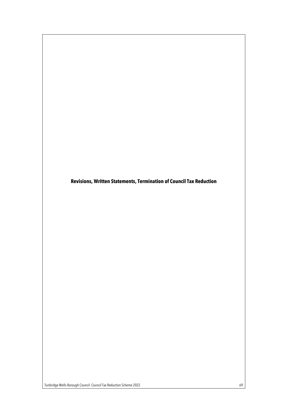**Revisions, Written Statements, Termination of Council Tax Reduction**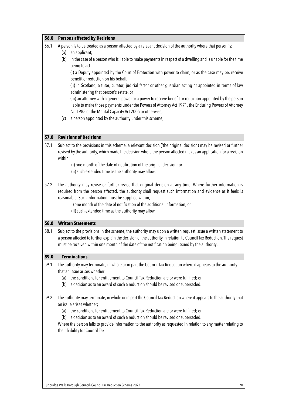| 56.0 | <b>Persons affected by Decisions</b>                                                                                                                                                                                                                                                                                                                              |
|------|-------------------------------------------------------------------------------------------------------------------------------------------------------------------------------------------------------------------------------------------------------------------------------------------------------------------------------------------------------------------|
| 56.1 | A person is to be treated as a person affected by a relevant decision of the authority where that person is;<br>an applicant;<br>(a)                                                                                                                                                                                                                              |
|      | in the case of a person who is liable to make payments in respect of a dwelling and is unable for the time<br>(b)<br>being to act                                                                                                                                                                                                                                 |
|      | (i) a Deputy appointed by the Court of Protection with power to claim, or as the case may be, receive<br>benefit or reduction on his behalf,                                                                                                                                                                                                                      |
|      | (ii) in Scotland, a tutor, curator, judicial factor or other guardian acting or appointed in terms of law<br>administering that person's estate, or                                                                                                                                                                                                               |
|      | (iii) an attorney with a general power or a power to receive benefit or reduction appointed by the person<br>liable to make those payments under the Powers of Attorney Act 1971, the Enduring Powers of Attorney<br>Act 1985 or the Mental Capacity Act 2005 or otherwise;                                                                                       |
|      | a person appointed by the authority under this scheme;<br>(c)                                                                                                                                                                                                                                                                                                     |
| 57.0 | <b>Revisions of Decisions</b>                                                                                                                                                                                                                                                                                                                                     |
| 57.1 | Subject to the provisions in this scheme, a relevant decision ('the original decision) may be revised or further<br>revised by the authority, which made the decision where the person affected makes an application for a revision<br>within;                                                                                                                    |
|      | (i) one month of the date of notification of the original decision; or<br>(ii) such extended time as the authority may allow.                                                                                                                                                                                                                                     |
| 57.2 | The authority may revise or further revise that original decision at any time. Where further information is<br>required from the person affected, the authority shall request such information and evidence as it feels is<br>reasonable. Such information must be supplied within;<br>i) one month of the date of notification of the additional information; or |
|      | (ii) such extended time as the authority may allow                                                                                                                                                                                                                                                                                                                |
| 58.0 | <b>Written Statements</b>                                                                                                                                                                                                                                                                                                                                         |
| 58.1 | Subject to the provisions in the scheme, the authority may upon a written request issue a written statement to<br>a person affected to further explain the decision of the authority in relation to Council Tax Reduction. The request<br>must be received within one month of the date of the notification being issued by the authority.                        |
| 59.0 | <b>Terminations</b>                                                                                                                                                                                                                                                                                                                                               |
| 59.1 | The authority may terminate, in whole or in part the Council Tax Reduction where it appears to the authority<br>that an issue arises whether;                                                                                                                                                                                                                     |
|      | the conditions for entitlement to Council Tax Reduction are or were fulfilled; or<br>(a)<br>a decision as to an award of such a reduction should be revised or superseded.<br>(b)                                                                                                                                                                                 |
| 59.2 | The authority may terminate, in whole or in part the Council Tax Reduction where it appears to the authority that<br>an issue arises whether;                                                                                                                                                                                                                     |
|      | (a) the conditions for entitlement to Council Tax Reduction are or were fulfilled; or                                                                                                                                                                                                                                                                             |
|      | a decision as to an award of such a reduction should be revised or superseded.<br>(b)<br>Where the person fails to provide information to the authority as requested in relation to any matter relating to<br>their liability for Council Tax                                                                                                                     |
|      |                                                                                                                                                                                                                                                                                                                                                                   |
|      |                                                                                                                                                                                                                                                                                                                                                                   |
|      |                                                                                                                                                                                                                                                                                                                                                                   |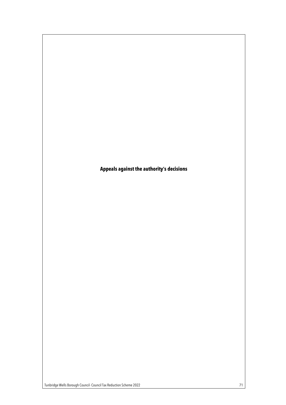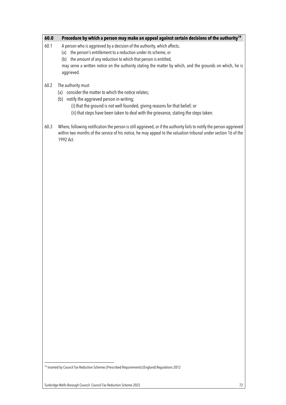| 60.0 | Procedure by which a person may make an appeal against certain decisions of the authority <sup>19</sup> |
|------|---------------------------------------------------------------------------------------------------------|
|      |                                                                                                         |

- 60.1 A person who is aggrieved by a decision of the authority, which affects;
	- (a) the person's entitlement to a reduction under its scheme, or
		- (b) the amount of any reduction to which that person is entitled,

may serve a written notice on the authority stating the matter by which, and the grounds on which, he is aggrieved.

- 60.2 The authority must
	- (a) consider the matter to which the notice relates;
	- (b) notify the aggrieved person in writing;
		- (i) that the ground is not well founded, giving reasons for that belief; or
		- (ii) that steps have been taken to deal with the grievance, stating the steps taken.
- 60.3 Where, following notification the person is still aggrieved, or if the authority fails to notify the person aggrieved within two months of the service of his notice, he may appeal to the valuation tribunal under section 16 of the 1992 Act.

<sup>19</sup> Inserted by Council Tax Reduction Schemes (Prescribed Requirements) (England) Regulations 2012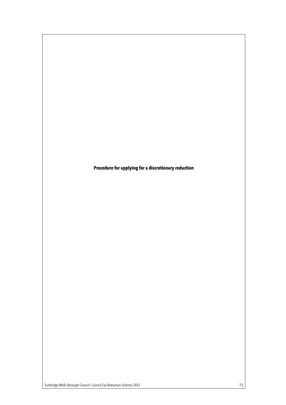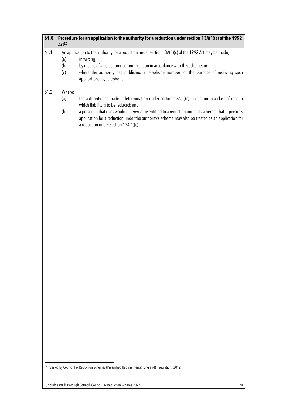### **61.0 Procedure for an application to the authority for a reduction under section 13A(1)(c) of the 1992 Act20**

- 61.1 An application to the authority for a reduction under section 13A(1)(c) of the 1992 Act may be made;
	- (a) in writing,
	- (b) by means of an electronic communication in accordance with this scheme, or
	- (c) where the authority has published a telephone number for the purpose of receiving such applications, by telephone.

### 61.2 Where;

- (a) the authority has made a determination under section 13A(1)(c) in relation to a class of case in which liability is to be reduced; and
- (b) a person in that class would otherwise be entitled to a reduction under its scheme, that person's application for a reduction under the authority's scheme may also be treated as an application for a reduction under section 13A(1)(c).

<sup>&</sup>lt;sup>20</sup> Inserted by Council Tax Reduction Schemes (Prescribed Requirements) (England) Requlations 2012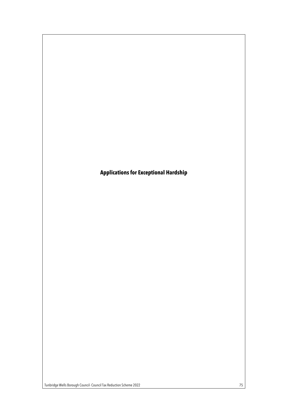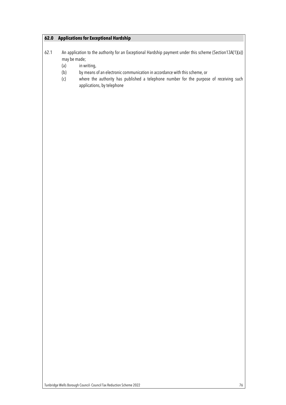## **62.0 Applications for Exceptional Hardship**

- 62.1 An application to the authority for an Exceptional Hardship payment under this scheme (Section13A(1)(a)) may be made;
	- (a) in writing,
	- (b) by means of an electronic communication in accordance with this scheme, or
	- (c) where the authority has published a telephone number for the purpose of receiving such applications, by telephone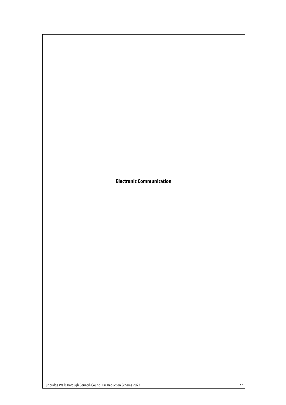**Electronic Communication**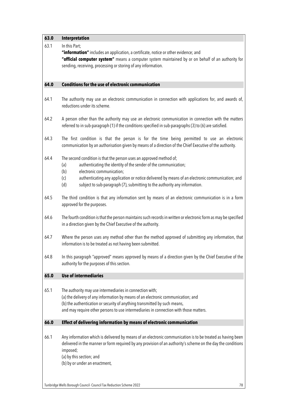| 63.0 | Interpretation                                                                                                                                                                                                                                                                                                     |  |
|------|--------------------------------------------------------------------------------------------------------------------------------------------------------------------------------------------------------------------------------------------------------------------------------------------------------------------|--|
| 63.1 | In this Part;<br>"information" includes an application, a certificate, notice or other evidence; and<br>"official computer system" means a computer system maintained by or on behalf of an authority for<br>sending, receiving, processing or storing of any information.                                         |  |
| 64.0 | <b>Conditions for the use of electronic communication</b>                                                                                                                                                                                                                                                          |  |
| 64.1 | The authority may use an electronic communication in connection with applications for, and awards of,<br>reductions under its scheme.                                                                                                                                                                              |  |
| 64.2 | A person other than the authority may use an electronic communication in connection with the matters<br>referred to in sub-paragraph (1) if the conditions specified in sub-paragraphs (3) to (6) are satisfied.                                                                                                   |  |
| 64.3 | The first condition is that the person is for the time being permitted to use an electronic<br>communication by an authorisation given by means of a direction of the Chief Executive of the authority.                                                                                                            |  |
| 64.4 | The second condition is that the person uses an approved method of;<br>authenticating the identity of the sender of the communication;<br>(a)<br>electronic communication;<br>(b)<br>authenticating any application or notice delivered by means of an electronic communication; and<br>(c)                        |  |
|      | subject to sub-paragraph (7), submitting to the authority any information.<br>(d)                                                                                                                                                                                                                                  |  |
| 64.5 | The third condition is that any information sent by means of an electronic communication is in a form<br>approved for the purposes.                                                                                                                                                                                |  |
| 64.6 | The fourth condition is that the person maintains such records in written or electronic form as may be specified<br>in a direction given by the Chief Executive of the authority.                                                                                                                                  |  |
| 64.7 | Where the person uses any method other than the method approved of submitting any information, that<br>information is to be treated as not having been submitted.                                                                                                                                                  |  |
| 64.8 | In this paragraph "approved" means approved by means of a direction given by the Chief Executive of the<br>authority for the purposes of this section.                                                                                                                                                             |  |
| 65.0 | <b>Use of intermediaries</b>                                                                                                                                                                                                                                                                                       |  |
| 65.1 | The authority may use intermediaries in connection with;<br>(a) the delivery of any information by means of an electronic communication; and<br>(b) the authentication or security of anything transmitted by such means,<br>and may require other persons to use intermediaries in connection with those matters. |  |
| 66.0 | Effect of delivering information by means of electronic communication                                                                                                                                                                                                                                              |  |
| 66.1 | Any information which is delivered by means of an electronic communication is to be treated as having been<br>delivered in the manner or form required by any provision of an authority's scheme on the day the conditions<br>imposed;<br>(a) by this section; and<br>(b) by or under an enactment,                |  |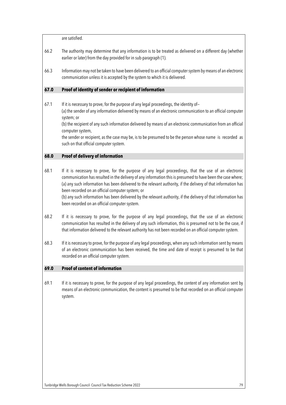are satisfied.

- 66.2 The authority may determine that any information is to be treated as delivered on a different day (whether earlier or later) from the day provided for in sub-paragraph (1).
- 66.3 Information may not be taken to have been delivered to an official computer system by means of an electronic communication unless it is accepted by the system to which it is delivered.

## **67.0 Proof of identity of sender or recipient of information**

67.1 If it is necessary to prove, for the purpose of any legal proceedings, the identity of-(a) the sender of any information delivered by means of an electronic communication to an official computer system; or

(b) the recipient of any such information delivered by means of an electronic communication from an official computer system,

the sender or recipient, as the case may be, is to be presumed to be the person whose name is recorded as such on that official computer system.

# **68.0 Proof of delivery of information**

68.1 If it is necessary to prove, for the purpose of any legal proceedings, that the use of an electronic communication has resulted in the delivery of any information this is presumed to have been the case where; (a) any such information has been delivered to the relevant authority, if the delivery of that information has been recorded on an official computer system; or

(b) any such information has been delivered by the relevant authority, if the delivery of that information has been recorded on an official computer system.

- 68.2 If it is necessary to prove, for the purpose of any legal proceedings, that the use of an electronic communication has resulted in the delivery of any such information, this is presumed not to be the case, if that information delivered to the relevant authority has not been recorded on an official computer system.
- 68.3 If it is necessary to prove, for the purpose of any legal proceedings, when any such information sent by means of an electronic communication has been received, the time and date of receipt is presumed to be that recorded on an official computer system.

### **69.0 Proof of content of information**

69.1 If it is necessary to prove, for the purpose of any legal proceedings, the content of any information sent by means of an electronic communication, the content is presumed to be that recorded on an official computer system.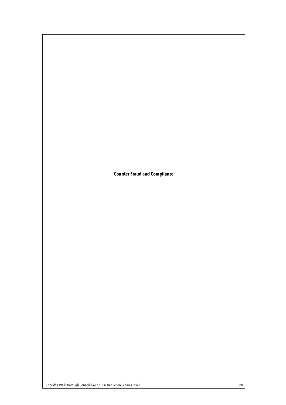**Counter Fraud and Compliance**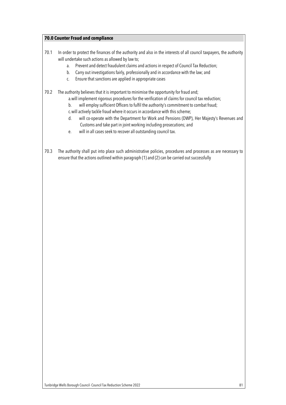### **70.0 Counter Fraud and compliance**

- 70.1 In order to protect the finances of the authority and also in the interests of all council taxpayers, the authority will undertake such actions as allowed by law to;
	- a. Prevent and detect fraudulent claims and actions in respect of Council Tax Reduction;
	- b. Carry out investigations fairly, professionally and in accordance with the law; and
	- c. Ensure that sanctions are applied in appropriate cases

70.2 The authority believes that it is important to minimise the opportunity for fraud and;

- a.will implement rigorous procedures for the verification of claims for council tax reduction;
- b. will employ sufficient Officers to fulfil the authority's commitment to combat fraud;

c.will actively tackle fraud where it occurs in accordance with this scheme;

- d. will co-operate with the Department for Work and Pensions (DWP), Her Majesty's Revenues and Customs and take part in joint working including prosecutions; and
- e. will in all cases seek to recover all outstanding council tax.
- 70.3 The authority shall put into place such administrative policies, procedures and processes as are necessary to ensure that the actions outlined within paragraph (1) and (2) can be carried out successfully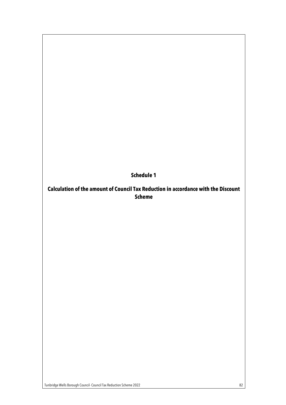**Schedule 1**

**Calculation of the amount of Council Tax Reduction in accordance with the Discount Scheme**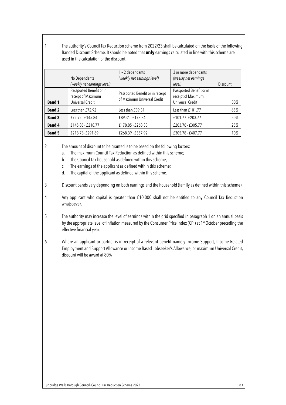1 The authority's Council Tax Reduction scheme from 2022/23 shall be calculated on the basis of the following Banded Discount Scheme. It should be noted that **only** earnings calculated in line with this scheme are used in the calculation of the discount.

|               |                             | 1 - 2 dependants                 | 3 or more dependants     |                 |
|---------------|-----------------------------|----------------------------------|--------------------------|-----------------|
|               | No Dependants               | (weekly net earnings level)      | (weekly net earnings     |                 |
|               | (weekly net earnings level) |                                  | level)                   | <b>Discount</b> |
|               | Passported Benefit or in    | Passported Benefit or in receipt | Passported Benefit or in |                 |
|               | receipt of Maximum          | of Maximum Universal Credit      | receipt of Maximum       |                 |
| <b>Band 1</b> | Universal Credit            |                                  | <b>Universal Credit</b>  | 80%             |
| <b>Band 2</b> | Less than £72.92            | Less than £89.31                 | Less than £101.77        | 65%             |
| <b>Band 3</b> | £72.92 - £145.84            | £89.31 - £178.84                 | £101.77-£203.77          | 50%             |
| <b>Band 4</b> | £145.85 - £218.77           | £178.85 - £268.38                | £203.78 - £305.77        | 25%             |
| <b>Band 5</b> | £218.78-£291.69             | £268.39 - £357.92                | £305.78 - £407.77        | 10%             |

2 The amount of discount to be granted is to be based on the following factors:

- a. The maximum Council Tax Reduction as defined within this scheme;
- b. The Council Tax household as defined within this scheme;
- c. The earnings of the applicant as defined within this scheme;
- d. The capital of the applicant as defined within this scheme.
- 3 Discount bands vary depending on both earnings and the household (family as defined within this scheme).
- 4 Any applicant who capital is greater than £10,000 shall not be entitled to any Council Tax Reduction whatsoever.
- 5 The authority may increase the level of earnings within the grid specified in paragraph 1 on an annual basis by the appropriate level of inflation measured by the Consumer Price Index (CPI) at 1<sup>st</sup> October preceding the effective financial year.
- 6. Where an applicant or partner is in receipt of a relevant benefit namely Income Support, Income Related Employment and Support Allowance or Income Based Jobseeker's Allowance, or maximum Universal Credit, discount will be award at 80%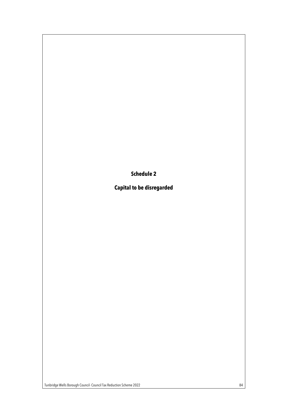**Schedule 2**

**Capital to be disregarded**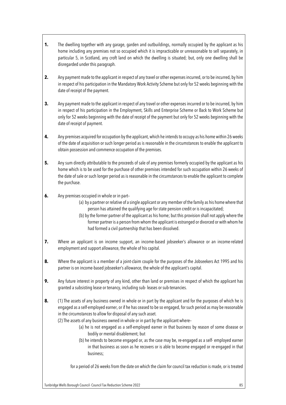- **1.** The dwelling together with any garage, garden and outbuildings, normally occupied by the applicant as his home including any premises not so occupied which it is impracticable or unreasonable to sell separately, in particular 5, in Scotland, any croft land on which the dwelling is situated; but, only one dwelling shall be disregarded under this paragraph.
- **2.** Any payment made to the applicant in respect of any travel or other expenses incurred, or to be incurred, by him in respect of his participation in the Mandatory Work Activity Scheme but only for 52 weeks beginning with the date of receipt of the payment.
- **3.** Any payment made to the applicant in respect of any travel or other expenses incurred or to be incurred, by him in respect of his participation in the Employment, Skills and Enterprise Scheme or Back to Work Scheme but only for 52 weeks beginning with the date of receipt of the payment but only for 52 weeks beginning with the date of receipt of payment.
- **4.** Any premises acquired for occupation by the applicant, which he intends to occupy as his home within 26 weeks of the date of acquisition or such longer period as is reasonable in the circumstances to enable the applicant to obtain possession and commence occupation of the premises.
- **5.** Any sum directly attributable to the proceeds of sale of any premises formerly occupied by the applicant as his home which is to be used for the purchase of other premises intended for such occupation within 26 weeks of the date of sale or such longer period as is reasonable in the circumstances to enable the applicant to complete the purchase.
- **6.** Any premises occupied in whole or in part–
	- (a) by a partner or relative of a single applicant or any member of the family as his home where that person has attained the qualifying age for state pension credit or is incapacitated;
	- (b) by the former partner of the applicant as his home; but this provision shall not apply where the former partner is a person from whom the applicant is estranged or divorced or with whom he had formed a civil partnership that has been dissolved.
- **7.** Where an applicant is on income support, an income-based jobseeker's allowance or an income-related employment and support allowance, the whole of his capital.
- 8. Where the applicant is a member of a joint-claim couple for the purposes of the Jobseekers Act 1995 and his partner is on income-based jobseeker's allowance, the whole of the applicant's capital.
- **9.** Any future interest in property of any kind, other than land or premises in respect of which the applicant has granted a subsisting lease or tenancy, including sub- leases or sub-tenancies.
- **8.** (1) The assets of any business owned in whole or in part by the applicant and for the purposes of which he is engaged as a self-employed earner, or if he has ceased to be so engaged, for such period as may be reasonable in the circumstances to allow for disposal of any such asset.

(2) The assets of any business owned in whole or in part by the applicant where–

- (a) he is not engaged as a self-employed earner in that business by reason of some disease or bodily or mental disablement; but
- (b) he intends to become engaged or, as the case may be, re-engaged as a self- employed earner in that business as soon as he recovers or is able to become engaged or re-engaged in that business;

for a period of 26 weeks from the date on which the claim for council tax reduction is made, or is treated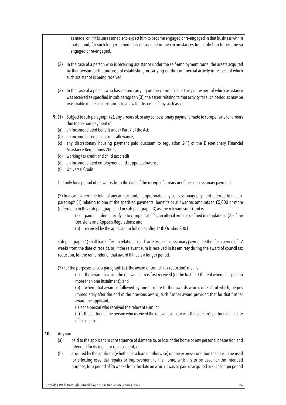as made, or, if it is unreasonable to expect him to become engaged or re-engaged in that business within that period, for such longer period as is reasonable in the circumstances to enable him to become so engaged or re-engaged.

- (2) In the case of a person who is receiving assistance under the self-employment route, the assets acquired by that person for the purpose of establishing or carrying on the commercial activity in respect of which such assistance is being received.
- (3) In the case of a person who has ceased carrying on the commercial activity in respect of which assistance was received as specified in sub-paragraph (3), the assets relating to that activity for such period as may be reasonable in the circumstances to allow for disposal of any such asset.
- **9.** (1) Subject to sub-paragraph (2), any arrears of, or any concessionary payment made to compensate for arrears due to the non-payment of;
	- (a) an income-related benefit under Part 7 of the Act;
	- (b) an income-based jobseeker's allowance;
	- (c) any discretionary housing payment paid pursuant to regulation 2(1) of the Discretionary Financial Assistance Regulations 2001;
	- (d) working tax credit and child tax credit
	- (e) an income-related employment and support allowance
	- (f) Universal Credit

but only for a period of 52 weeks from the date of the receipt of arrears or of the concessionary payment.

(2) In a case where the total of any arrears and, if appropriate, any concessionary payment referred to in subparagraph (1) relating to one of the specified payments, benefits or allowances amounts to £5,000 or more (referred to in this sub-paragraph and in sub-paragraph (3) as 'the relevant sum') and is

- (a) paid in order to rectify or to compensate for, an official error as defined in regulation 1(2) of the Decisions and Appeals Regulations; and
- (b) received by the applicant in full on or after 14th October 2001,

sub-paragraph (1) shall have effect in relation to such arrears or concessionary payment either for a period of 52 weeks from the date of receipt, or, if the relevant sum is received in its entirety during the award of council tax reduction, for the remainder of that award if that is a longer period.

(3) For the purposes of sub-paragraph (2),'the award of council tax reduction' means–

(a) the award in which the relevant sum is first received (or the first part thereof where it is paid in more than one instalment); and

(b) where that award is followed by one or more further awards which, or each of which, begins immediately after the end of the previous award, such further award provided that for that further award the applicant;

(i) is the person who received the relevant sum; or

(ii) is the partner of the person who received the relevant sum, or was that person's partner at the date of his death.

## **10.** Any sum

- (a) paid to the applicant in consequence of damage to, or loss of the home or any personal possession and intended for its repair or replacement; or
- (b) acquired by the applicant (whether as a loan or otherwise) on the express condition that it is to be used for effecting essential repairs or improvement to the home, which is to be used for the intended purpose, for a period of 26 weeks from the date on which it was so paid or acquired or such longer period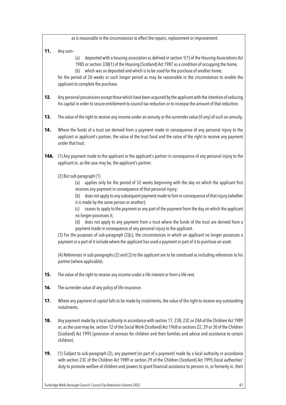as is reasonable in the circumstances to effect the repairs, replacement or improvement. **11.** Any sum– (a) deposited with a housing association as defined in section 1(1) of the Housing Associations Act 1985 or section 338(1) of the Housing (Scotland) Act 1987 as a condition of occupying the home; (b) which was so deposited and which is to be used for the purchase of another home, for the period of 26 weeks or such longer period as may be reasonable in the circumstances to enable the applicant to complete the purchase. **12.** Any personal possessions except those which have been acquired by the applicant with the intention of reducing his capital in order to secure entitlement to council tax reduction or to increase the amount of that reduction. **13.** The value of the right to receive any income under an annuity or the surrender value (if any) of such an annuity. **14.** Where the funds of a trust are derived from a payment made in consequence of any personal injury to the applicant or applicant's partner, the value of the trust fund and the value of the right to receive any payment under that trust. **14A.** (1) Any payment made to the applicant or the applicant's partner in consequence of any personal injury to the applicant or, as the case may be, the applicant's partner. (2) But sub-paragraph (1) (a) applies only for the period of 52 weeks beginning with the day on which the applicant first receives any payment in consequence of that personal injury; (b) does not apply to any subsequent payment made to him in consequence of that injury (whether it is made by the same person or another); (c) ceases to apply to the payment or any part of the payment from the day on which the applicant no longer possesses it; (d) does not apply to any payment from a trust where the funds of the trust are derived from a payment made in consequence of any personal injury to the applicant. (3) For the purposes of sub-paragraph (2)(c), the circumstances in which an applicant no longer possesses a payment or a part of it include where the applicant has used a payment or part of it to purchase an asset. (4) References in sub-paragraphs (2) and (3) to the applicant are to be construed as including references to his partner (where applicable). **15.** The value of the right to receive any income under a life interest or from a life rent. **16.** The surrender value of any policy of life insurance. **17.** Where any payment of capital falls to be made by instalments, the value of the right to receive any outstanding instalments. **18.** Any payment made by a local authority in accordance with section 17, 23B, 23C or 24A of the Children Act 1989 or, as the case may be, section 12 of the Social Work (Scotland) Act 1968 or sections 22, 29 or 30 of the Children (Scotland) Act 1995 (provision of services for children and their families and advice and assistance to certain children). **19.** (1) Subject to sub-paragraph (2), any payment (or part of a payment) made by a local authority in accordance with section 23C of the Children Act 1989 or section 29 of the Children (Scotland) Act 1995 (local authorities' duty to promote welfare of children and powers to grant financial assistance to persons in, or formerly in, their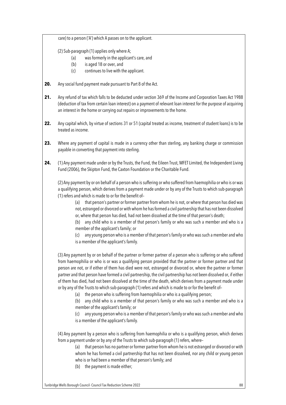care) to a person ('A') which A passes on to the applicant.

(2) Sub-paragraph (1) applies only where A;

- (a) was formerly in the applicant's care, and
- (b) is aged 18 or over, and
- (c) continues to live with the applicant.
- **20.** Any social fund payment made pursuant to Part 8 of the Act.
- **21.** Any refund of tax which falls to be deducted under section 369 of the Income and Corporation Taxes Act 1988 (deduction of tax from certain loan interest) on a payment of relevant loan interest for the purpose of acquiring an interest in the home or carrying out repairs or improvements to the home.
- **22.** Any capital which, by virtue of sections 31 or 51 (capital treated as income, treatment of student loans) is to be treated as income.
- 23. Where any payment of capital is made in a currency other than sterling, any banking charge or commission payable in converting that payment into sterling.
- **24.** (1) Any payment made under or bythe Trusts, the Fund, the Eileen Trust, MFET Limited, the Independent Living Fund (2006), the Skipton Fund, the Caxton Foundation or the Charitable Fund.

(2) Any payment by or on behalf of a person who is suffering or who suffered from haemophilia or who is or was a qualifying person, which derives from a payment made under or by any of the Trusts to which sub-paragraph (1) refers and which is made to or for the benefit of–

- (a) that person's partner or former partner from whom he is not, or where that person has died was not, estranged or divorced or with whom he has formed a civil partnership that has not been dissolved or, where that person has died, had not been dissolved at the time of that person's death;
- (b) any child who is a member of that person's family or who was such a member and who is a member of the applicant's family; or
- (c) any young person who is a member of that person's family or who was such a member and who is a member of the applicant's family.

(3) Any payment by or on behalf of the partner or former partner of a person who is suffering or who suffered from haemophilia or who is or was a qualifying person provided that the partner or former partner and that person are not, or if either of them has died were not, estranged or divorced or, where the partner or former partner and that person have formed a civil partnership, the civil partnership has not been dissolved or, if either of them has died, had not been dissolved at the time of the death, which derives from a payment made under or by any of the Trusts to which sub-paragraph (1) refers and which is made to or for the benefit of–

(a) the person who is suffering from haemophilia or who is a qualifying person;

(b) any child who is a member of that person's family or who was such a member and who is a member of the applicant's family; or

(c) any young person who is a member of that person's family or who was such a member and who is a member of the applicant's family.

(4) Any payment by a person who is suffering from haemophilia or who is a qualifying person, which derives from a payment under or by any of the Trusts to which sub-paragraph (1) refers, where–

(a) that person has no partner or former partner from whom he is not estranged or divorced or with whom he has formed a civil partnership that has not been dissolved, nor any child or young person who is or had been a member of that person's family; and

(b) the payment is made either;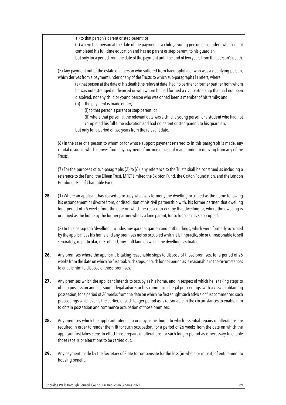(i) to that person's parent or step-parent; or

(ii) where that person at the date of the payment is a child ,a young person or a student who has not completed his full-time education and has no parent or step-parent, to his guardian,

but only for a period from the date of the payment until the end of two years from that person's death.

(5) Any payment out of the estate of a person who suffered from haemophilia or who was a qualifying person, which derives from a payment under or any of the Trusts to which sub-paragraph (1) refers, where

(a) that person at the date of his death (the relevant date) had no partner or former partner from whom he was not estranged or divorced or with whom he had formed a civil partnership that had not been dissolved, nor any child or young person who was or had been a member of his family; and

- (b) the payment is made either;
	- (i) to that person's parent or step-parent; or

(ii) where that person at the relevant date was a child, a young person or a student who had not completed his full-time education and had no parent or step-parent, to his guardian, but only for a period of two years from the relevant date.

(6) In the case of a person to whom or for whose support payment referred to in this paragraph is made, any capital resource which derives from any payment of income or capital made under or deriving from any of the Trusts.

(7) For the purposes of sub-paragraphs (2) to (6), any reference to the Trusts shall be construed as including a reference to the Fund, the Eileen Trust, MFET Limited the Skipton Fund, the Caxton Foundation, and the London Bombings Relief Charitable Fund.

**25.** (1) Where an applicant has ceased to occupy what was formerly the dwelling occupied as the home following his estrangement or divorce from, or dissolution of his civil partnership with, his former partner, that dwelling for a period of 26 weeks from the date on which he ceased to occupy that dwelling or, where the dwelling is occupied as the home by the former partner who is a lone parent, for so long as it is so occupied.

(2) In this paragraph 'dwelling' includes any garage, garden and outbuildings, which were formerly occupied by the applicant as his home and any premises not so occupied which it is impracticable or unreasonable to sell separately, in particular, in Scotland, any croft land on which the dwelling is situated.

- 26. Any premises where the applicant is taking reasonable steps to dispose of those premises, for a period of 26 weeks from the date on which he first took such steps, or such longer period as is reasonable in the circumstances to enable him to dispose of those premises.
- **27.** Any premises which the applicant intends to occupy as his home, and in respect of which he is taking steps to obtain possession and has sought legal advice, or has commenced legal proceedings, with a view to obtaining possession, for a period of 26 weeks from the date on which he first sought such advice or first commenced such proceedings whichever is the earlier, or such longer period as is reasonable in the circumstances to enable him to obtain possession and commence occupation of those premises.
- **28.** Any premises which the applicant intends to occupy as his home to which essential repairs or alterations are required in order to render them fit for such occupation, for a period of 26 weeks from the date on which the applicant first takes steps to effect those repairs or alterations, or such longer period as is necessary to enable those repairs or alterations to be carried out.
- **29.** Any payment made by the Secretary of State to compensate for the loss (in whole or in part) of entitlement to housing benefit.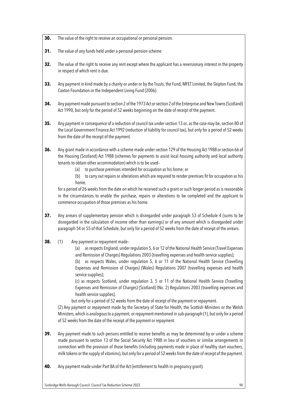- **30.** The value of the right to receive an occupational or personal pension.
- **31.** The value of any funds held under a personal pension scheme
- **32.** The value of the right to receive any rent except where the applicant has a reversionary interest in the property in respect of which rent is due.
- **33.** Any payment in kind made by a charity or under or bythe Trusts, the Fund, MFET Limited, the Skipton Fund, the Caxton Foundation or the Independent Living Fund (2006).
- **34.** Any payment made pursuant to section 2 of the 1973 Act or section 2 of the Enterprise and New Towns (Scotland) Act 1990, but only for the period of 52 weeks beginning on the date of receipt of the payment.
- **35.** Any payment in consequence of a reduction of council tax under section 13 or, as the case may be, section 80 of the Local Government Finance Act 1992 (reduction of liability for council tax), but only for a period of 52 weeks from the date of the receipt of the payment.
- **36.** Any grant made in accordance with a scheme made under section 129 of the Housing Act 1988 or section 66 of the Housing (Scotland) Act 1988 (schemes for payments to assist local housing authority and local authority tenants to obtain other accommodation) which is to be used–
	- (a) to purchase premises intended for occupation as his home; or

(b) to carry out repairs or alterations which are required to render premises fit for occupation as his home,

for a period of 26 weeks from the date on which he received such a grant or such longer period as is reasonable in the circumstances to enable the purchase, repairs or alterations to be completed and the applicant to commence occupation of those premises as his home.

- **37.** Any arrears of supplementary pension which is disregarded under paragraph 53 of Schedule 4 (sums to be disregarded in the calculation of income other than earnings) or of any amount which is disregarded under paragraph 54 or 55 of that Schedule, but only for a period of 52 weeks from the date of receipt of the arrears.
- **38.** (1) Any payment or repayment made–

(a) as respects England, under regulation 5, 6 or 12 of the National Health Service (Travel Expenses and Remission of Charges) Regulations 2003 (travelling expenses and health service supplies);

(b) as respects Wales, under regulation 5, 6 or 11 of the National Health Service (Travelling Expenses and Remission of Charges) (Wales) Regulations 2007 (travelling expenses and health service supplies);

(c) as respects Scotland, under regulation 3, 5 or 11 of the National Health Service (Travelling Expenses and Remission of Charges) (Scotland) (No. 2) Regulations 2003 (travelling expenses and health service supplies),

but only for a period of 52 weeks from the date of receipt of the payment or repayment.

(2) Any payment or repayment made by the Secretary of State for Health, the Scottish Ministers or the Welsh Ministers, which is analogous to a payment, or repayment mentioned in sub-paragraph (1), but only for a period of 52 weeks from the date of the receipt of the payment or repayment.

- **39.** Any payment made to such persons entitled to receive benefits as may be determined by or under a scheme made pursuant to section 13 of the Social Security Act 1988 in lieu of vouchers or similar arrangements in connection with the provision of those benefits (including payments made in place of healthy start vouchers, milk tokens or the supply of vitamins), but only for a period of 52 weeks from the date of receipt of the payment.
- **40.** Any payment made under Part 8A of the Act (entitlement to health in pregnancy grant).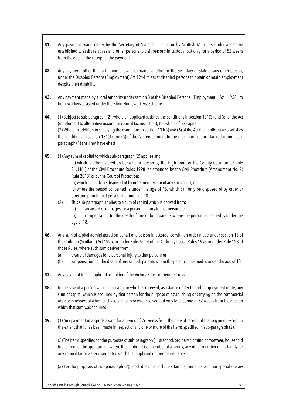- **41.** Any payment made either by the Secretary of State for Justice or by Scottish Ministers under a scheme established to assist relatives and other persons to visit persons in custody, but only for a period of 52 weeks from the date of the receipt of the payment.
- **42.** Any payment (other than a training allowance) made, whether by the Secretary of State or any other person, under the Disabled Persons (Employment) Act 1944 to assist disabled persons to obtain or retain employment despite their disability.
- **43.** Any payment made by a local authority under section 3 of the Disabled Persons (Employment) Act 1958 to homeworkers assisted under the Blind Homeworkers' Scheme.
- **44.** (1) Subject to sub-paragraph (2), where an applicant satisfies the conditions in section 131(3) and (6) of the Act (entitlement to alternative maximum council tax reduction), the whole of his capital. (2) Where in addition to satisfying the conditions in section 131(3) and (6) of the Act the applicant also satisfies the conditions in section 131(4) and (5) of the Act (entitlement to the maximum council tax reduction), subparagraph (1) shall not have effect
- **45.** (1) Any sum of capital to which sub-paragraph (2) applies and

(a) which is administered on behalf of a person by the High Court or the County Court under Rule 21.11(1) of the Civil Procedure Rules 1998 (as amended by the Civil Procedure (Amendment No. 7) Rule 2013) or by the Court of Protection;

(b) which can only be disposed of by order or direction of any such court; or

(c) where the person concerned is under the age of 18, which can only be disposed of by order or direction prior to that person attaining age 18.

- (2) This sub-paragraph applies to a sum of capital which is derived from;
	- (a) an award of damages for a personal injury to that person; or
	- (b) compensation for the death of one or both parents where the person concerned is under the age of 18.
- **46.** Any sum of capital administered on behalf of a person in accordance with an order made under section 13 of the Children (Scotland) Act 1995, or under Rule 36.14 of the Ordinary Cause Rules 1993 or under Rule 128 of those Rules, where such sum derives from
	- (a) award of damages for a personal injury to that person; or
	- (b) compensation for the death of one or both parents where the person concerned is under the age of 18.
- **47.** Any payment to the applicant as holder of the Victoria Cross or George Cross.
- **48.** In the case of a person who is receiving, or who has received, assistance under the self-employment route, any sum of capital which is acquired by that person for the purpose of establishing or carrying on the commercial activity in respect of which such assistance is or was received but only for a period of 52 weeks from the date on which that sum was acquired.
- **49.** (1) Any payment of a sports award for a period of 26 weeks from the date of receipt of that payment except to the extent that it has been made in respect of any one or more of the items specified in sub-paragraph (2).

(2) The items specified for the purposes of sub-paragraph (1) are food, ordinary clothing or footwear, household fuel or rent of the applicant or, where the applicant is a member of a family, any other member of his family, or any council tax or water charges for which that applicant or member is liable.

(3) For the purposes of sub-paragraph (2) 'food' does not include vitamins, minerals or other special dietary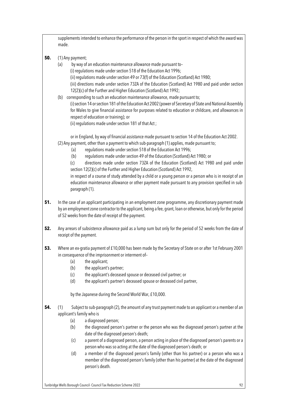supplements intended to enhance the performance of the person in the sport in respect of which the award was made.

- **50.** (1) Any payment;
	- (a) by way of an education maintenance allowance made pursuant to–
		- (i) regulations made under section 518 of the Education Act 1996;
		- (ii) regulations made under section 49 or 73(f) of the Education (Scotland) Act 1980;

(iii) directions made under section 73ZA of the Education (Scotland) Act 1980 and paid under section 12(2)(c) of the Further and Higher Education (Scotland) Act 1992;

(b) corresponding to such an education maintenance allowance, made pursuant to; (i) section 14 or section 181 of the Education Act 2002 (power of Secretary of State and National Assembly for Wales to give financial assistance for purposes related to education or childcare, and allowances in respect of education or training); or

(ii) regulations made under section 181 of that Act ;

or in England, by way of financial assistance made pursuant to section 14 of the Education Act 2002. (2) Any payment, other than a payment to which sub-paragraph (1) applies, made pursuant to;

- (a) regulations made under section 518 of the Education Act 1996;
- (b) regulations made under section 49 of the Education (Scotland) Act 1980; or

(c) directions made under section 73ZA of the Education (Scotland) Act 1980 and paid under section 12(2)(c) of the Further and Higher Education (Scotland) Act 1992,

in respect of a course of study attended by a child or a young person or a person who is in receipt of an education maintenance allowance or other payment made pursuant to any provision specified in subparagraph (1).

- **51.** In the case of an applicant participating in an employment zone programme, any discretionary payment made by an employment zone contractor to the applicant, being a fee, grant, loan or otherwise, but only for the period of 52 weeks from the date of receipt of the payment.
- **52.** Any arrears of subsistence allowance paid as a lump sum but only for the period of 52 weeks from the date of receipt of the payment.
- **53.** Where an ex-gratia payment of £10,000 has been made by the Secretary of State on or after 1st February 2001 in consequence of the imprisonment or interment of–
	- (a) the applicant;
	- (b) the applicant's partner;
	- (c) the applicant's deceased spouse or deceased civil partner; or
	- (d) the applicant's partner's deceased spouse or deceased civil partner,

by the Japanese during the Second World War, £10,000.

- **54.** (1) Subject to sub-paragraph (2), the amount of any trust payment made to an applicant or a member of an applicant's family who is
	- (a) a diagnosed person;
	- (b) the diagnosed person's partner or the person who was the diagnosed person's partner at the date of the diagnosed person's death;
	- (c) a parent of a diagnosed person, a person acting in place of the diagnosed person's parents or a person who was so acting at the date of the diagnosed person's death; or
	- (d) a member of the diagnosed person's family (other than his partner) or a person who was a member of the diagnosed person's family (other than his partner) at the date of the diagnosed person's death.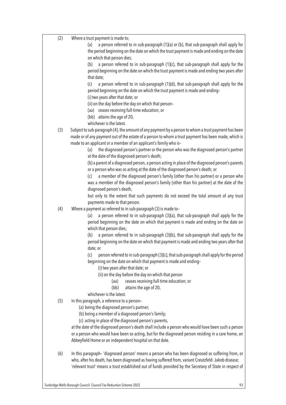| (2) | Where a trust payment is made to;                                                                                                                                                         |
|-----|-------------------------------------------------------------------------------------------------------------------------------------------------------------------------------------------|
|     | (a)<br>a person referred to in sub-paragraph (1)(a) or (b), that sub-paragraph shall apply for                                                                                            |
|     | the period beginning on the date on which the trust payment is made and ending on the date                                                                                                |
|     | on which that person dies;                                                                                                                                                                |
|     | a person referred to in sub-paragraph (1)(c), that sub-paragraph shall apply for the<br>(b)                                                                                               |
|     | period beginning on the date on which the trust payment is made and ending two years after                                                                                                |
|     | that date;<br>a person referred to in sub-paragraph (1)(d), that sub-paragraph shall apply for the                                                                                        |
|     | (c)<br>period beginning on the date on which the trust payment is made and ending-                                                                                                        |
|     | (i) two years after that date; or                                                                                                                                                         |
|     | (ii) on the day before the day on which that person-                                                                                                                                      |
|     | (aa) ceases receiving full-time education; or                                                                                                                                             |
|     | (bb) attains the age of 20,                                                                                                                                                               |
|     | whichever is the latest.                                                                                                                                                                  |
| (3) | Subject to sub-paragraph (4), the amount of any payment by a person to whom a trust payment has been                                                                                      |
|     | made or of any payment out of the estate of a person to whom a trust payment has been made, which is                                                                                      |
|     | made to an applicant or a member of an applicant's family who is-                                                                                                                         |
|     | the diagnosed person's partner or the person who was the diagnosed person's partner<br>(a)                                                                                                |
|     | at the date of the diagnosed person's death;                                                                                                                                              |
|     | (b) a parent of a diagnosed person, a person acting in place of the diagnosed person's parents<br>or a person who was so acting at the date of the diagnosed person's death; or           |
|     | a member of the diagnosed person's family (other than his partner) or a person who<br>(c)                                                                                                 |
|     | was a member of the diagnosed person's family (other than his partner) at the date of the                                                                                                 |
|     | diagnosed person's death,                                                                                                                                                                 |
|     | but only to the extent that such payments do not exceed the total amount of any trust                                                                                                     |
|     | payments made to that person.                                                                                                                                                             |
| (4) | Where a payment as referred to in sub-paragraph (3) is made to-                                                                                                                           |
|     | a person referred to in sub-paragraph (3)(a), that sub-paragraph shall apply for the<br>(a)                                                                                               |
|     | period beginning on the date on which that payment is made and ending on the date on                                                                                                      |
|     | which that person dies;                                                                                                                                                                   |
|     | (b)<br>a person referred to in sub-paragraph (3)(b), that sub-paragraph shall apply for the<br>period beginning on the date on which that payment is made and ending two years after that |
|     | date; or                                                                                                                                                                                  |
|     | person referred to in sub-paragraph (3)(c), that sub-paragraph shall apply for the period<br>(c)                                                                                          |
|     | beginning on the date on which that payment is made and ending-                                                                                                                           |
|     | (i) two years after that date; or                                                                                                                                                         |
|     | (ii) on the day before the day on which that person                                                                                                                                       |
|     | ceases receiving full-time education; or<br>(aa)                                                                                                                                          |
|     | (bb)<br>attains the age of 20,                                                                                                                                                            |
|     | whichever is the latest.                                                                                                                                                                  |
| (5) | In this paragraph, a reference to a person-                                                                                                                                               |
|     | (a) being the diagnosed person's partner;                                                                                                                                                 |
|     | (b) being a member of a diagnosed person's family;<br>(c) acting in place of the diagnosed person's parents,                                                                              |
|     | at the date of the diagnosed person's death shall include a person who would have been such a person                                                                                      |
|     | or a person who would have been so acting, but for the diagnosed person residing in a care home, an                                                                                       |
|     | Abbeyfield Home or an independent hospital on that date.                                                                                                                                  |
|     |                                                                                                                                                                                           |
| (6) | In this paragraph- 'diagnosed person' means a person who has been diagnosed as suffering from, or                                                                                         |
|     | who, after his death, has been diagnosed as having suffered from, variant Creutzfeld- Jakob disease;                                                                                      |
|     | 'relevant trust' means a trust established out of funds provided by the Secretary of State in respect of                                                                                  |
|     |                                                                                                                                                                                           |